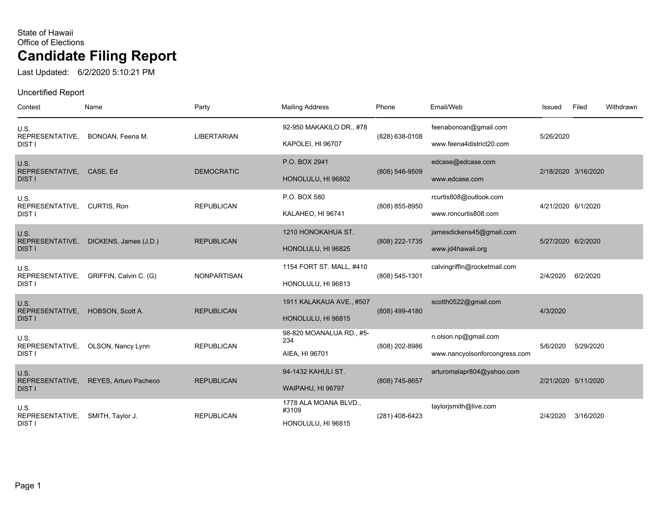Last Updated: 6/2/2020 5:10:21 PM

| Contest                                  | Name                   | Party              | <b>Mailing Address</b>                               | Phone          | Email/Web                                             | Issued              | Filed     | Withdrawn |
|------------------------------------------|------------------------|--------------------|------------------------------------------------------|----------------|-------------------------------------------------------|---------------------|-----------|-----------|
| U.S.<br>REPRESENTATIVE,<br>DIST I        | BONOAN, Feena M.       | <b>LIBERTARIAN</b> | 92-950 MAKAKILO DR., #78<br>KAPOLEI, HI 96707        | (828) 638-0108 | feenabonoan@gmail.com<br>www.feena4district20.com     | 5/26/2020           |           |           |
| U.S.<br>REPRESENTATIVE,<br><b>DIST I</b> | CASE, Ed               | <b>DEMOCRATIC</b>  | P.O. BOX 2941<br>HONOLULU, HI 96802                  | (808) 546-9509 | edcase@edcase.com<br>www.edcase.com                   | 2/18/2020 3/16/2020 |           |           |
| U.S.<br>REPRESENTATIVE,<br><b>DIST I</b> | CURTIS, Ron            | <b>REPUBLICAN</b>  | P.O. BOX 580<br>KALAHEO, HI 96741                    | (808) 855-8950 | rcurtis808@outlook.com<br>www.roncurtis808.com        | 4/21/2020 6/1/2020  |           |           |
| U.S.<br>REPRESENTATIVE,<br><b>DIST I</b> | DICKENS, James (J.D.)  | <b>REPUBLICAN</b>  | 1210 HONOKAHUA ST.<br>HONOLULU, HI 96825             | (808) 222-1735 | jamesdickens45@gmail.com<br>www.jd4hawaii.org         | 5/27/2020 6/2/2020  |           |           |
| U.S.<br>REPRESENTATIVE,<br>DIST I        | GRIFFIN, Calvin C. (G) | <b>NONPARTISAN</b> | 1154 FORT ST. MALL, #410<br>HONOLULU, HI 96813       | (808) 545-1301 | calvingriffin@rocketmail.com                          | 2/4/2020            | 6/2/2020  |           |
| U.S.<br>REPRESENTATIVE,<br><b>DIST I</b> | HOBSON, Scott A.       | <b>REPUBLICAN</b>  | 1911 KALAKAUA AVE., #507<br>HONOLULU, HI 96815       | (808) 499-4180 | scotth0522@gmail.com                                  | 4/3/2020            |           |           |
| U.S.<br>REPRESENTATIVE,<br><b>DIST I</b> | OLSON, Nancy Lynn      | <b>REPUBLICAN</b>  | 98-820 MOANALUA RD., #5-<br>234<br>AIEA, HI 96701    | (808) 202-8986 | n.olson.np@gmail.com<br>www.nancyolsonforcongress.com | 5/6/2020            | 5/29/2020 |           |
| U.S.<br>REPRESENTATIVE,<br><b>DIST I</b> | REYES, Arturo Pacheco  | <b>REPUBLICAN</b>  | 94-1432 KAHULI ST.<br>WAIPAHU, HI 96797              | (808) 745-8657 | arturomalapr804@yahoo.com                             | 2/21/2020 5/11/2020 |           |           |
| U.S.<br>REPRESENTATIVE,<br>DIST I        | SMITH, Taylor J.       | <b>REPUBLICAN</b>  | 1778 ALA MOANA BLVD.,<br>#3109<br>HONOLULU, HI 96815 | (281) 408-6423 | taylorjsmith@live.com                                 | 2/4/2020            | 3/16/2020 |           |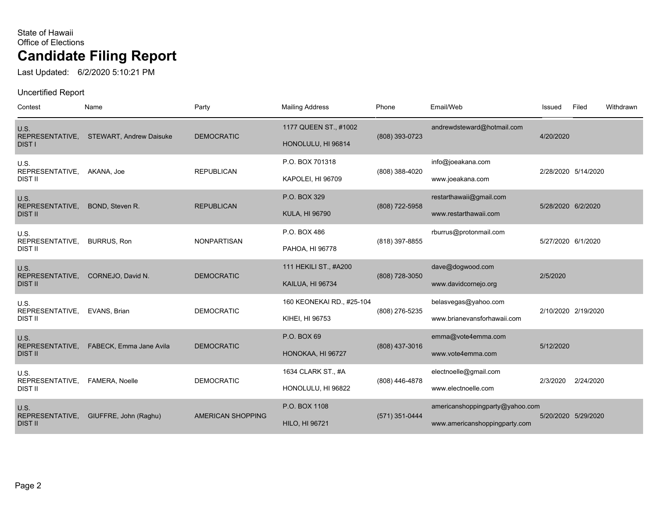Last Updated: 6/2/2020 5:10:21 PM

| Contest                           | Name                           | Party                    | <b>Mailing Address</b>    | Phone          | Email/Web                       | Issued             | Filed               | Withdrawn |
|-----------------------------------|--------------------------------|--------------------------|---------------------------|----------------|---------------------------------|--------------------|---------------------|-----------|
| U.S.<br>REPRESENTATIVE,           | <b>STEWART, Andrew Daisuke</b> | <b>DEMOCRATIC</b>        | 1177 QUEEN ST., #1002     | (808) 393-0723 | andrewdsteward@hotmail.com      | 4/20/2020          |                     |           |
| <b>DIST I</b>                     |                                |                          | HONOLULU, HI 96814        |                |                                 |                    |                     |           |
| U.S.<br>REPRESENTATIVE,           | AKANA, Joe                     | <b>REPUBLICAN</b>        | P.O. BOX 701318           | (808) 388-4020 | info@joeakana.com               |                    | 2/28/2020 5/14/2020 |           |
| <b>DIST II</b>                    |                                |                          | KAPOLEI, HI 96709         |                | www.joeakana.com                |                    |                     |           |
| U.S.                              |                                |                          | P.O. BOX 329              |                | restarthawaii@gmail.com         |                    |                     |           |
| REPRESENTATIVE,<br><b>DIST II</b> | BOND, Steven R.                | <b>REPUBLICAN</b>        | <b>KULA, HI 96790</b>     | (808) 722-5958 | www.restarthawaii.com           | 5/28/2020 6/2/2020 |                     |           |
| U.S.                              |                                |                          | P.O. BOX 486              |                | rburrus@protonmail.com          |                    |                     |           |
| REPRESENTATIVE,<br>DIST II        | <b>BURRUS, Ron</b>             | <b>NONPARTISAN</b>       | PAHOA, HI 96778           | (818) 397-8855 |                                 | 5/27/2020 6/1/2020 |                     |           |
| U.S.                              |                                |                          | 111 HEKILI ST., #A200     |                | dave@dogwood.com                |                    |                     |           |
| REPRESENTATIVE,<br><b>DIST II</b> | CORNEJO, David N.              | <b>DEMOCRATIC</b>        | KAILUA, HI 96734          | (808) 728-3050 | www.davidcornejo.org            | 2/5/2020           |                     |           |
| U.S.                              |                                |                          | 160 KEONEKAI RD., #25-104 |                | belasvegas@yahoo.com            |                    | 2/10/2020 2/19/2020 |           |
| REPRESENTATIVE,<br><b>DIST II</b> | EVANS, Brian                   | <b>DEMOCRATIC</b>        | KIHEI, HI 96753           | (808) 276-5235 | www.brianevansforhawaii.com     |                    |                     |           |
| U.S.                              |                                |                          | P.O. BOX 69               |                | emma@vote4emma.com              |                    |                     |           |
| REPRESENTATIVE,<br><b>DIST II</b> | FABECK, Emma Jane Avila        | <b>DEMOCRATIC</b>        | HONOKAA, HI 96727         | (808) 437-3016 | www.vote4emma.com               | 5/12/2020          |                     |           |
| U.S.                              |                                |                          | 1634 CLARK ST., #A        |                | electnoelle@gmail.com           |                    |                     |           |
| REPRESENTATIVE,<br><b>DIST II</b> | FAMERA, Noelle                 | <b>DEMOCRATIC</b>        | HONOLULU, HI 96822        | (808) 446-4878 | www.electnoelle.com             | 2/3/2020           | 2/24/2020           |           |
| U.S.                              |                                |                          | P.O. BOX 1108             |                | americanshoppingparty@yahoo.com |                    |                     |           |
| REPRESENTATIVE,<br><b>DIST II</b> | GIUFFRE, John (Raghu)          | <b>AMERICAN SHOPPING</b> | <b>HILO, HI 96721</b>     | (571) 351-0444 | www.americanshoppingparty.com   |                    | 5/20/2020 5/29/2020 |           |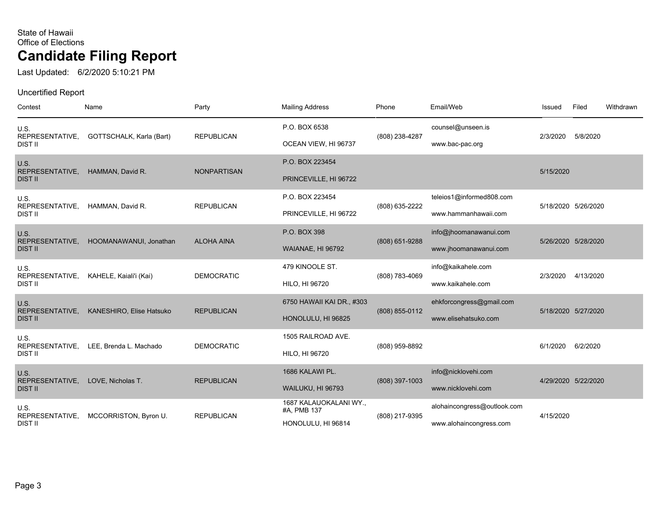Last Updated: 6/2/2020 5:10:21 PM

| Contest                    | Name                     | Party              | <b>Mailing Address</b>                | Phone          | Email/Web                   | Issued    | Filed               | Withdrawn |
|----------------------------|--------------------------|--------------------|---------------------------------------|----------------|-----------------------------|-----------|---------------------|-----------|
| U.S.                       |                          |                    | P.O. BOX 6538                         |                | counsel@unseen.is           |           |                     |           |
| REPRESENTATIVE,<br>DIST II | GOTTSCHALK, Karla (Bart) | <b>REPUBLICAN</b>  | OCEAN VIEW, HI 96737                  | (808) 238-4287 | www.bac-pac.org             | 2/3/2020  | 5/8/2020            |           |
| U.S.<br>REPRESENTATIVE,    | HAMMAN, David R.         | <b>NONPARTISAN</b> | P.O. BOX 223454                       |                |                             | 5/15/2020 |                     |           |
| <b>DIST II</b>             |                          |                    | PRINCEVILLE, HI 96722                 |                |                             |           |                     |           |
| U.S.<br>REPRESENTATIVE,    | HAMMAN, David R.         | <b>REPUBLICAN</b>  | P.O. BOX 223454                       | (808) 635-2222 | teleios1@informed808.com    |           | 5/18/2020 5/26/2020 |           |
| DIST II                    |                          |                    | PRINCEVILLE, HI 96722                 |                | www.hammanhawaii.com        |           |                     |           |
| U.S.<br>REPRESENTATIVE,    | HOOMANAWANUI, Jonathan   | <b>ALOHA AINA</b>  | P.O. BOX 398                          | (808) 651-9288 | info@jhoomanawanui.com      |           | 5/26/2020 5/28/2020 |           |
| <b>DIST II</b>             |                          |                    | WAIANAE, HI 96792                     |                | www.jhoomanawanui.com       |           |                     |           |
| U.S.<br>REPRESENTATIVE,    | KAHELE, Kaiali'i (Kai)   | <b>DEMOCRATIC</b>  | 479 KINOOLE ST.                       | (808) 783-4069 | info@kaikahele.com          | 2/3/2020  | 4/13/2020           |           |
| <b>DIST II</b>             |                          |                    | HILO, HI 96720                        |                | www.kaikahele.com           |           |                     |           |
| U.S.<br>REPRESENTATIVE,    | KANESHIRO, Elise Hatsuko | <b>REPUBLICAN</b>  | 6750 HAWAII KAI DR., #303             | (808) 855-0112 | ehkforcongress@gmail.com    |           | 5/18/2020 5/27/2020 |           |
| <b>DIST II</b>             |                          |                    | HONOLULU, HI 96825                    |                | www.elisehatsuko.com        |           |                     |           |
| U.S.<br>REPRESENTATIVE,    | LEE, Brenda L. Machado   | <b>DEMOCRATIC</b>  | 1505 RAILROAD AVE.                    | (808) 959-8892 |                             | 6/1/2020  | 6/2/2020            |           |
| <b>DIST II</b>             |                          |                    | HILO, HI 96720                        |                |                             |           |                     |           |
| U.S.<br>REPRESENTATIVE,    | LOVE, Nicholas T.        | <b>REPUBLICAN</b>  | 1686 KALAWI PL.                       | (808) 397-1003 | info@nicklovehi.com         |           | 4/29/2020 5/22/2020 |           |
| <b>DIST II</b>             |                          |                    | WAILUKU, HI 96793                     |                | www.nicklovehi.com          |           |                     |           |
| U.S.<br>REPRESENTATIVE,    | MCCORRISTON, Byron U.    | <b>REPUBLICAN</b>  | 1687 KALAUOKALANI WY.,<br>#A, PMB 137 | (808) 217-9395 | alohaincongress@outlook.com | 4/15/2020 |                     |           |
| <b>DIST II</b>             |                          |                    | HONOLULU, HI 96814                    |                | www.alohaincongress.com     |           |                     |           |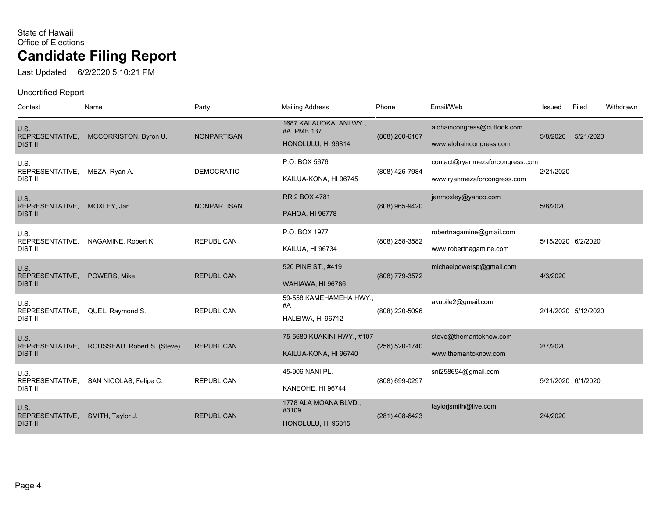Last Updated: 6/2/2020 5:10:21 PM

| Contest                                   | Name                        | Party              | <b>Mailing Address</b>                                      | Phone          | Email/Web                                                      | Issued             | Filed               | Withdrawn |
|-------------------------------------------|-----------------------------|--------------------|-------------------------------------------------------------|----------------|----------------------------------------------------------------|--------------------|---------------------|-----------|
| U.S.<br>REPRESENTATIVE,<br><b>DIST II</b> | MCCORRISTON, Byron U.       | <b>NONPARTISAN</b> | 1687 KALAUOKALANI WY.,<br>#A, PMB 137<br>HONOLULU, HI 96814 | (808) 200-6107 | alohaincongress@outlook.com<br>www.alohaincongress.com         | 5/8/2020           | 5/21/2020           |           |
| U.S.<br>REPRESENTATIVE,<br><b>DIST II</b> | MEZA, Ryan A.               | <b>DEMOCRATIC</b>  | P.O. BOX 5676<br>KAILUA-KONA, HI 96745                      | (808) 426-7984 | contact@ryanmezaforcongress.com<br>www.ryanmezaforcongress.com | 2/21/2020          |                     |           |
| U.S.<br>REPRESENTATIVE,<br><b>DIST II</b> | MOXLEY, Jan                 | <b>NONPARTISAN</b> | RR 2 BOX 4781<br>PAHOA, HI 96778                            | (808) 965-9420 | janmoxley@yahoo.com                                            | 5/8/2020           |                     |           |
| U.S.<br>REPRESENTATIVE,<br><b>DIST II</b> | NAGAMINE, Robert K.         | <b>REPUBLICAN</b>  | P.O. BOX 1977<br>KAILUA, HI 96734                           | (808) 258-3582 | robertnagamine@gmail.com<br>www.robertnagamine.com             | 5/15/2020 6/2/2020 |                     |           |
| U.S.<br>REPRESENTATIVE,<br><b>DIST II</b> | POWERS, Mike                | <b>REPUBLICAN</b>  | 520 PINE ST., #419<br>WAHIAWA, HI 96786                     | (808) 779-3572 | michaelpowersp@gmail.com                                       | 4/3/2020           |                     |           |
| U.S.<br>REPRESENTATIVE,<br><b>DIST II</b> | QUEL, Raymond S.            | <b>REPUBLICAN</b>  | 59-558 KAMEHAMEHA HWY.,<br>#A<br>HALEIWA, HI 96712          | (808) 220-5096 | akupile2@gmail.com                                             |                    | 2/14/2020 5/12/2020 |           |
| U.S.<br>REPRESENTATIVE,<br><b>DIST II</b> | ROUSSEAU, Robert S. (Steve) | <b>REPUBLICAN</b>  | 75-5680 KUAKINI HWY., #107<br>KAILUA-KONA, HI 96740         | (256) 520-1740 | steve@themantoknow.com<br>www.themantoknow.com                 | 2/7/2020           |                     |           |
| U.S.<br>REPRESENTATIVE,<br><b>DIST II</b> | SAN NICOLAS, Felipe C.      | <b>REPUBLICAN</b>  | 45-906 NANI PL.<br>KANEOHE, HI 96744                        | (808) 699-0297 | sni258694@gmail.com                                            | 5/21/2020 6/1/2020 |                     |           |
| U.S.<br>REPRESENTATIVE,<br><b>DIST II</b> | SMITH, Taylor J.            | <b>REPUBLICAN</b>  | 1778 ALA MOANA BLVD.,<br>#3109<br>HONOLULU, HI 96815        | (281) 408-6423 | taylorjsmith@live.com                                          | 2/4/2020           |                     |           |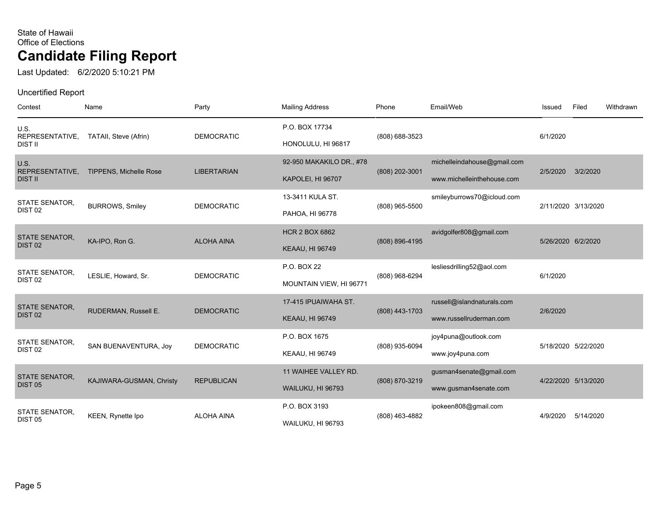Last Updated: 6/2/2020 5:10:21 PM

| Contest                                     | Name                          | Party              | <b>Mailing Address</b>                         | Phone          | Email/Web                                             | Issued             | Filed               | Withdrawn |
|---------------------------------------------|-------------------------------|--------------------|------------------------------------------------|----------------|-------------------------------------------------------|--------------------|---------------------|-----------|
| U.S.<br>REPRESENTATIVE,                     | TATAII, Steve (Afrin)         | <b>DEMOCRATIC</b>  | P.O. BOX 17734                                 | (808) 688-3523 |                                                       | 6/1/2020           |                     |           |
| DIST II<br>U.S.                             |                               |                    | HONOLULU, HI 96817<br>92-950 MAKAKILO DR., #78 |                | michelleindahouse@gmail.com                           |                    |                     |           |
| REPRESENTATIVE,<br><b>DIST II</b>           | <b>TIPPENS, Michelle Rose</b> | <b>LIBERTARIAN</b> | KAPOLEI, HI 96707                              | (808) 202-3001 | www.michelleinthehouse.com                            | 2/5/2020           | 3/2/2020            |           |
| <b>STATE SENATOR,</b><br>DIST <sub>02</sub> | <b>BURROWS, Smiley</b>        | <b>DEMOCRATIC</b>  | 13-3411 KULA ST.                               | (808) 965-5500 | smileyburrows70@icloud.com                            |                    | 2/11/2020 3/13/2020 |           |
|                                             |                               |                    | PAHOA, HI 96778<br><b>HCR 2 BOX 6862</b>       |                | avidgolfer808@gmail.com                               |                    |                     |           |
| <b>STATE SENATOR,</b><br>DIST <sub>02</sub> | KA-IPO, Ron G.                | <b>ALOHA AINA</b>  | <b>KEAAU, HI 96749</b>                         | (808) 896-4195 |                                                       | 5/26/2020 6/2/2020 |                     |           |
| <b>STATE SENATOR,</b>                       | LESLIE, Howard, Sr.           | <b>DEMOCRATIC</b>  | P.O. BOX 22                                    | (808) 968-6294 | lesliesdrilling52@aol.com                             | 6/1/2020           |                     |           |
| DIST <sub>02</sub>                          |                               |                    | MOUNTAIN VIEW, HI 96771                        |                |                                                       |                    |                     |           |
| <b>STATE SENATOR,</b><br>DIST <sub>02</sub> | RUDERMAN, Russell E.          | <b>DEMOCRATIC</b>  | 17-415 IPUAIWAHA ST.<br><b>KEAAU, HI 96749</b> | (808) 443-1703 | russell@islandnaturals.com<br>www.russellruderman.com | 2/6/2020           |                     |           |
| <b>STATE SENATOR,</b><br>DIST <sub>02</sub> | SAN BUENAVENTURA, Joy         | <b>DEMOCRATIC</b>  | P.O. BOX 1675                                  | (808) 935-6094 | joy4puna@outlook.com                                  |                    | 5/18/2020 5/22/2020 |           |
|                                             |                               |                    | <b>KEAAU, HI 96749</b>                         |                | www.joy4puna.com                                      |                    |                     |           |
| <b>STATE SENATOR,</b><br><b>DIST 05</b>     | KAJIWARA-GUSMAN, Christy      | <b>REPUBLICAN</b>  | 11 WAIHEE VALLEY RD.<br>WAILUKU, HI 96793      | (808) 870-3219 | gusman4senate@gmail.com<br>www.gusman4senate.com      |                    | 4/22/2020 5/13/2020 |           |
| <b>STATE SENATOR.</b><br><b>DIST 05</b>     | KEEN, Rynette Ipo             | <b>ALOHA AINA</b>  | P.O. BOX 3193<br>WAILUKU, HI 96793             | (808) 463-4882 | ipokeen808@gmail.com                                  | 4/9/2020           | 5/14/2020           |           |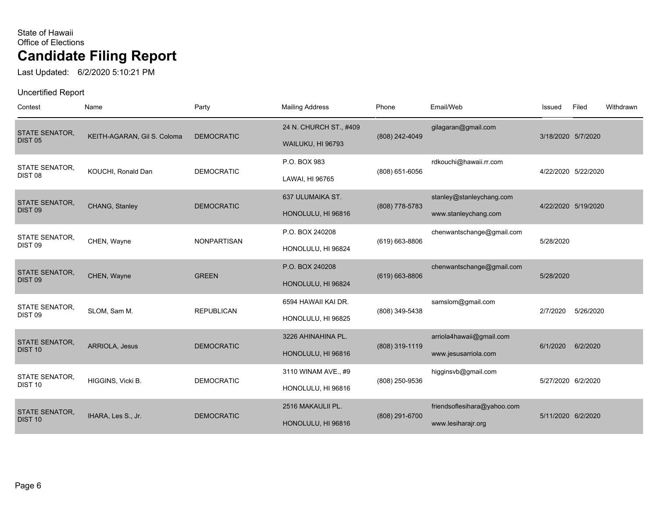Last Updated: 6/2/2020 5:10:21 PM

| Contest                                     | Name                        | Party              | <b>Mailing Address</b>                      | Phone              | Email/Web                                         | Issued             | Filed               | Withdrawn |
|---------------------------------------------|-----------------------------|--------------------|---------------------------------------------|--------------------|---------------------------------------------------|--------------------|---------------------|-----------|
| <b>STATE SENATOR,</b><br><b>DIST 05</b>     | KEITH-AGARAN, Gil S. Coloma | <b>DEMOCRATIC</b>  | 24 N. CHURCH ST., #409<br>WAILUKU, HI 96793 | (808) 242-4049     | gilagaran@gmail.com                               | 3/18/2020 5/7/2020 |                     |           |
| <b>STATE SENATOR.</b><br>DIST <sub>08</sub> | KOUCHI, Ronald Dan          | <b>DEMOCRATIC</b>  | P.O. BOX 983<br>LAWAI, HI 96765             | (808) 651-6056     | rdkouchi@hawaii.rr.com                            |                    | 4/22/2020 5/22/2020 |           |
| STATE SENATOR,<br>DIST <sub>09</sub>        | CHANG, Stanley              | <b>DEMOCRATIC</b>  | 637 ULUMAIKA ST.<br>HONOLULU, HI 96816      | (808) 778-5783     | stanley@stanleychang.com<br>www.stanleychang.com  |                    | 4/22/2020 5/19/2020 |           |
| <b>STATE SENATOR,</b><br>DIST <sub>09</sub> | CHEN, Wayne                 | <b>NONPARTISAN</b> | P.O. BOX 240208<br>HONOLULU, HI 96824       | (619) 663-8806     | chenwantschange@gmail.com                         | 5/28/2020          |                     |           |
| <b>STATE SENATOR,</b><br>DIST <sub>09</sub> | CHEN, Wayne                 | <b>GREEN</b>       | P.O. BOX 240208<br>HONOLULU, HI 96824       | $(619) 663 - 8806$ | chenwantschange@gmail.com                         | 5/28/2020          |                     |           |
| STATE SENATOR,<br>DIST <sub>09</sub>        | SLOM, Sam M.                | <b>REPUBLICAN</b>  | 6594 HAWAII KAI DR.<br>HONOLULU, HI 96825   | (808) 349-5438     | samslom@gmail.com                                 | 2/7/2020           | 5/26/2020           |           |
| <b>STATE SENATOR,</b><br>DIST <sub>10</sub> | <b>ARRIOLA, Jesus</b>       | <b>DEMOCRATIC</b>  | 3226 AHINAHINA PL.<br>HONOLULU, HI 96816    | (808) 319-1119     | arriola4hawaii@gmail.com<br>www.jesusarriola.com  | 6/1/2020           | 6/2/2020            |           |
| <b>STATE SENATOR,</b><br>DIST <sub>10</sub> | HIGGINS, Vicki B.           | <b>DEMOCRATIC</b>  | 3110 WINAM AVE., #9<br>HONOLULU, HI 96816   | (808) 250-9536     | higginsvb@gmail.com                               | 5/27/2020 6/2/2020 |                     |           |
| <b>STATE SENATOR,</b><br>DIST <sub>10</sub> | IHARA, Les S., Jr.          | <b>DEMOCRATIC</b>  | 2516 MAKAULII PL.<br>HONOLULU, HI 96816     | (808) 291-6700     | friendsoflesihara@yahoo.com<br>www.lesiharajr.org | 5/11/2020 6/2/2020 |                     |           |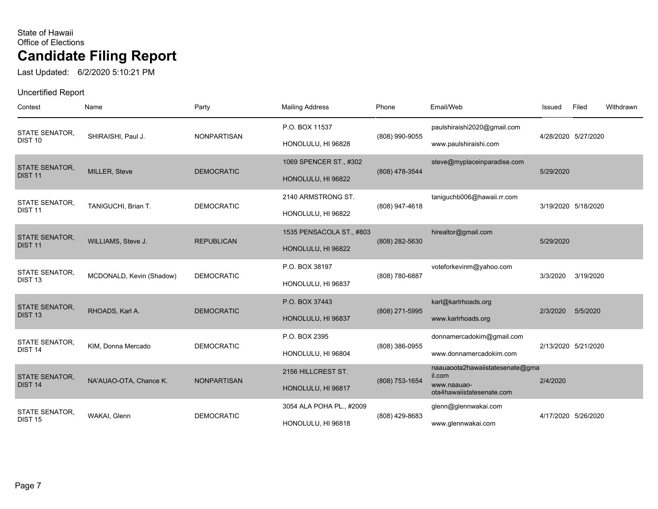Last Updated: 6/2/2020 5:10:21 PM

| Contest                                     | Name                     | Party              | <b>Mailing Address</b>                         | Phone          | Email/Web                                                                             | Issued    | Filed               | Withdrawn |
|---------------------------------------------|--------------------------|--------------------|------------------------------------------------|----------------|---------------------------------------------------------------------------------------|-----------|---------------------|-----------|
| <b>STATE SENATOR,</b><br>DIST <sub>10</sub> | SHIRAISHI, Paul J.       | <b>NONPARTISAN</b> | P.O. BOX 11537<br>HONOLULU, HI 96828           | (808) 990-9055 | paulshiraishi2020@gmail.com<br>www.paulshiraishi.com                                  |           | 4/28/2020 5/27/2020 |           |
| <b>STATE SENATOR,</b><br><b>DIST 11</b>     | <b>MILLER, Steve</b>     | <b>DEMOCRATIC</b>  | 1069 SPENCER ST., #302<br>HONOLULU, HI 96822   | (808) 478-3544 | steve@myplaceinparadise.com                                                           | 5/29/2020 |                     |           |
| STATE SENATOR,<br><b>DIST 11</b>            | TANIGUCHI, Brian T.      | <b>DEMOCRATIC</b>  | 2140 ARMSTRONG ST.<br>HONOLULU, HI 96822       | (808) 947-4618 | taniguchb006@hawaii.rr.com                                                            |           | 3/19/2020 5/18/2020 |           |
| <b>STATE SENATOR.</b><br><b>DIST 11</b>     | WILLIAMS, Steve J.       | <b>REPUBLICAN</b>  | 1535 PENSACOLA ST., #803<br>HONOLULU, HI 96822 | (808) 282-5630 | hirealtor@gmail.com                                                                   | 5/29/2020 |                     |           |
| STATE SENATOR,<br>DIST <sub>13</sub>        | MCDONALD, Kevin (Shadow) | <b>DEMOCRATIC</b>  | P.O. BOX 38197<br>HONOLULU, HI 96837           | (808) 780-6887 | voteforkevinm@yahoo.com                                                               | 3/3/2020  | 3/19/2020           |           |
| <b>STATE SENATOR,</b><br>DIST <sub>13</sub> | RHOADS, Karl A.          | <b>DEMOCRATIC</b>  | P.O. BOX 37443<br>HONOLULU, HI 96837           | (808) 271-5995 | karl@karlrhoads.org<br>www.karlrhoads.org                                             | 2/3/2020  | 5/5/2020            |           |
| <b>STATE SENATOR,</b><br>DIST <sub>14</sub> | KIM, Donna Mercado       | <b>DEMOCRATIC</b>  | P.O. BOX 2395<br>HONOLULU, HI 96804            | (808) 386-0955 | donnamercadokim@gmail.com<br>www.donnamercadokim.com                                  |           | 2/13/2020 5/21/2020 |           |
| <b>STATE SENATOR,</b><br>DIST <sub>14</sub> | NA'AUAO-OTA, Chance K.   | <b>NONPARTISAN</b> | 2156 HILLCREST ST.<br>HONOLULU, HI 96817       | (808) 753-1654 | naauaoota2hawaiistatesenate@gma<br>il.com<br>www.naauao-<br>ota4hawaiistatesenate.com | 2/4/2020  |                     |           |
| STATE SENATOR,<br><b>DIST 15</b>            | WAKAI, Glenn             | <b>DEMOCRATIC</b>  | 3054 ALA POHA PL., #2009<br>HONOLULU, HI 96818 | (808) 429-8683 | glenn@glennwakai.com<br>www.glennwakai.com                                            |           | 4/17/2020 5/26/2020 |           |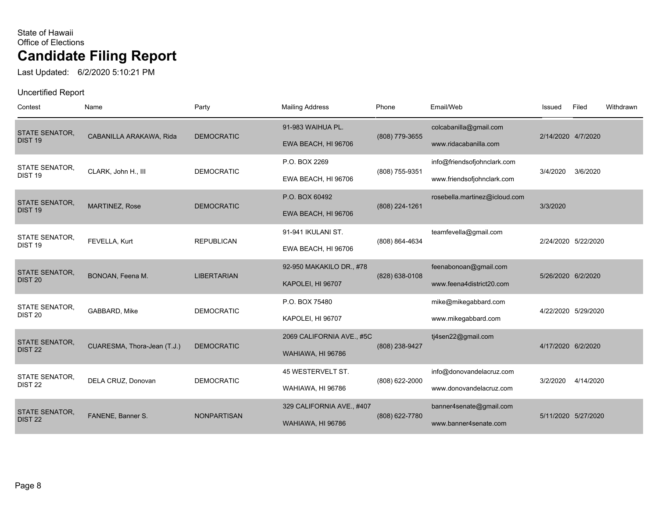Last Updated: 6/2/2020 5:10:21 PM

| Contest                                     | Name                        | Party              | <b>Mailing Address</b>                         | Phone          | Email/Web                                                 | Issued              | Filed     | Withdrawn |
|---------------------------------------------|-----------------------------|--------------------|------------------------------------------------|----------------|-----------------------------------------------------------|---------------------|-----------|-----------|
| <b>STATE SENATOR.</b><br>DIST <sub>19</sub> | CABANILLA ARAKAWA, Rida     | <b>DEMOCRATIC</b>  | 91-983 WAIHUA PL.<br>EWA BEACH, HI 96706       | (808) 779-3655 | colcabanilla@gmail.com<br>www.ridacabanilla.com           | 2/14/2020 4/7/2020  |           |           |
| <b>STATE SENATOR,</b><br>DIST <sub>19</sub> | CLARK, John H., III         | <b>DEMOCRATIC</b>  | P.O. BOX 2269<br>EWA BEACH, HI 96706           | (808) 755-9351 | info@friendsofjohnclark.com<br>www.friendsofjohnclark.com | 3/4/2020            | 3/6/2020  |           |
| <b>STATE SENATOR,</b><br>DIST <sub>19</sub> | MARTINEZ, Rose              | <b>DEMOCRATIC</b>  | P.O. BOX 60492<br>EWA BEACH, HI 96706          | (808) 224-1261 | rosebella.martinez@icloud.com                             | 3/3/2020            |           |           |
| <b>STATE SENATOR,</b><br>DIST <sub>19</sub> | FEVELLA, Kurt               | <b>REPUBLICAN</b>  | 91-941 IKULANI ST.<br>EWA BEACH, HI 96706      | (808) 864-4634 | teamfevella@gmail.com                                     | 2/24/2020 5/22/2020 |           |           |
| <b>STATE SENATOR,</b><br>DIST <sub>20</sub> | BONOAN, Feena M.            | <b>LIBERTARIAN</b> | 92-950 MAKAKILO DR., #78<br>KAPOLEI, HI 96707  | (828) 638-0108 | feenabonoan@gmail.com<br>www.feena4district20.com         | 5/26/2020 6/2/2020  |           |           |
| STATE SENATOR,<br>DIST <sub>20</sub>        | GABBARD, Mike               | <b>DEMOCRATIC</b>  | P.O. BOX 75480<br>KAPOLEI, HI 96707            |                | mike@mikegabbard.com<br>www.mikegabbard.com               | 4/22/2020 5/29/2020 |           |           |
| <b>STATE SENATOR.</b><br>DIST <sub>22</sub> | CUARESMA, Thora-Jean (T.J.) | <b>DEMOCRATIC</b>  | 2069 CALIFORNIA AVE., #5C<br>WAHIAWA, HI 96786 | (808) 238-9427 | tj4sen22@gmail.com                                        | 4/17/2020 6/2/2020  |           |           |
| <b>STATE SENATOR,</b><br>DIST <sub>22</sub> | DELA CRUZ, Donovan          | <b>DEMOCRATIC</b>  | 45 WESTERVELT ST.<br><b>WAHIAWA, HI 96786</b>  | (808) 622-2000 | info@donovandelacruz.com<br>www.donovandelacruz.com       | 3/2/2020            | 4/14/2020 |           |
| <b>STATE SENATOR,</b><br>DIST <sub>22</sub> | FANENE, Banner S.           | <b>NONPARTISAN</b> | 329 CALIFORNIA AVE., #407<br>WAHIAWA, HI 96786 | (808) 622-7780 | banner4senate@gmail.com<br>www.banner4senate.com          | 5/11/2020 5/27/2020 |           |           |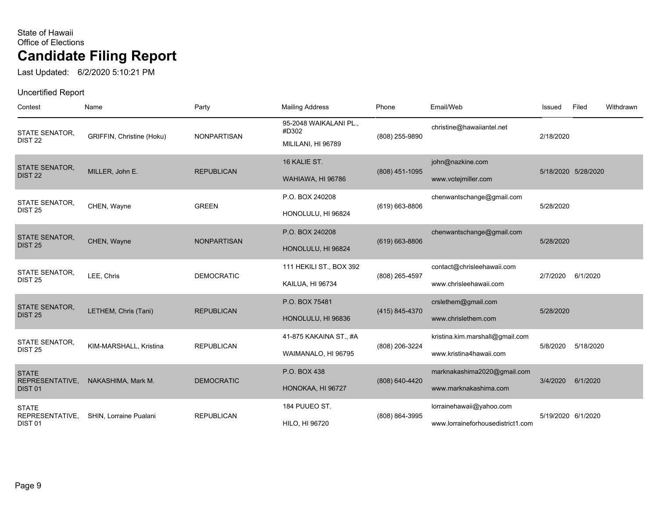Last Updated: 6/2/2020 5:10:21 PM

| Contest                                               | Name                      | Party              | <b>Mailing Address</b>                                | Phone              | Email/Web                                                     | Issued             | Filed               | Withdrawn |
|-------------------------------------------------------|---------------------------|--------------------|-------------------------------------------------------|--------------------|---------------------------------------------------------------|--------------------|---------------------|-----------|
| <b>STATE SENATOR,</b><br>DIST <sub>22</sub>           | GRIFFIN, Christine (Hoku) | <b>NONPARTISAN</b> | 95-2048 WAIKALANI PL.,<br>#D302<br>MILILANI, HI 96789 | (808) 255-9890     | christine@hawaiiantel.net                                     | 2/18/2020          |                     |           |
| STATE SENATOR,<br>DIST <sub>22</sub>                  | MILLER, John E.           | <b>REPUBLICAN</b>  | 16 KALIE ST.<br>WAHIAWA, HI 96786                     | (808) 451-1095     | john@nazkine.com<br>www.votejmiller.com                       |                    | 5/18/2020 5/28/2020 |           |
| <b>STATE SENATOR,</b><br><b>DIST 25</b>               | CHEN, Wayne               | <b>GREEN</b>       | P.O. BOX 240208<br>HONOLULU, HI 96824                 | (619) 663-8806     | chenwantschange@gmail.com                                     | 5/28/2020          |                     |           |
| <b>STATE SENATOR,</b><br><b>DIST 25</b>               | CHEN, Wayne               | <b>NONPARTISAN</b> | P.O. BOX 240208<br>HONOLULU, HI 96824                 | $(619) 663 - 8806$ | chenwantschange@gmail.com                                     | 5/28/2020          |                     |           |
| STATE SENATOR,<br><b>DIST 25</b>                      | LEE, Chris                | <b>DEMOCRATIC</b>  | 111 HEKILI ST., BOX 392<br>KAILUA, HI 96734           | (808) 265-4597     | contact@chrisleehawaii.com<br>www.chrisleehawaii.com          | 2/7/2020           | 6/1/2020            |           |
| <b>STATE SENATOR,</b><br><b>DIST 25</b>               | LETHEM, Chris (Tani)      | <b>REPUBLICAN</b>  | P.O. BOX 75481<br>HONOLULU, HI 96836                  | (415) 845-4370     | crslethem@gmail.com<br>www.chrislethem.com                    | 5/28/2020          |                     |           |
| STATE SENATOR,<br><b>DIST 25</b>                      | KIM-MARSHALL, Kristina    | <b>REPUBLICAN</b>  | 41-875 KAKAINA ST., #A<br>WAIMANALO, HI 96795         | (808) 206-3224     | kristina.kim.marshall@gmail.com<br>www.kristina4hawaii.com    | 5/8/2020           | 5/18/2020           |           |
| <b>STATE</b><br>REPRESENTATIVE,<br>DIST <sub>01</sub> | NAKASHIMA, Mark M.        | <b>DEMOCRATIC</b>  | P.O. BOX 438<br>HONOKAA, HI 96727                     | (808) 640-4420     | marknakashima2020@gmail.com<br>www.marknakashima.com          | 3/4/2020           | 6/1/2020            |           |
| <b>STATE</b><br>REPRESENTATIVE,<br>DIST <sub>01</sub> | SHIN. Lorraine Pualani    | <b>REPUBLICAN</b>  | 184 PUUEO ST.<br><b>HILO, HI 96720</b>                | (808) 864-3995     | lorrainehawaii@yahoo.com<br>www.lorraineforhousedistrict1.com | 5/19/2020 6/1/2020 |                     |           |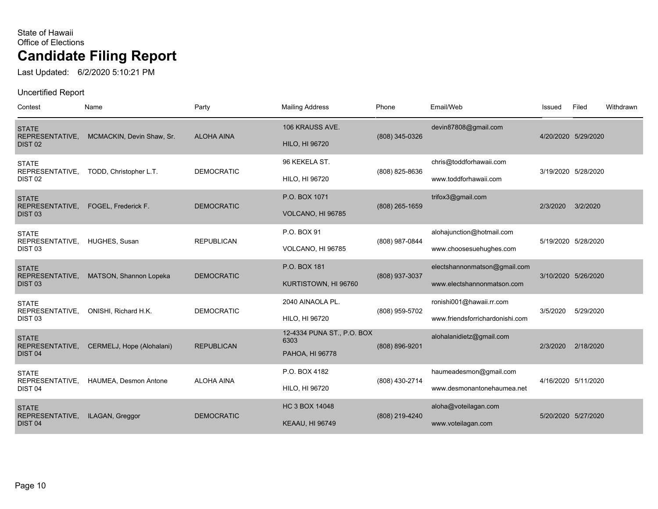Last Updated: 6/2/2020 5:10:21 PM

| Contest                                               | Name                      | Party             | <b>Mailing Address</b>                                | Phone          | Email/Web                                                   | Issued   | Filed               | Withdrawn |
|-------------------------------------------------------|---------------------------|-------------------|-------------------------------------------------------|----------------|-------------------------------------------------------------|----------|---------------------|-----------|
| <b>STATE</b><br>REPRESENTATIVE,<br>DIST <sub>02</sub> | MCMACKIN, Devin Shaw, Sr. | <b>ALOHA AINA</b> | 106 KRAUSS AVE.<br><b>HILO, HI 96720</b>              | (808) 345-0326 | devin87808@gmail.com                                        |          | 4/20/2020 5/29/2020 |           |
| <b>STATE</b><br>REPRESENTATIVE,<br>DIST <sub>02</sub> | TODD, Christopher L.T.    | <b>DEMOCRATIC</b> | 96 KEKELA ST.<br><b>HILO, HI 96720</b>                | (808) 825-8636 | chris@toddforhawaii.com<br>www.toddforhawaii.com            |          | 3/19/2020 5/28/2020 |           |
| <b>STATE</b><br>REPRESENTATIVE,<br>DIST <sub>03</sub> | FOGEL, Frederick F.       | <b>DEMOCRATIC</b> | P.O. BOX 1071<br>VOLCANO, HI 96785                    | (808) 265-1659 | trifox3@gmail.com                                           | 2/3/2020 | 3/2/2020            |           |
| <b>STATE</b><br>REPRESENTATIVE,<br>DIST <sub>03</sub> | HUGHES, Susan             | <b>REPUBLICAN</b> | P.O. BOX 91<br>VOLCANO, HI 96785                      | (808) 987-0844 | alohajunction@hotmail.com<br>www.choosesuehughes.com        |          | 5/19/2020 5/28/2020 |           |
| <b>STATE</b><br>REPRESENTATIVE,<br>DIST <sub>03</sub> | MATSON, Shannon Lopeka    | <b>DEMOCRATIC</b> | P.O. BOX 181<br>KURTISTOWN, HI 96760                  | (808) 937-3037 | electshannonmatson@gmail.com<br>www.electshannonmatson.com  |          | 3/10/2020 5/26/2020 |           |
| <b>STATE</b><br>REPRESENTATIVE,<br>DIST <sub>03</sub> | ONISHI, Richard H.K.      | <b>DEMOCRATIC</b> | 2040 AINAOLA PL.<br>HILO, HI 96720                    | (808) 959-5702 | ronishi001@hawaii.rr.com<br>www.friendsforrichardonishi.com | 3/5/2020 | 5/29/2020           |           |
| <b>STATE</b><br>REPRESENTATIVE,<br>DIST <sub>04</sub> | CERMELJ, Hope (Alohalani) | <b>REPUBLICAN</b> | 12-4334 PUNA ST., P.O. BOX<br>6303<br>PAHOA, HI 96778 | (808) 896-9201 | alohalanidietz@gmail.com                                    | 2/3/2020 | 2/18/2020           |           |
| <b>STATE</b><br>REPRESENTATIVE,<br>DIST <sub>04</sub> | HAUMEA, Desmon Antone     | <b>ALOHA AINA</b> | P.O. BOX 4182<br><b>HILO, HI 96720</b>                | (808) 430-2714 | haumeadesmon@gmail.com<br>www.desmonantonehaumea.net        |          | 4/16/2020 5/11/2020 |           |
| <b>STATE</b><br>REPRESENTATIVE,<br>DIST <sub>04</sub> | ILAGAN, Greggor           | <b>DEMOCRATIC</b> | <b>HC 3 BOX 14048</b><br><b>KEAAU, HI 96749</b>       | (808) 219-4240 | aloha@voteilagan.com<br>www.voteilagan.com                  |          | 5/20/2020 5/27/2020 |           |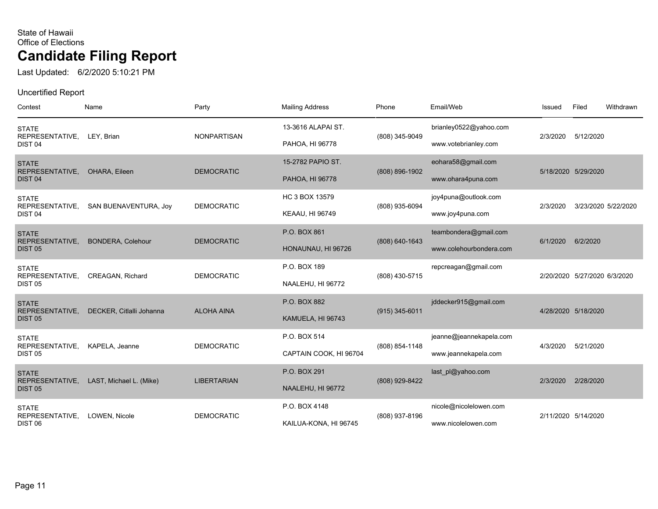Last Updated: 6/2/2020 5:10:21 PM

| Contest                               | Name                     | Party              | <b>Mailing Address</b> | Phone            | Email/Web               | Issued              | Filed                        | Withdrawn |
|---------------------------------------|--------------------------|--------------------|------------------------|------------------|-------------------------|---------------------|------------------------------|-----------|
| <b>STATE</b>                          |                          |                    | 13-3616 ALAPAI ST.     |                  | brianley0522@yahoo.com  |                     |                              |           |
| REPRESENTATIVE,<br>DIST <sub>04</sub> | LEY, Brian               | <b>NONPARTISAN</b> | PAHOA, HI 96778        | (808) 345-9049   | www.votebrianley.com    | 2/3/2020            | 5/12/2020                    |           |
| <b>STATE</b><br>REPRESENTATIVE,       | OHARA, Eileen            | <b>DEMOCRATIC</b>  | 15-2782 PAPIO ST.      | (808) 896-1902   | eohara58@gmail.com      |                     | 5/18/2020 5/29/2020          |           |
| DIST <sub>04</sub>                    |                          |                    | PAHOA, HI 96778        |                  | www.ohara4puna.com      |                     |                              |           |
| <b>STATE</b><br>REPRESENTATIVE,       | SAN BUENAVENTURA, Joy    | <b>DEMOCRATIC</b>  | HC 3 BOX 13579         | (808) 935-6094   | joy4puna@outlook.com    | 2/3/2020            | 3/23/2020 5/22/2020          |           |
| DIST <sub>04</sub>                    |                          |                    | <b>KEAAU, HI 96749</b> |                  | www.joy4puna.com        |                     |                              |           |
| <b>STATE</b><br>REPRESENTATIVE,       | <b>BONDERA, Colehour</b> | <b>DEMOCRATIC</b>  | P.O. BOX 861           | (808) 640-1643   | teambondera@gmail.com   | 6/1/2020            | 6/2/2020                     |           |
| <b>DIST 05</b>                        |                          |                    | HONAUNAU, HI 96726     |                  | www.colehourbondera.com |                     |                              |           |
| <b>STATE</b><br>REPRESENTATIVE,       | <b>CREAGAN, Richard</b>  | <b>DEMOCRATIC</b>  | P.O. BOX 189           | (808) 430-5715   | repcreagan@gmail.com    |                     | 2/20/2020 5/27/2020 6/3/2020 |           |
| <b>DIST 05</b>                        |                          |                    | NAALEHU, HI 96772      |                  |                         |                     |                              |           |
| <b>STATE</b><br>REPRESENTATIVE,       | DECKER, Citlalli Johanna | <b>ALOHA AINA</b>  | P.O. BOX 882           | $(915)$ 345-6011 | jddecker915@gmail.com   |                     | 4/28/2020 5/18/2020          |           |
| <b>DIST 05</b>                        |                          |                    | KAMUELA, HI 96743      |                  |                         |                     |                              |           |
| <b>STATE</b><br>REPRESENTATIVE,       | KAPELA, Jeanne           | <b>DEMOCRATIC</b>  | P.O. BOX 514           | (808) 854-1148   | jeanne@jeannekapela.com | 4/3/2020            | 5/21/2020                    |           |
| <b>DIST 05</b>                        |                          |                    | CAPTAIN COOK, HI 96704 |                  | www.jeannekapela.com    |                     |                              |           |
| <b>STATE</b><br>REPRESENTATIVE,       | LAST, Michael L. (Mike)  | <b>LIBERTARIAN</b> | P.O. BOX 291           | (808) 929-8422   | last pl@yahoo.com       | 2/3/2020            | 2/28/2020                    |           |
| <b>DIST 05</b>                        |                          |                    | NAALEHU, HI 96772      |                  |                         |                     |                              |           |
| <b>STATE</b><br>REPRESENTATIVE,       | LOWEN, Nicole            | <b>DEMOCRATIC</b>  | P.O. BOX 4148          | (808) 937-8196   | nicole@nicolelowen.com  | 2/11/2020 5/14/2020 |                              |           |
| DIST <sub>06</sub>                    |                          |                    | KAILUA-KONA, HI 96745  |                  | www.nicolelowen.com     |                     |                              |           |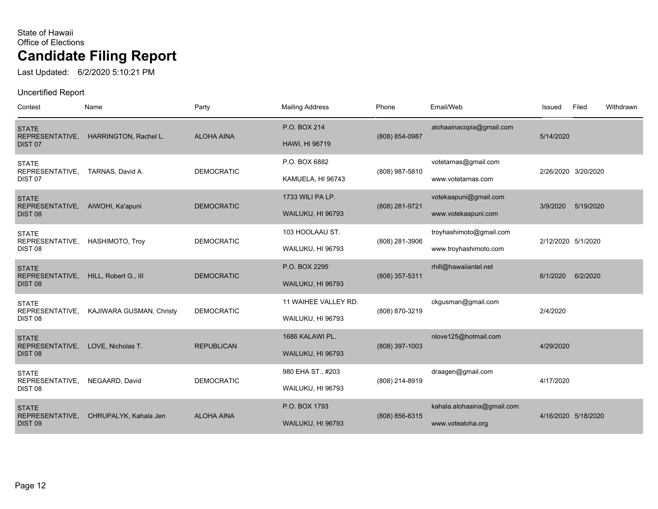Last Updated: 6/2/2020 5:10:21 PM

| Contest                               | Name                     | Party             | <b>Mailing Address</b> | Phone              | Email/Web                  | Issued             | Filed               | Withdrawn |
|---------------------------------------|--------------------------|-------------------|------------------------|--------------------|----------------------------|--------------------|---------------------|-----------|
| <b>STATE</b><br>REPRESENTATIVE,       | HARRINGTON, Rachel L.    | <b>ALOHA AINA</b> | P.O. BOX 214           | (808) 854-0987     | alohaainacopia@gmail.com   | 5/14/2020          |                     |           |
| DIST <sub>07</sub>                    |                          |                   | <b>HAWI, HI 96719</b>  |                    |                            |                    |                     |           |
| <b>STATE</b><br>REPRESENTATIVE,       | TARNAS, David A.         | <b>DEMOCRATIC</b> | P.O. BOX 6882          | (808) 987-5810     | votetarnas@gmail.com       |                    | 2/26/2020 3/20/2020 |           |
| DIST <sub>07</sub>                    |                          |                   | KAMUELA, HI 96743      |                    | www.votetarnas.com         |                    |                     |           |
| <b>STATE</b>                          |                          | <b>DEMOCRATIC</b> | 1733 WILL PA LP.       |                    | votekaapuni@gmail.com      |                    | 5/19/2020           |           |
| REPRESENTATIVE,<br>DIST <sub>08</sub> | AIWOHI, Ka'apuni         |                   | WAILUKU, HI 96793      | (808) 281-9721     | www.votekaapuni.com        | 3/9/2020           |                     |           |
| <b>STATE</b>                          |                          |                   | 103 HOOLAAU ST.        |                    | troyhashimoto@gmail.com    |                    |                     |           |
| REPRESENTATIVE,<br>DIST <sub>08</sub> | <b>HASHIMOTO, Troy</b>   | <b>DEMOCRATIC</b> | WAILUKU, HI 96793      | (808) 281-3906     | www.troyhashimoto.com      | 2/12/2020 5/1/2020 |                     |           |
| <b>STATE</b><br>REPRESENTATIVE,       | HILL, Robert G., III     | <b>DEMOCRATIC</b> | P.O. BOX 2295          | (808) 357-5311     | rhill@hawaiiantel.net      | 6/1/2020           | 6/2/2020            |           |
| DIST <sub>08</sub>                    |                          |                   | WAILUKU, HI 96793      |                    |                            |                    |                     |           |
| <b>STATE</b><br>REPRESENTATIVE,       | KAJIWARA GUSMAN, Christy | <b>DEMOCRATIC</b> | 11 WAIHEE VALLEY RD.   | (808) 870-3219     | ckgusman@gmail.com         | 2/4/2020           |                     |           |
| DIST <sub>08</sub>                    |                          |                   | WAILUKU, HI 96793      |                    |                            |                    |                     |           |
| <b>STATE</b>                          |                          |                   | 1686 KALAWI PL.        |                    | nlove125@hotmail.com       |                    |                     |           |
| REPRESENTATIVE,<br>DIST <sub>08</sub> | LOVE, Nicholas T.        | <b>REPUBLICAN</b> | WAILUKU, HI 96793      | (808) 397-1003     |                            | 4/29/2020          |                     |           |
| <b>STATE</b><br>REPRESENTATIVE,       | NEGAARD, David           | <b>DEMOCRATIC</b> | 980 EHA ST., #203      |                    | draagen@gmail.com          | 4/17/2020          |                     |           |
| DIST <sub>08</sub>                    |                          |                   | WAILUKU, HI 96793      | (808) 214-8919     |                            |                    |                     |           |
| <b>STATE</b>                          |                          |                   | P.O. BOX 1793          |                    | kahala.alohaaina@gmail.com |                    |                     |           |
| REPRESENTATIVE,<br>DIST <sub>09</sub> | CHRUPALYK, Kahala Jen    | <b>ALOHA AINA</b> | WAILUKU, HI 96793      | $(808) 856 - 6315$ | www.votealoha.org          |                    | 4/16/2020 5/18/2020 |           |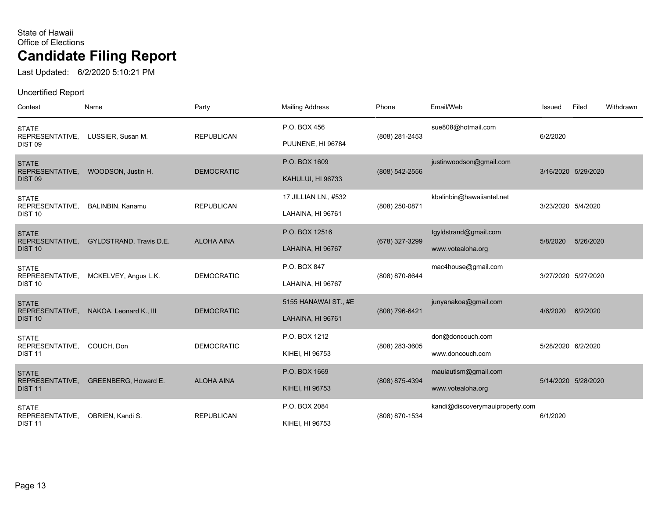Last Updated: 6/2/2020 5:10:21 PM

| Contest                               | Name                    | Party             | <b>Mailing Address</b> | Phone          | Email/Web                       | Issued             | Filed               | Withdrawn |
|---------------------------------------|-------------------------|-------------------|------------------------|----------------|---------------------------------|--------------------|---------------------|-----------|
| <b>STATE</b>                          |                         |                   | P.O. BOX 456           |                | sue808@hotmail.com              |                    |                     |           |
| REPRESENTATIVE,<br>DIST <sub>09</sub> | LUSSIER, Susan M.       | <b>REPUBLICAN</b> | PUUNENE, HI 96784      | (808) 281-2453 |                                 | 6/2/2020           |                     |           |
| <b>STATE</b><br>REPRESENTATIVE,       | WOODSON, Justin H.      | <b>DEMOCRATIC</b> | P.O. BOX 1609          | (808) 542-2556 | justinwoodson@gmail.com         |                    | 3/16/2020 5/29/2020 |           |
| DIST <sub>09</sub>                    |                         |                   | KAHULUI, HI 96733      |                |                                 |                    |                     |           |
| <b>STATE</b><br>REPRESENTATIVE,       | BALINBIN, Kanamu        | <b>REPUBLICAN</b> | 17 JILLIAN LN., #532   | (808) 250-0871 | kbalinbin@hawaiiantel.net       | 3/23/2020 5/4/2020 |                     |           |
| <b>DIST 10</b>                        |                         |                   | LAHAINA, HI 96761      |                |                                 |                    |                     |           |
| <b>STATE</b><br>REPRESENTATIVE,       | GYLDSTRAND, Travis D.E. | <b>ALOHA AINA</b> | P.O. BOX 12516         | (678) 327-3299 | tgyldstrand@gmail.com           | 5/8/2020           | 5/26/2020           |           |
| <b>DIST 10</b>                        |                         |                   | LAHAINA, HI 96767      |                | www.votealoha.org               |                    |                     |           |
| <b>STATE</b><br>REPRESENTATIVE,       | MCKELVEY, Angus L.K.    | <b>DEMOCRATIC</b> | P.O. BOX 847           | (808) 870-8644 | mac4house@gmail.com             |                    | 3/27/2020 5/27/2020 |           |
| DIST <sub>10</sub>                    |                         |                   | LAHAINA, HI 96767      |                |                                 |                    |                     |           |
| <b>STATE</b><br>REPRESENTATIVE,       | NAKOA, Leonard K., III  | <b>DEMOCRATIC</b> | 5155 HANAWAI ST., #E   | (808) 796-6421 | junyanakoa@gmail.com            | 4/6/2020           | 6/2/2020            |           |
| DIST <sub>10</sub>                    |                         |                   | LAHAINA, HI 96761      |                |                                 |                    |                     |           |
| <b>STATE</b><br>REPRESENTATIVE,       | COUCH, Don              | <b>DEMOCRATIC</b> | P.O. BOX 1212          | (808) 283-3605 | don@doncouch.com                | 5/28/2020 6/2/2020 |                     |           |
| <b>DIST 11</b>                        |                         |                   | KIHEI, HI 96753        |                | www.doncouch.com                |                    |                     |           |
| <b>STATE</b><br>REPRESENTATIVE,       | GREENBERG, Howard E.    | <b>ALOHA AINA</b> | P.O. BOX 1669          | (808) 875-4394 | mauiautism@gmail.com            |                    | 5/14/2020 5/28/2020 |           |
| DIST <sub>11</sub>                    |                         |                   | KIHEI, HI 96753        |                | www.votealoha.org               |                    |                     |           |
| <b>STATE</b><br>REPRESENTATIVE,       | OBRIEN, Kandi S.        | <b>REPUBLICAN</b> | P.O. BOX 2084          | (808) 870-1534 | kandi@discoverymauiproperty.com | 6/1/2020           |                     |           |
| <b>DIST 11</b>                        |                         |                   | KIHEI, HI 96753        |                |                                 |                    |                     |           |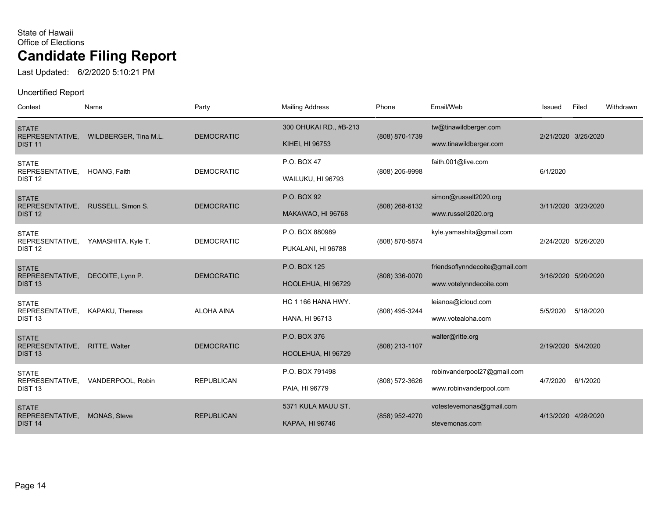Last Updated: 6/2/2020 5:10:21 PM

| Contest                                               | Name                  | Party             | <b>Mailing Address</b>                    | Phone          | Email/Web                                                 | Issued             | Filed               | Withdrawn |
|-------------------------------------------------------|-----------------------|-------------------|-------------------------------------------|----------------|-----------------------------------------------------------|--------------------|---------------------|-----------|
| <b>STATE</b><br>REPRESENTATIVE,<br><b>DIST 11</b>     | WILDBERGER, Tina M.L. | <b>DEMOCRATIC</b> | 300 OHUKAI RD., #B-213<br>KIHEI, HI 96753 | (808) 870-1739 | tw@tinawildberger.com<br>www.tinawildberger.com           |                    | 2/21/2020 3/25/2020 |           |
| <b>STATE</b><br>REPRESENTATIVE,<br>DIST <sub>12</sub> | HOANG, Faith          | <b>DEMOCRATIC</b> | P.O. BOX 47<br>WAILUKU, HI 96793          | (808) 205-9998 | faith.001@live.com                                        | 6/1/2020           |                     |           |
| <b>STATE</b><br>REPRESENTATIVE,<br><b>DIST 12</b>     | RUSSELL, Simon S.     | <b>DEMOCRATIC</b> | P.O. BOX 92<br>MAKAWAO, HI 96768          | (808) 268-6132 | simon@russell2020.org<br>www.russell2020.org              |                    | 3/11/2020 3/23/2020 |           |
| <b>STATE</b><br>REPRESENTATIVE,<br>DIST <sub>12</sub> | YAMASHITA, Kyle T.    | <b>DEMOCRATIC</b> | P.O. BOX 880989<br>PUKALANI, HI 96788     | (808) 870-5874 | kyle.yamashita@gmail.com                                  |                    | 2/24/2020 5/26/2020 |           |
| <b>STATE</b><br>REPRESENTATIVE,<br>DIST <sub>13</sub> | DECOITE, Lynn P.      | <b>DEMOCRATIC</b> | P.O. BOX 125<br>HOOLEHUA, HI 96729        | (808) 336-0070 | friendsoflynndecoite@gmail.com<br>www.votelynndecoite.com |                    | 3/16/2020 5/20/2020 |           |
| <b>STATE</b><br>REPRESENTATIVE,<br>DIST <sub>13</sub> | KAPAKU, Theresa       | <b>ALOHA AINA</b> | HC 1 166 HANA HWY.<br>HANA, HI 96713      | (808) 495-3244 | leianoa@icloud.com<br>www.votealoha.com                   | 5/5/2020           | 5/18/2020           |           |
| <b>STATE</b><br>REPRESENTATIVE,<br>DIST <sub>13</sub> | <b>RITTE, Walter</b>  | <b>DEMOCRATIC</b> | P.O. BOX 376<br>HOOLEHUA, HI 96729        | (808) 213-1107 | walter@ritte.org                                          | 2/19/2020 5/4/2020 |                     |           |
| <b>STATE</b><br>REPRESENTATIVE,<br>DIST <sub>13</sub> | VANDERPOOL, Robin     | <b>REPUBLICAN</b> | P.O. BOX 791498<br>PAIA, HI 96779         | (808) 572-3626 | robinvanderpool27@gmail.com<br>www.robinvanderpool.com    | 4/7/2020           | 6/1/2020            |           |
| <b>STATE</b><br>REPRESENTATIVE,<br><b>DIST 14</b>     | <b>MONAS, Steve</b>   | <b>REPUBLICAN</b> | 5371 KULA MAUU ST.<br>KAPAA, HI 96746     | (858) 952-4270 | votestevemonas@gmail.com<br>stevemonas.com                |                    | 4/13/2020 4/28/2020 |           |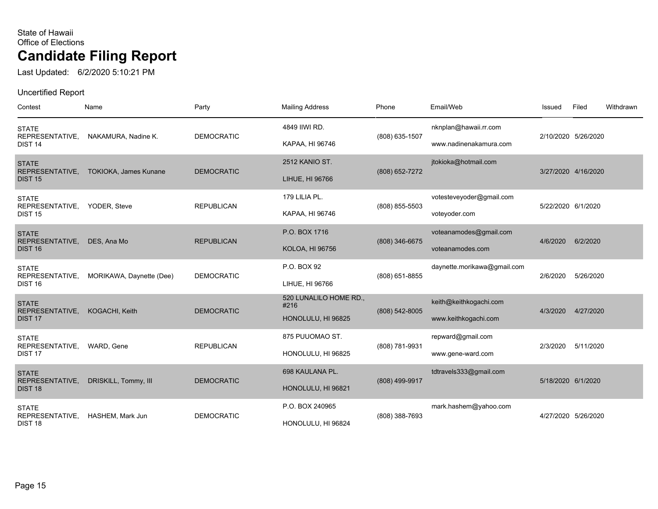Last Updated: 6/2/2020 5:10:21 PM

| Contest                                               | Name                         | Party             | <b>Mailing Address</b>                               | Phone          | Email/Web                                       | Issued             | Filed               | Withdrawn |
|-------------------------------------------------------|------------------------------|-------------------|------------------------------------------------------|----------------|-------------------------------------------------|--------------------|---------------------|-----------|
| <b>STATE</b><br>REPRESENTATIVE,<br>DIST <sub>14</sub> | NAKAMURA, Nadine K.          | <b>DEMOCRATIC</b> | 4849 IIWI RD.<br>KAPAA, HI 96746                     | (808) 635-1507 | nknplan@hawaii.rr.com<br>www.nadinenakamura.com |                    | 2/10/2020 5/26/2020 |           |
| <b>STATE</b><br>REPRESENTATIVE,<br><b>DIST 15</b>     | <b>TOKIOKA, James Kunane</b> | <b>DEMOCRATIC</b> | 2512 KANIO ST.<br>LIHUE, HI 96766                    | (808) 652-7272 | jtokioka@hotmail.com                            |                    | 3/27/2020 4/16/2020 |           |
| <b>STATE</b><br>REPRESENTATIVE,<br><b>DIST 15</b>     | YODER, Steve                 | <b>REPUBLICAN</b> | 179 LILIA PL.<br>KAPAA, HI 96746                     | (808) 855-5503 | votesteveyoder@gmail.com<br>voteyoder.com       | 5/22/2020 6/1/2020 |                     |           |
| <b>STATE</b><br>REPRESENTATIVE,<br><b>DIST 16</b>     | DES, Ana Mo                  | <b>REPUBLICAN</b> | P.O. BOX 1716<br><b>KOLOA, HI 96756</b>              | (808) 346-6675 | voteanamodes@gmail.com<br>voteanamodes.com      | 4/6/2020           | 6/2/2020            |           |
| <b>STATE</b><br>REPRESENTATIVE,<br><b>DIST 16</b>     | MORIKAWA, Daynette (Dee)     | <b>DEMOCRATIC</b> | P.O. BOX 92<br>LIHUE, HI 96766                       | (808) 651-8855 | daynette.morikawa@gmail.com                     | 2/6/2020           | 5/26/2020           |           |
| <b>STATE</b><br>REPRESENTATIVE,<br>DIST <sub>17</sub> | KOGACHI, Keith               | <b>DEMOCRATIC</b> | 520 LUNALILO HOME RD.,<br>#216<br>HONOLULU, HI 96825 | (808) 542-8005 | keith@keithkogachi.com<br>www.keithkogachi.com  | 4/3/2020           | 4/27/2020           |           |
| <b>STATE</b><br>REPRESENTATIVE,<br>DIST <sub>17</sub> | WARD, Gene                   | <b>REPUBLICAN</b> | 875 PUUOMAO ST.<br>HONOLULU, HI 96825                | (808) 781-9931 | repward@gmail.com<br>www.gene-ward.com          | 2/3/2020           | 5/11/2020           |           |
| <b>STATE</b><br>REPRESENTATIVE,<br>DIST <sub>18</sub> | DRISKILL, Tommy, III         | <b>DEMOCRATIC</b> | 698 KAULANA PL.<br>HONOLULU, HI 96821                | (808) 499-9917 | tdtravels333@gmail.com                          | 5/18/2020 6/1/2020 |                     |           |
| <b>STATE</b><br>REPRESENTATIVE,<br>DIST <sub>18</sub> | HASHEM. Mark Jun             | <b>DEMOCRATIC</b> | P.O. BOX 240965<br>HONOLULU, HI 96824                | (808) 388-7693 | mark.hashem@yahoo.com                           |                    | 4/27/2020 5/26/2020 |           |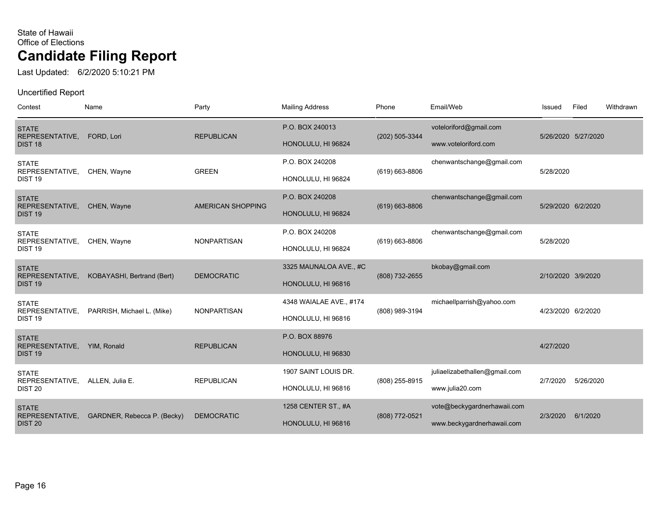Last Updated: 6/2/2020 5:10:21 PM

| Contest                                               | Name                        | Party                    | <b>Mailing Address</b>                        | Phone              | Email/Web                                                 | Issued             | Filed               | Withdrawn |
|-------------------------------------------------------|-----------------------------|--------------------------|-----------------------------------------------|--------------------|-----------------------------------------------------------|--------------------|---------------------|-----------|
| <b>STATE</b><br>REPRESENTATIVE,<br>DIST <sub>18</sub> | FORD, Lori                  | <b>REPUBLICAN</b>        | P.O. BOX 240013<br>HONOLULU, HI 96824         | (202) 505-3344     | voteloriford@gmail.com<br>www.voteloriford.com            |                    | 5/26/2020 5/27/2020 |           |
| <b>STATE</b><br>REPRESENTATIVE,<br>DIST <sub>19</sub> | CHEN, Wayne                 | <b>GREEN</b>             | P.O. BOX 240208<br>HONOLULU, HI 96824         | (619) 663-8806     | chenwantschange@gmail.com                                 | 5/28/2020          |                     |           |
| <b>STATE</b><br>REPRESENTATIVE,<br>DIST <sub>19</sub> | CHEN, Wayne                 | <b>AMERICAN SHOPPING</b> | P.O. BOX 240208<br>HONOLULU, HI 96824         | $(619) 663 - 8806$ | chenwantschange@gmail.com                                 | 5/29/2020 6/2/2020 |                     |           |
| <b>STATE</b><br>REPRESENTATIVE,<br>DIST <sub>19</sub> | CHEN, Wayne                 | <b>NONPARTISAN</b>       | P.O. BOX 240208<br>HONOLULU, HI 96824         | (619) 663-8806     | chenwantschange@gmail.com                                 | 5/28/2020          |                     |           |
| <b>STATE</b><br>REPRESENTATIVE,<br>DIST <sub>19</sub> | KOBAYASHI, Bertrand (Bert)  | <b>DEMOCRATIC</b>        | 3325 MAUNALOA AVE., #C<br>HONOLULU, HI 96816  | (808) 732-2655     | bkobay@gmail.com                                          | 2/10/2020 3/9/2020 |                     |           |
| <b>STATE</b><br>REPRESENTATIVE,<br>DIST <sub>19</sub> | PARRISH, Michael L. (Mike)  | <b>NONPARTISAN</b>       | 4348 WAIALAE AVE., #174<br>HONOLULU, HI 96816 | (808) 989-3194     | michaellparrish@yahoo.com                                 | 4/23/2020 6/2/2020 |                     |           |
| <b>STATE</b><br>REPRESENTATIVE,<br>DIST <sub>19</sub> | YIM, Ronald                 | <b>REPUBLICAN</b>        | P.O. BOX 88976<br>HONOLULU, HI 96830          |                    |                                                           | 4/27/2020          |                     |           |
| <b>STATE</b><br>REPRESENTATIVE,<br>DIST <sub>20</sub> | ALLEN, Julia E.             | <b>REPUBLICAN</b>        | 1907 SAINT LOUIS DR.<br>HONOLULU, HI 96816    | (808) 255-8915     | juliaelizabethallen@gmail.com<br>www.julia20.com          | 2/7/2020           | 5/26/2020           |           |
| <b>STATE</b><br>REPRESENTATIVE,<br><b>DIST 20</b>     | GARDNER, Rebecca P. (Becky) | <b>DEMOCRATIC</b>        | 1258 CENTER ST., #A<br>HONOLULU, HI 96816     | (808) 772-0521     | vote@beckygardnerhawaii.com<br>www.beckygardnerhawaii.com | 2/3/2020           | 6/1/2020            |           |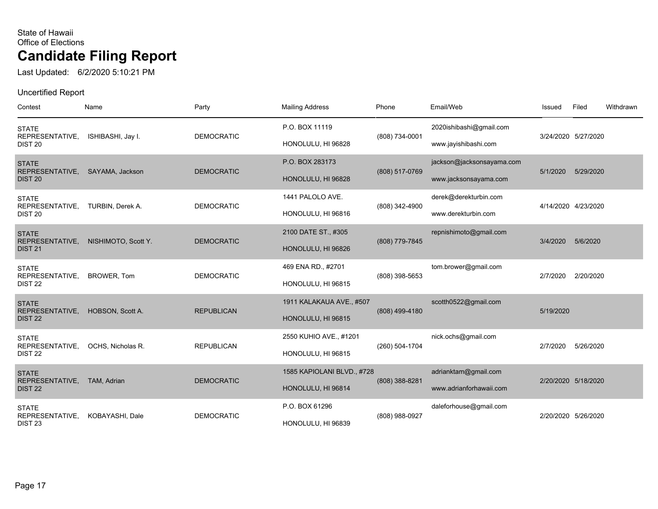Last Updated: 6/2/2020 5:10:21 PM

| Contest                               | Name                | Party             | <b>Mailing Address</b>     | Phone          | Email/Web                 | Issued    | Filed               | Withdrawn |
|---------------------------------------|---------------------|-------------------|----------------------------|----------------|---------------------------|-----------|---------------------|-----------|
| <b>STATE</b><br>REPRESENTATIVE,       | ISHIBASHI, Jay I.   | <b>DEMOCRATIC</b> | P.O. BOX 11119             | (808) 734-0001 | 2020ishibashi@gmail.com   |           | 3/24/2020 5/27/2020 |           |
| <b>DIST 20</b>                        |                     |                   | HONOLULU, HI 96828         |                | www.jayishibashi.com      |           |                     |           |
| <b>STATE</b><br>REPRESENTATIVE,       | SAYAMA, Jackson     | <b>DEMOCRATIC</b> | P.O. BOX 283173            | (808) 517-0769 | jackson@jacksonsayama.com | 5/1/2020  | 5/29/2020           |           |
| DIST <sub>20</sub>                    |                     |                   | HONOLULU, HI 96828         |                | www.jacksonsayama.com     |           |                     |           |
| <b>STATE</b><br>REPRESENTATIVE,       | TURBIN, Derek A.    | <b>DEMOCRATIC</b> | 1441 PALOLO AVE.           | (808) 342-4900 | derek@derekturbin.com     |           | 4/14/2020 4/23/2020 |           |
| <b>DIST 20</b>                        |                     |                   | HONOLULU, HI 96816         |                | www.derekturbin.com       |           |                     |           |
| <b>STATE</b>                          |                     | <b>DEMOCRATIC</b> | 2100 DATE ST., #305        |                | repnishimoto@gmail.com    | 3/4/2020  | 5/6/2020            |           |
| REPRESENTATIVE,<br><b>DIST 21</b>     | NISHIMOTO, Scott Y. |                   | HONOLULU, HI 96826         | (808) 779-7845 |                           |           |                     |           |
| <b>STATE</b><br>REPRESENTATIVE,       | BROWER, Tom         | <b>DEMOCRATIC</b> | 469 ENA RD., #2701         | (808) 398-5653 | tom.brower@gmail.com      | 2/7/2020  | 2/20/2020           |           |
| <b>DIST 22</b>                        |                     |                   | HONOLULU, HI 96815         |                |                           |           |                     |           |
| <b>STATE</b><br>REPRESENTATIVE,       | HOBSON, Scott A.    | <b>REPUBLICAN</b> | 1911 KALAKAUA AVE., #507   | (808) 499-4180 | scotth0522@gmail.com      | 5/19/2020 |                     |           |
| DIST <sub>22</sub>                    |                     |                   | HONOLULU, HI 96815         |                |                           |           |                     |           |
| <b>STATE</b><br>REPRESENTATIVE,       | OCHS, Nicholas R.   | <b>REPUBLICAN</b> | 2550 KUHIO AVE., #1201     | (260) 504-1704 | nick.ochs@gmail.com       | 2/7/2020  | 5/26/2020           |           |
| DIST <sub>22</sub>                    |                     |                   | HONOLULU, HI 96815         |                |                           |           |                     |           |
| <b>STATE</b>                          |                     | <b>DEMOCRATIC</b> | 1585 KAPIOLANI BLVD., #728 |                | adrianktam@gmail.com      |           | 2/20/2020 5/18/2020 |           |
| REPRESENTATIVE,<br><b>DIST 22</b>     | TAM, Adrian         |                   | HONOLULU, HI 96814         | (808) 388-8281 | www.adrianforhawaii.com   |           |                     |           |
| <b>STATE</b>                          |                     |                   | P.O. BOX 61296             |                | daleforhouse@gmail.com    |           |                     |           |
| REPRESENTATIVE,<br>DIST <sub>23</sub> | KOBAYASHI, Dale     | <b>DEMOCRATIC</b> | HONOLULU, HI 96839         | (808) 988-0927 |                           |           | 2/20/2020 5/26/2020 |           |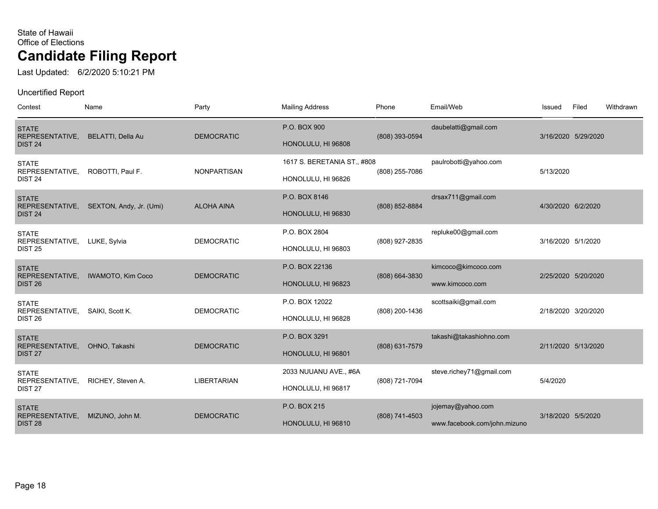Last Updated: 6/2/2020 5:10:21 PM

| Contest                                               | Name                     | Party              | <b>Mailing Address</b>                            | Phone          | Email/Web                                         | Issued             | Filed               | Withdrawn |
|-------------------------------------------------------|--------------------------|--------------------|---------------------------------------------------|----------------|---------------------------------------------------|--------------------|---------------------|-----------|
| <b>STATE</b><br>REPRESENTATIVE,<br><b>DIST 24</b>     | BELATTI, Della Au        | <b>DEMOCRATIC</b>  | P.O. BOX 900<br>HONOLULU, HI 96808                | (808) 393-0594 | daubelatti@gmail.com                              |                    | 3/16/2020 5/29/2020 |           |
| <b>STATE</b><br>REPRESENTATIVE,<br>DIST <sub>24</sub> | ROBOTTI, Paul F.         | <b>NONPARTISAN</b> | 1617 S. BERETANIA ST., #808<br>HONOLULU, HI 96826 | (808) 255-7086 | paulrobotti@yahoo.com                             | 5/13/2020          |                     |           |
| <b>STATE</b><br>REPRESENTATIVE,<br><b>DIST 24</b>     | SEXTON, Andy, Jr. (Umi)  | <b>ALOHA AINA</b>  | P.O. BOX 8146<br>HONOLULU, HI 96830               | (808) 852-8884 | drsax711@gmail.com                                | 4/30/2020 6/2/2020 |                     |           |
| <b>STATE</b><br>REPRESENTATIVE,<br><b>DIST 25</b>     | LUKE, Sylvia             | <b>DEMOCRATIC</b>  | P.O. BOX 2804<br>HONOLULU, HI 96803               | (808) 927-2835 | repluke00@gmail.com                               | 3/16/2020 5/1/2020 |                     |           |
| <b>STATE</b><br>REPRESENTATIVE,<br><b>DIST 26</b>     | <b>IWAMOTO, Kim Coco</b> | <b>DEMOCRATIC</b>  | P.O. BOX 22136<br>HONOLULU, HI 96823              | (808) 664-3830 | kimcoco@kimcoco.com<br>www.kimcoco.com            |                    | 2/25/2020 5/20/2020 |           |
| <b>STATE</b><br>REPRESENTATIVE,<br><b>DIST 26</b>     | SAIKI, Scott K.          | <b>DEMOCRATIC</b>  | P.O. BOX 12022<br>HONOLULU, HI 96828              | (808) 200-1436 | scottsaiki@gmail.com                              |                    | 2/18/2020 3/20/2020 |           |
| <b>STATE</b><br>REPRESENTATIVE,<br>DIST <sub>27</sub> | OHNO, Takashi            | <b>DEMOCRATIC</b>  | P.O. BOX 3291<br>HONOLULU, HI 96801               | (808) 631-7579 | takashi@takashiohno.com                           |                    | 2/11/2020 5/13/2020 |           |
| <b>STATE</b><br>REPRESENTATIVE,<br>DIST <sub>27</sub> | RICHEY, Steven A.        | <b>LIBERTARIAN</b> | 2033 NUUANU AVE., #6A<br>HONOLULU, HI 96817       | (808) 721-7094 | steve.richey71@gmail.com                          | 5/4/2020           |                     |           |
| <b>STATE</b><br>REPRESENTATIVE,<br>DIST <sub>28</sub> | MIZUNO, John M.          | <b>DEMOCRATIC</b>  | P.O. BOX 215<br>HONOLULU, HI 96810                | (808) 741-4503 | jojemay@yahoo.com<br>www.facebook.com/john.mizuno | 3/18/2020 5/5/2020 |                     |           |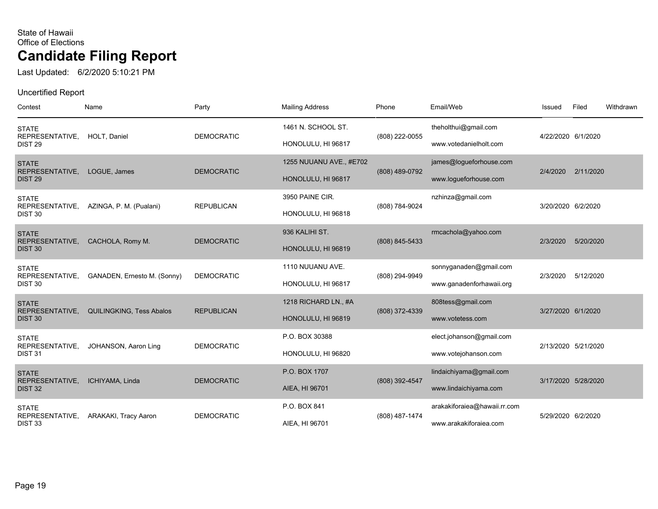Last Updated: 6/2/2020 5:10:21 PM

| Contest                               | Name                            | Party             | <b>Mailing Address</b>  | Phone          | Email/Web                    | Issued              | Filed     | Withdrawn |
|---------------------------------------|---------------------------------|-------------------|-------------------------|----------------|------------------------------|---------------------|-----------|-----------|
| <b>STATE</b><br>REPRESENTATIVE,       | HOLT, Daniel                    | <b>DEMOCRATIC</b> | 1461 N. SCHOOL ST.      | (808) 222-0055 | theholthui@gmail.com         | 4/22/2020 6/1/2020  |           |           |
| DIST <sub>29</sub>                    |                                 |                   | HONOLULU, HI 96817      |                | www.votedanielholt.com       |                     |           |           |
| <b>STATE</b><br>REPRESENTATIVE,       | LOGUE, James                    | <b>DEMOCRATIC</b> | 1255 NUUANU AVE., #E702 | (808) 489-0792 | james@logueforhouse.com      | 2/4/2020            | 2/11/2020 |           |
| <b>DIST 29</b>                        |                                 |                   | HONOLULU, HI 96817      |                | www.logueforhouse.com        |                     |           |           |
| <b>STATE</b>                          |                                 | <b>REPUBLICAN</b> | 3950 PAINE CIR.         |                | nzhinza@gmail.com            | 3/20/2020 6/2/2020  |           |           |
| REPRESENTATIVE,<br>DIST <sub>30</sub> | AZINGA, P. M. (Pualani)         |                   | HONOLULU, HI 96818      | (808) 784-9024 |                              |                     |           |           |
| <b>STATE</b>                          |                                 |                   | 936 KALIHI ST.          |                | rmcachola@yahoo.com          |                     |           |           |
| REPRESENTATIVE,<br>DIST <sub>30</sub> | CACHOLA, Romy M.                | <b>DEMOCRATIC</b> | HONOLULU, HI 96819      | (808) 845-5433 |                              | 2/3/2020            | 5/20/2020 |           |
| <b>STATE</b>                          |                                 |                   | 1110 NUUANU AVE.        |                | sonnyganaden@gmail.com       |                     |           |           |
| REPRESENTATIVE,<br>DIST <sub>30</sub> | GANADEN, Ernesto M. (Sonny)     | <b>DEMOCRATIC</b> | HONOLULU, HI 96817      | (808) 294-9949 | www.ganadenforhawaii.org     | 2/3/2020            | 5/12/2020 |           |
| <b>STATE</b>                          |                                 |                   | 1218 RICHARD LN., #A    |                | 808tess@gmail.com            |                     |           |           |
| REPRESENTATIVE,<br><b>DIST 30</b>     | <b>QUILINGKING, Tess Abalos</b> | <b>REPUBLICAN</b> | HONOLULU, HI 96819      | (808) 372-4339 | www.votetess.com             | 3/27/2020 6/1/2020  |           |           |
| <b>STATE</b>                          |                                 |                   | P.O. BOX 30388          |                | elect.johanson@gmail.com     |                     |           |           |
| REPRESENTATIVE,<br>DIST <sub>31</sub> | JOHANSON, Aaron Ling            | <b>DEMOCRATIC</b> | HONOLULU, HI 96820      |                | www.votejohanson.com         | 2/13/2020 5/21/2020 |           |           |
| <b>STATE</b>                          |                                 |                   | P.O. BOX 1707           |                | lindaichiyama@gmail.com      |                     |           |           |
| REPRESENTATIVE,<br>DIST <sub>32</sub> | ICHIYAMA, Linda                 | <b>DEMOCRATIC</b> | AIEA, HI 96701          | (808) 392-4547 | www.lindaichiyama.com        | 3/17/2020 5/28/2020 |           |           |
| <b>STATE</b>                          |                                 |                   | P.O. BOX 841            |                | arakakiforaiea@hawaii.rr.com |                     |           |           |
| REPRESENTATIVE,<br>DIST <sub>33</sub> | ARAKAKI, Tracy Aaron            | <b>DEMOCRATIC</b> | AIEA, HI 96701          | (808) 487-1474 | www.arakakiforaiea.com       | 5/29/2020 6/2/2020  |           |           |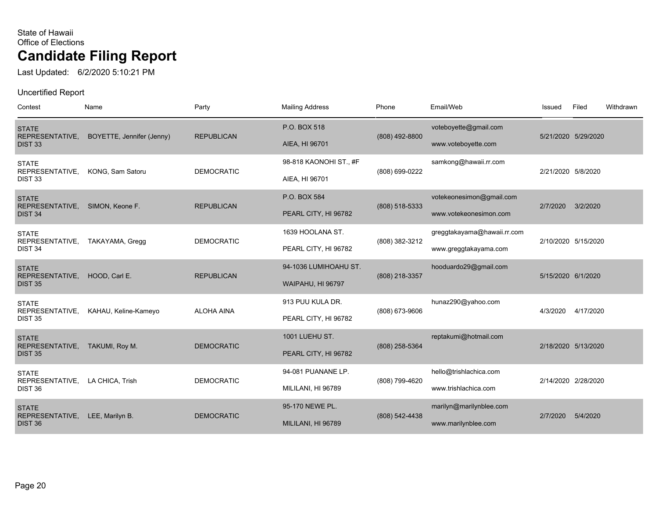Last Updated: 6/2/2020 5:10:21 PM

| Contest                                               | Name                      | Party             | <b>Mailing Address</b>                     | Phone          | Email/Web                                            | Issued             | Filed               | Withdrawn |
|-------------------------------------------------------|---------------------------|-------------------|--------------------------------------------|----------------|------------------------------------------------------|--------------------|---------------------|-----------|
| <b>STATE</b><br>REPRESENTATIVE,<br><b>DIST 33</b>     | BOYETTE, Jennifer (Jenny) | <b>REPUBLICAN</b> | P.O. BOX 518<br>AIEA, HI 96701             | (808) 492-8800 | voteboyette@gmail.com<br>www.voteboyette.com         |                    | 5/21/2020 5/29/2020 |           |
| <b>STATE</b><br>REPRESENTATIVE,<br>DIST <sub>33</sub> | KONG, Sam Satoru          | <b>DEMOCRATIC</b> | 98-818 KAONOHI ST., #F<br>AIEA, HI 96701   | (808) 699-0222 | samkong@hawaii.rr.com                                | 2/21/2020 5/8/2020 |                     |           |
| <b>STATE</b><br>REPRESENTATIVE,<br><b>DIST 34</b>     | SIMON, Keone F.           | <b>REPUBLICAN</b> | P.O. BOX 584<br>PEARL CITY, HI 96782       | (808) 518-5333 | votekeonesimon@gmail.com<br>www.votekeonesimon.com   | 2/7/2020           | 3/2/2020            |           |
| <b>STATE</b><br>REPRESENTATIVE,<br>DIST <sub>34</sub> | TAKAYAMA, Gregg           | <b>DEMOCRATIC</b> | 1639 HOOLANA ST.<br>PEARL CITY, HI 96782   | (808) 382-3212 | greggtakayama@hawaii.rr.com<br>www.greggtakayama.com |                    | 2/10/2020 5/15/2020 |           |
| <b>STATE</b><br>REPRESENTATIVE,<br><b>DIST 35</b>     | HOOD, Carl E.             | <b>REPUBLICAN</b> | 94-1036 LUMIHOAHU ST.<br>WAIPAHU, HI 96797 | (808) 218-3357 | hooduardo29@gmail.com                                | 5/15/2020 6/1/2020 |                     |           |
| <b>STATE</b><br>REPRESENTATIVE,<br><b>DIST 35</b>     | KAHAU, Keline-Kameyo      | <b>ALOHA AINA</b> | 913 PUU KULA DR.<br>PEARL CITY, HI 96782   | (808) 673-9606 | hunaz290@yahoo.com                                   | 4/3/2020           | 4/17/2020           |           |
| <b>STATE</b><br>REPRESENTATIVE,<br><b>DIST 35</b>     | TAKUMI, Roy M.            | <b>DEMOCRATIC</b> | 1001 LUEHU ST.<br>PEARL CITY, HI 96782     | (808) 258-5364 | reptakumi@hotmail.com                                |                    | 2/18/2020 5/13/2020 |           |
| <b>STATE</b><br>REPRESENTATIVE,<br>DIST <sub>36</sub> | LA CHICA, Trish           | <b>DEMOCRATIC</b> | 94-081 PUANANE LP.<br>MILILANI, HI 96789   | (808) 799-4620 | hello@trishlachica.com<br>www.trishlachica.com       |                    | 2/14/2020 2/28/2020 |           |
| <b>STATE</b><br>REPRESENTATIVE,<br><b>DIST 36</b>     | LEE, Marilyn B.           | <b>DEMOCRATIC</b> | 95-170 NEWE PL.<br>MILILANI, HI 96789      | (808) 542-4438 | marilyn@marilynblee.com<br>www.marilynblee.com       | 2/7/2020           | 5/4/2020            |           |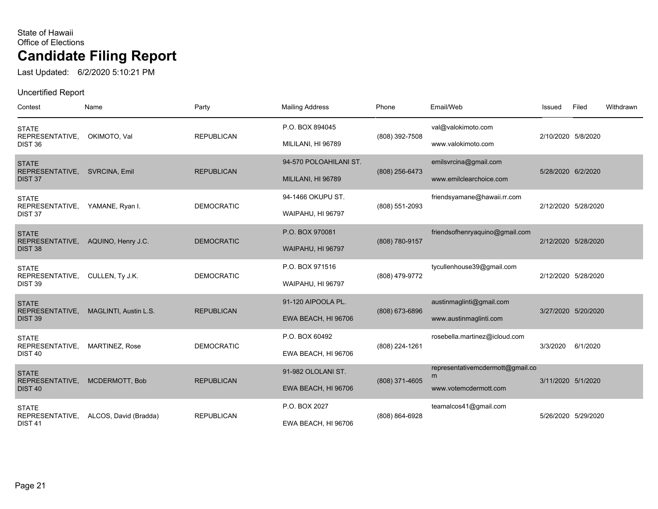Last Updated: 6/2/2020 5:10:21 PM

| Contest                                               | Name                         | Party             | <b>Mailing Address</b>                    | Phone            | Email/Web                                                      | Issued             | Filed               | Withdrawn |
|-------------------------------------------------------|------------------------------|-------------------|-------------------------------------------|------------------|----------------------------------------------------------------|--------------------|---------------------|-----------|
| <b>STATE</b><br>REPRESENTATIVE,<br>DIST <sub>36</sub> | OKIMOTO, Val                 | <b>REPUBLICAN</b> | P.O. BOX 894045<br>MILILANI, HI 96789     | (808) 392-7508   | val@valokimoto.com<br>www.valokimoto.com                       | 2/10/2020 5/8/2020 |                     |           |
| <b>STATE</b><br>REPRESENTATIVE,                       | SVRCINA, Emil                | <b>REPUBLICAN</b> | 94-570 POLOAHILANI ST.                    | (808) 256-6473   | emilsvrcina@gmail.com                                          | 5/28/2020 6/2/2020 |                     |           |
| DIST <sub>37</sub><br><b>STATE</b><br>REPRESENTATIVE, | YAMANE, Ryan I.              | <b>DEMOCRATIC</b> | MILILANI, HI 96789<br>94-1466 OKUPU ST.   | (808) 551-2093   | www.emilclearchoice.com<br>friendsyamane@hawaii.rr.com         |                    | 2/12/2020 5/28/2020 |           |
| DIST 37<br><b>STATE</b>                               |                              |                   | WAIPAHU, HI 96797<br>P.O. BOX 970081      |                  | friendsofhenryaquino@gmail.com                                 |                    |                     |           |
| REPRESENTATIVE,<br>DIST <sub>38</sub><br><b>STATE</b> | AQUINO, Henry J.C.           | <b>DEMOCRATIC</b> | WAIPAHU, HI 96797<br>P.O. BOX 971516      | (808) 780-9157   | tycullenhouse39@gmail.com                                      |                    | 2/12/2020 5/28/2020 |           |
| REPRESENTATIVE,<br>DIST <sub>39</sub>                 | CULLEN, Ty J.K.              | <b>DEMOCRATIC</b> | WAIPAHU, HI 96797                         | (808) 479-9772   |                                                                |                    | 2/12/2020 5/28/2020 |           |
| <b>STATE</b><br>REPRESENTATIVE,<br>DIST <sub>39</sub> | <b>MAGLINTI, Austin L.S.</b> | <b>REPUBLICAN</b> | 91-120 AIPOOLA PL.<br>EWA BEACH, HI 96706 | $(808)$ 673-6896 | austinmaglinti@gmail.com<br>www.austinmaglinti.com             |                    | 3/27/2020 5/20/2020 |           |
| <b>STATE</b><br>REPRESENTATIVE,<br><b>DIST 40</b>     | MARTINEZ, Rose               | <b>DEMOCRATIC</b> | P.O. BOX 60492<br>EWA BEACH, HI 96706     | (808) 224-1261   | rosebella.martinez@icloud.com                                  | 3/3/2020           | 6/1/2020            |           |
| <b>STATE</b><br>REPRESENTATIVE,<br><b>DIST 40</b>     | MCDERMOTT, Bob               | <b>REPUBLICAN</b> | 91-982 OLOLANI ST.<br>EWA BEACH, HI 96706 | (808) 371-4605   | representativemcdermott@gmail.co<br>m<br>www.votemcdermott.com | 3/11/2020 5/1/2020 |                     |           |
| <b>STATE</b><br>REPRESENTATIVE,<br><b>DIST 41</b>     | ALCOS, David (Bradda)        | <b>REPUBLICAN</b> | P.O. BOX 2027<br>EWA BEACH, HI 96706      | (808) 864-6928   | teamalcos41@gmail.com                                          |                    | 5/26/2020 5/29/2020 |           |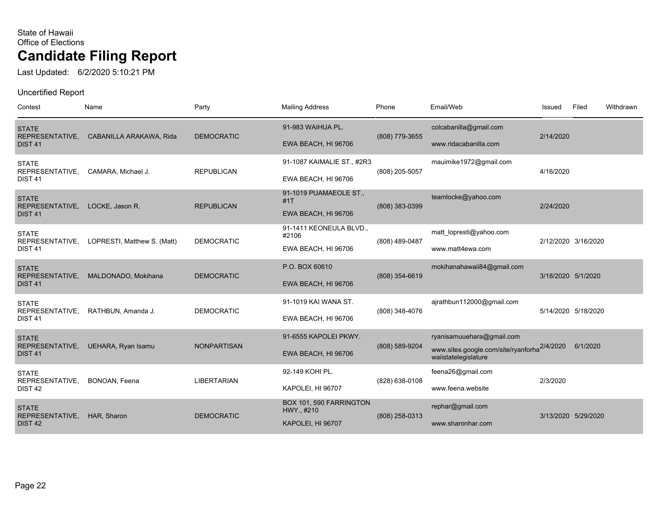Last Updated: 6/2/2020 5:10:21 PM

| Contest                                               | Name                        | Party              | <b>Mailing Address</b>                                     | Phone          | Email/Web                                                                                        | Issued             | Filed               | Withdrawn |
|-------------------------------------------------------|-----------------------------|--------------------|------------------------------------------------------------|----------------|--------------------------------------------------------------------------------------------------|--------------------|---------------------|-----------|
| <b>STATE</b><br>REPRESENTATIVE,<br><b>DIST 41</b>     | CABANILLA ARAKAWA, Rida     | <b>DEMOCRATIC</b>  | 91-983 WAIHUA PL.<br>EWA BEACH, HI 96706                   | (808) 779-3655 | colcabanilla@gmail.com<br>www.ridacabanilla.com                                                  | 2/14/2020          |                     |           |
| <b>STATE</b><br>REPRESENTATIVE,<br><b>DIST 41</b>     | CAMARA, Michael J.          | <b>REPUBLICAN</b>  | 91-1087 KAIMALIE ST., #2R3<br>EWA BEACH, HI 96706          | (808) 205-5057 | mauimike1972@gmail.com                                                                           | 4/16/2020          |                     |           |
| <b>STATE</b><br>REPRESENTATIVE,<br><b>DIST 41</b>     | LOCKE, Jason R.             | <b>REPUBLICAN</b>  | 91-1019 PUAMAEOLE ST.,<br>#1T<br>EWA BEACH, HI 96706       | (808) 383-0399 | teamlocke@yahoo.com                                                                              | 2/24/2020          |                     |           |
| <b>STATE</b><br>REPRESENTATIVE,<br><b>DIST 41</b>     | LOPRESTI, Matthew S. (Matt) | <b>DEMOCRATIC</b>  | 91-1411 KEONEULA BLVD.,<br>#2106<br>EWA BEACH, HI 96706    | (808) 489-0487 | matt_lopresti@yahoo.com<br>www.matt4ewa.com                                                      |                    | 2/12/2020 3/16/2020 |           |
| <b>STATE</b><br>REPRESENTATIVE,<br><b>DIST 41</b>     | MALDONADO, Mokihana         | <b>DEMOCRATIC</b>  | P.O. BOX 60610<br>EWA BEACH, HI 96706                      | (808) 354-6619 | mokihanahawaii84@gmail.com                                                                       | 3/18/2020 5/1/2020 |                     |           |
| <b>STATE</b><br>REPRESENTATIVE,<br><b>DIST 41</b>     | RATHBUN, Amanda J.          | <b>DEMOCRATIC</b>  | 91-1019 KAI WANA ST.<br>EWA BEACH, HI 96706                | (808) 348-4076 | ajrathbun112000@gmail.com                                                                        |                    | 5/14/2020 5/18/2020 |           |
| <b>STATE</b><br>REPRESENTATIVE,<br>DIST <sub>41</sub> | UEHARA, Ryan Isamu          | <b>NONPARTISAN</b> | 91-6555 KAPOLEI PKWY.<br>EWA BEACH, HI 96706               | (808) 589-9204 | ryanisamuuehara@gmail.com<br>www.sites.google.com/site/ryanforha2/4/2020<br>waiistatelegislature |                    | 6/1/2020            |           |
| <b>STATE</b><br>REPRESENTATIVE,<br>DIST <sub>42</sub> | BONOAN, Feena               | <b>LIBERTARIAN</b> | 92-149 KOHI PL.<br>KAPOLEI, HI 96707                       | (828) 638-0108 | feena26@gmail.com<br>www.feena.website                                                           | 2/3/2020           |                     |           |
| <b>STATE</b><br>REPRESENTATIVE,<br>DIST <sub>42</sub> | HAR, Sharon                 | <b>DEMOCRATIC</b>  | BOX 101, 590 FARRINGTON<br>HWY., #210<br>KAPOLEI, HI 96707 | (808) 258-0313 | rephar@gmail.com<br>www.sharonhar.com                                                            |                    | 3/13/2020 5/29/2020 |           |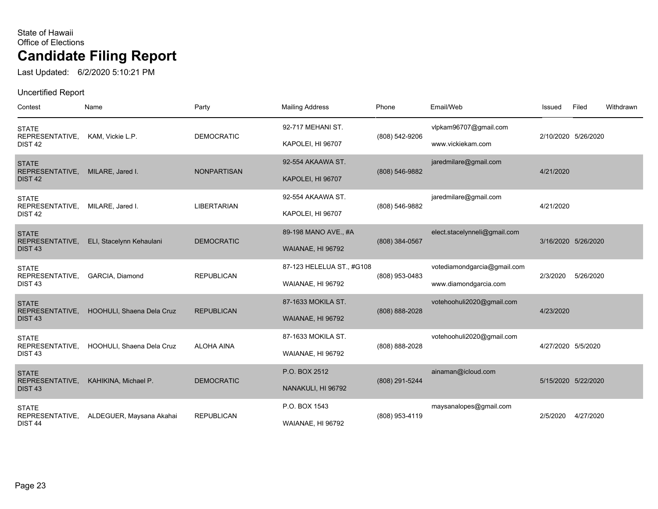Last Updated: 6/2/2020 5:10:21 PM

| Contest                                               | Name                      | Party              | <b>Mailing Address</b>                    | Phone          | Email/Web                                  | Issued             | Filed               | Withdrawn |
|-------------------------------------------------------|---------------------------|--------------------|-------------------------------------------|----------------|--------------------------------------------|--------------------|---------------------|-----------|
| <b>STATE</b><br>REPRESENTATIVE,<br>DIST <sub>42</sub> | KAM, Vickie L.P.          | <b>DEMOCRATIC</b>  | 92-717 MEHANI ST.<br>KAPOLEI, HI 96707    | (808) 542-9206 | vlpkam96707@gmail.com<br>www.vickiekam.com |                    | 2/10/2020 5/26/2020 |           |
| <b>STATE</b>                                          |                           |                    | 92-554 AKAAWA ST.                         |                | jaredmilare@gmail.com                      |                    |                     |           |
| REPRESENTATIVE,<br>DIST <sub>42</sub>                 | MILARE, Jared I.          | <b>NONPARTISAN</b> | KAPOLEI, HI 96707                         | (808) 546-9882 |                                            | 4/21/2020          |                     |           |
| <b>STATE</b><br>REPRESENTATIVE,                       | MILARE, Jared I.          | <b>LIBERTARIAN</b> | 92-554 AKAAWA ST.                         | (808) 546-9882 | jaredmilare@gmail.com                      | 4/21/2020          |                     |           |
| DIST <sub>42</sub>                                    |                           |                    | KAPOLEI, HI 96707                         |                |                                            |                    |                     |           |
| <b>STATE</b><br>REPRESENTATIVE,                       | ELI, Stacelynn Kehaulani  | <b>DEMOCRATIC</b>  | 89-198 MANO AVE., #A<br>WAIANAE, HI 96792 | (808) 384-0567 | elect.stacelynneli@gmail.com               |                    | 3/16/2020 5/26/2020 |           |
| DIST <sub>43</sub><br><b>STATE</b>                    |                           |                    | 87-123 HELELUA ST., #G108                 |                | votediamondgarcia@gmail.com                |                    |                     |           |
| REPRESENTATIVE,<br>DIST <sub>43</sub>                 | GARCIA, Diamond           | <b>REPUBLICAN</b>  | WAIANAE, HI 96792                         | (808) 953-0483 | www.diamondgarcia.com                      | 2/3/2020           | 5/26/2020           |           |
| <b>STATE</b><br>REPRESENTATIVE,                       | HOOHULI, Shaena Dela Cruz | <b>REPUBLICAN</b>  | 87-1633 MOKILA ST.                        | (808) 888-2028 | votehoohuli2020@gmail.com                  | 4/23/2020          |                     |           |
| <b>DIST 43</b>                                        |                           |                    | WAIANAE, HI 96792                         |                |                                            |                    |                     |           |
| <b>STATE</b><br>REPRESENTATIVE,                       | HOOHULI, Shaena Dela Cruz | <b>ALOHA AINA</b>  | 87-1633 MOKILA ST.                        | (808) 888-2028 | votehoohuli2020@gmail.com                  | 4/27/2020 5/5/2020 |                     |           |
| <b>DIST 43</b>                                        |                           |                    | WAIANAE, HI 96792                         |                |                                            |                    |                     |           |
| <b>STATE</b><br>REPRESENTATIVE,<br><b>DIST 43</b>     | KAHIKINA, Michael P.      | <b>DEMOCRATIC</b>  | P.O. BOX 2512<br>NANAKULI, HI 96792       | (808) 291-5244 | ainaman@icloud.com                         |                    | 5/15/2020 5/22/2020 |           |
| <b>STATE</b><br>REPRESENTATIVE,                       | ALDEGUER, Maysana Akahai  | <b>REPUBLICAN</b>  | P.O. BOX 1543                             | (808) 953-4119 | maysanalopes@gmail.com                     | 2/5/2020           | 4/27/2020           |           |
| DIST <sub>44</sub>                                    |                           |                    | WAIANAE, HI 96792                         |                |                                            |                    |                     |           |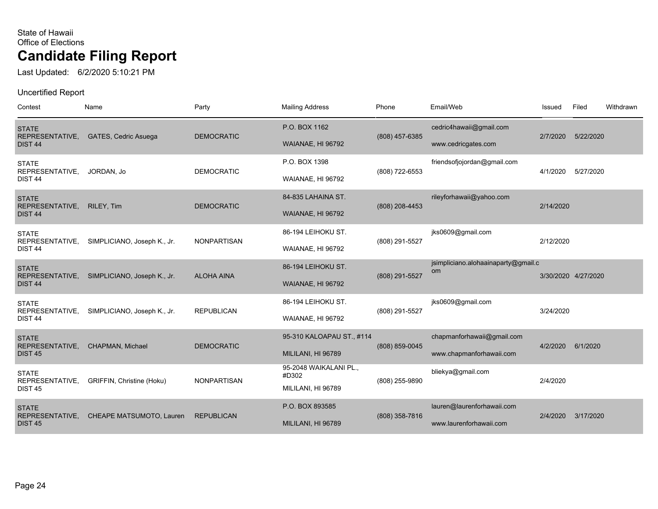Last Updated: 6/2/2020 5:10:21 PM

| Contest                                               | Name                        | Party              | <b>Mailing Address</b>                                | Phone          | Email/Web                                              | Issued    | Filed               | Withdrawn |
|-------------------------------------------------------|-----------------------------|--------------------|-------------------------------------------------------|----------------|--------------------------------------------------------|-----------|---------------------|-----------|
| <b>STATE</b><br>REPRESENTATIVE,<br>DIST <sub>44</sub> | GATES, Cedric Asuega        | <b>DEMOCRATIC</b>  | P.O. BOX 1162<br>WAIANAE, HI 96792                    | (808) 457-6385 | cedric4hawaii@gmail.com<br>www.cedricgates.com         | 2/7/2020  | 5/22/2020           |           |
| <b>STATE</b><br>REPRESENTATIVE,<br>DIST <sub>44</sub> | JORDAN, Jo                  | <b>DEMOCRATIC</b>  | P.O. BOX 1398<br>WAIANAE, HI 96792                    | (808) 722-6553 | friendsofjojordan@gmail.com                            | 4/1/2020  | 5/27/2020           |           |
| <b>STATE</b><br>REPRESENTATIVE,<br><b>DIST 44</b>     | RILEY, Tim                  | <b>DEMOCRATIC</b>  | 84-835 LAHAINA ST.<br>WAIANAE, HI 96792               | (808) 208-4453 | rileyforhawaii@yahoo.com                               | 2/14/2020 |                     |           |
| <b>STATE</b><br>REPRESENTATIVE,<br>DIST <sub>44</sub> | SIMPLICIANO, Joseph K., Jr. | <b>NONPARTISAN</b> | 86-194 LEIHOKU ST.<br>WAIANAE, HI 96792               | (808) 291-5527 | jks0609@gmail.com                                      | 2/12/2020 |                     |           |
| <b>STATE</b><br>REPRESENTATIVE,<br>DIST <sub>44</sub> | SIMPLICIANO, Joseph K., Jr. | <b>ALOHA AINA</b>  | 86-194 LEIHOKU ST.<br>WAIANAE, HI 96792               | (808) 291-5527 | jsimpliciano.alohaainaparty@gmail.c<br>om              |           | 3/30/2020 4/27/2020 |           |
| <b>STATE</b><br>REPRESENTATIVE,<br>DIST <sub>44</sub> | SIMPLICIANO, Joseph K., Jr. | <b>REPUBLICAN</b>  | 86-194 LEIHOKU ST.<br>WAIANAE, HI 96792               | (808) 291-5527 | jks0609@gmail.com                                      | 3/24/2020 |                     |           |
| <b>STATE</b><br>REPRESENTATIVE,<br><b>DIST 45</b>     | <b>CHAPMAN, Michael</b>     | <b>DEMOCRATIC</b>  | 95-310 KALOAPAU ST., #114<br>MILILANI, HI 96789       | (808) 859-0045 | chapmanforhawaii@gmail.com<br>www.chapmanforhawaii.com | 4/2/2020  | 6/1/2020            |           |
| <b>STATE</b><br>REPRESENTATIVE,<br><b>DIST 45</b>     | GRIFFIN, Christine (Hoku)   | <b>NONPARTISAN</b> | 95-2048 WAIKALANI PL.,<br>#D302<br>MILILANI, HI 96789 | (808) 255-9890 | bliekya@gmail.com                                      | 2/4/2020  |                     |           |
| <b>STATE</b><br>REPRESENTATIVE,<br><b>DIST 45</b>     | CHEAPE MATSUMOTO, Lauren    | <b>REPUBLICAN</b>  | P.O. BOX 893585<br>MILILANI, HI 96789                 | (808) 358-7816 | lauren@laurenforhawaii.com<br>www.laurenforhawaii.com  | 2/4/2020  | 3/17/2020           |           |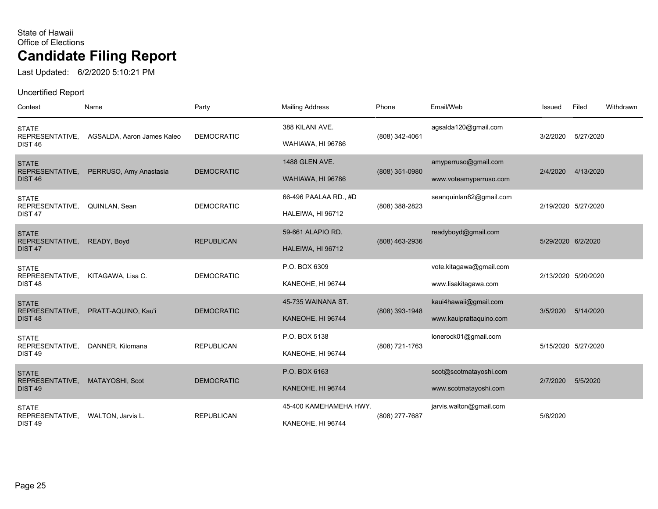Last Updated: 6/2/2020 5:10:21 PM

| Contest                                               | Name                       | Party             | <b>Mailing Address</b>                      | Phone            | Email/Web                                        | Issued             | Filed               | Withdrawn |
|-------------------------------------------------------|----------------------------|-------------------|---------------------------------------------|------------------|--------------------------------------------------|--------------------|---------------------|-----------|
| <b>STATE</b><br>REPRESENTATIVE,<br><b>DIST 46</b>     | AGSALDA, Aaron James Kaleo | <b>DEMOCRATIC</b> | 388 KILANI AVE.<br>WAHIAWA, HI 96786        | (808) 342-4061   | agsalda120@gmail.com                             | 3/2/2020           | 5/27/2020           |           |
| <b>STATE</b><br>REPRESENTATIVE,<br><b>DIST 46</b>     | PERRUSO, Amy Anastasia     | <b>DEMOCRATIC</b> | 1488 GLEN AVE.<br>WAHIAWA, HI 96786         | $(808)$ 351-0980 | amyperruso@gmail.com<br>www.voteamyperruso.com   | 2/4/2020           | 4/13/2020           |           |
| <b>STATE</b><br>REPRESENTATIVE,<br>DIST <sub>47</sub> | QUINLAN, Sean              | <b>DEMOCRATIC</b> | 66-496 PAALAA RD., #D<br>HALEIWA, HI 96712  | (808) 388-2823   | seanquinlan82@gmail.com                          |                    | 2/19/2020 5/27/2020 |           |
| <b>STATE</b><br>REPRESENTATIVE,<br>DIST <sub>47</sub> | READY, Boyd                | <b>REPUBLICAN</b> | 59-661 ALAPIO RD.<br>HALEIWA, HI 96712      | (808) 463-2936   | readyboyd@gmail.com                              | 5/29/2020 6/2/2020 |                     |           |
| <b>STATE</b><br>REPRESENTATIVE,<br>DIST <sub>48</sub> | KITAGAWA, Lisa C.          | <b>DEMOCRATIC</b> | P.O. BOX 6309<br>KANEOHE, HI 96744          |                  | vote.kitagawa@gmail.com<br>www.lisakitagawa.com  |                    | 2/13/2020 5/20/2020 |           |
| <b>STATE</b><br>REPRESENTATIVE,<br><b>DIST 48</b>     | PRATT-AQUINO, Kau'i        | <b>DEMOCRATIC</b> | 45-735 WAINANA ST.<br>KANEOHE, HI 96744     | (808) 393-1948   | kaui4hawaii@gmail.com<br>www.kauiprattaquino.com | 3/5/2020           | 5/14/2020           |           |
| <b>STATE</b><br>REPRESENTATIVE,<br>DIST <sub>49</sub> | DANNER, Kilomana           | <b>REPUBLICAN</b> | P.O. BOX 5138<br>KANEOHE, HI 96744          | (808) 721-1763   | lonerock01@gmail.com                             |                    | 5/15/2020 5/27/2020 |           |
| <b>STATE</b><br>REPRESENTATIVE,<br><b>DIST 49</b>     | MATAYOSHI, Scot            | <b>DEMOCRATIC</b> | P.O. BOX 6163<br>KANEOHE, HI 96744          |                  | scot@scotmatayoshi.com<br>www.scotmatayoshi.com  | 2/7/2020           | 5/5/2020            |           |
| <b>STATE</b><br>REPRESENTATIVE,<br>DIST <sub>49</sub> | WALTON, Jarvis L.          | <b>REPUBLICAN</b> | 45-400 KAMEHAMEHA HWY.<br>KANEOHE, HI 96744 | (808) 277-7687   | jarvis.walton@gmail.com                          | 5/8/2020           |                     |           |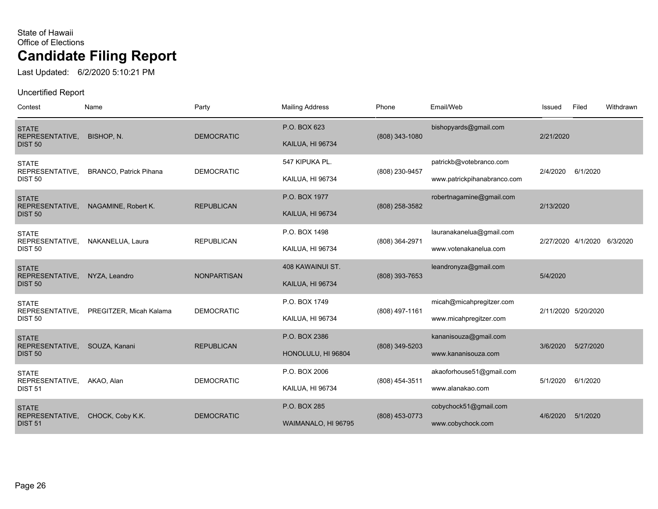Last Updated: 6/2/2020 5:10:21 PM

| Contest                           | Name                          | Party              | <b>Mailing Address</b>  | Phone          | Email/Web                   | Issued    | Filed                       | Withdrawn |
|-----------------------------------|-------------------------------|--------------------|-------------------------|----------------|-----------------------------|-----------|-----------------------------|-----------|
| <b>STATE</b><br>REPRESENTATIVE,   | BISHOP, N.                    | <b>DEMOCRATIC</b>  | P.O. BOX 623            | (808) 343-1080 | bishopyards@gmail.com       | 2/21/2020 |                             |           |
| <b>DIST 50</b>                    |                               |                    | <b>KAILUA, HI 96734</b> |                |                             |           |                             |           |
| <b>STATE</b><br>REPRESENTATIVE,   | <b>BRANCO, Patrick Pihana</b> | <b>DEMOCRATIC</b>  | 547 KIPUKA PL.          | (808) 230-9457 | patrickb@votebranco.com     | 2/4/2020  | 6/1/2020                    |           |
| <b>DIST 50</b>                    |                               |                    | KAILUA, HI 96734        |                | www.patrickpihanabranco.com |           |                             |           |
| <b>STATE</b>                      |                               |                    | P.O. BOX 1977           |                | robertnagamine@gmail.com    |           |                             |           |
| REPRESENTATIVE,<br><b>DIST 50</b> | NAGAMINE, Robert K.           | <b>REPUBLICAN</b>  | <b>KAILUA, HI 96734</b> | (808) 258-3582 |                             |           | 2/13/2020                   |           |
| <b>STATE</b>                      |                               |                    | P.O. BOX 1498           |                | lauranakanelua@gmail.com    |           |                             |           |
| REPRESENTATIVE,<br><b>DIST 50</b> | NAKANELUA, Laura              | <b>REPUBLICAN</b>  | KAILUA, HI 96734        | (808) 364-2971 | www.votenakanelua.com       |           | 2/27/2020 4/1/2020 6/3/2020 |           |
| <b>STATE</b>                      |                               |                    | 408 KAWAINUI ST.        |                | leandronyza@gmail.com       |           |                             |           |
| REPRESENTATIVE,<br><b>DIST 50</b> | NYZA, Leandro                 | <b>NONPARTISAN</b> | KAILUA, HI 96734        | (808) 393-7653 |                             | 5/4/2020  |                             |           |
| <b>STATE</b>                      |                               |                    | P.O. BOX 1749           |                | micah@micahpregitzer.com    |           |                             |           |
| REPRESENTATIVE,<br><b>DIST 50</b> | PREGITZER, Micah Kalama       | <b>DEMOCRATIC</b>  | KAILUA, HI 96734        | (808) 497-1161 | www.micahpregitzer.com      |           | 2/11/2020 5/20/2020         |           |
| <b>STATE</b>                      |                               |                    | P.O. BOX 2386           |                | kananisouza@gmail.com       |           |                             |           |
| REPRESENTATIVE,<br><b>DIST 50</b> | SOUZA, Kanani                 | <b>REPUBLICAN</b>  | HONOLULU, HI 96804      | (808) 349-5203 | www.kananisouza.com         | 3/6/2020  | 5/27/2020                   |           |
| <b>STATE</b>                      |                               |                    | P.O. BOX 2006           |                | akaoforhouse51@gmail.com    |           |                             |           |
| REPRESENTATIVE,<br><b>DIST 51</b> | AKAO, Alan                    | <b>DEMOCRATIC</b>  | KAILUA, HI 96734        | (808) 454-3511 | www.alanakao.com            | 5/1/2020  | 6/1/2020                    |           |
| <b>STATE</b>                      |                               |                    | P.O. BOX 285            |                | cobychock51@gmail.com       |           |                             |           |
| REPRESENTATIVE,<br><b>DIST 51</b> | CHOCK, Coby K.K.              | <b>DEMOCRATIC</b>  | WAIMANALO, HI 96795     | (808) 453-0773 | www.cobychock.com           | 4/6/2020  | 5/1/2020                    |           |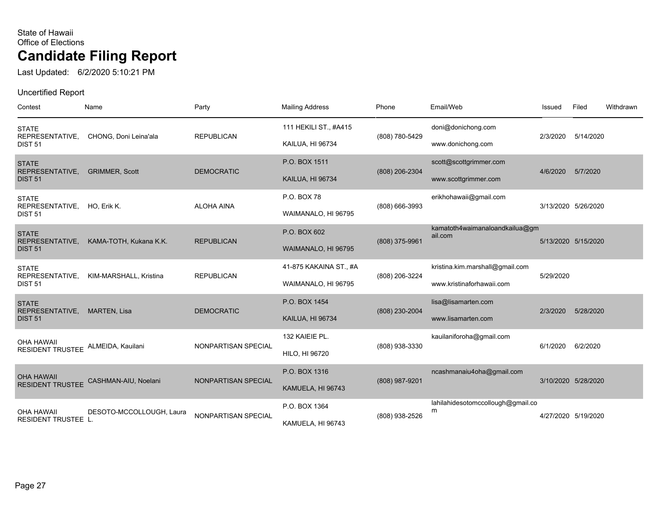Last Updated: 6/2/2020 5:10:21 PM

| Contest                                                 | Name                     | Party               | <b>Mailing Address</b>                        | Phone          | Email/Web                                                    | Issued    | Filed               | Withdrawn |
|---------------------------------------------------------|--------------------------|---------------------|-----------------------------------------------|----------------|--------------------------------------------------------------|-----------|---------------------|-----------|
| <b>STATE</b><br>REPRESENTATIVE,<br><b>DIST 51</b>       | CHONG, Doni Leina'ala    | <b>REPUBLICAN</b>   | 111 HEKILI ST., #A415<br>KAILUA, HI 96734     | (808) 780-5429 | doni@donichong.com<br>www.donichong.com                      | 2/3/2020  | 5/14/2020           |           |
| <b>STATE</b><br>REPRESENTATIVE,<br><b>DIST 51</b>       | <b>GRIMMER, Scott</b>    | <b>DEMOCRATIC</b>   | P.O. BOX 1511<br>KAILUA, HI 96734             | (808) 206-2304 | scott@scottgrimmer.com<br>www.scottgrimmer.com               | 4/6/2020  | 5/7/2020            |           |
| <b>STATE</b><br>REPRESENTATIVE,<br><b>DIST 51</b>       | HO, Erik K.              | <b>ALOHA AINA</b>   | P.O. BOX 78<br>WAIMANALO, HI 96795            | (808) 666-3993 | erikhohawaii@gmail.com                                       |           | 3/13/2020 5/26/2020 |           |
| <b>STATE</b><br>REPRESENTATIVE,<br><b>DIST 51</b>       | KAMA-TOTH, Kukana K.K.   | <b>REPUBLICAN</b>   | P.O. BOX 602<br>WAIMANALO, HI 96795           | (808) 375-9961 | kamatoth4waimanaloandkailua@gm<br>ail.com                    |           | 5/13/2020 5/15/2020 |           |
| <b>STATE</b><br>REPRESENTATIVE,<br><b>DIST 51</b>       | KIM-MARSHALL, Kristina   | <b>REPUBLICAN</b>   | 41-875 KAKAINA ST., #A<br>WAIMANALO, HI 96795 | (808) 206-3224 | kristina.kim.marshall@gmail.com<br>www.kristinaforhawaii.com | 5/29/2020 |                     |           |
| <b>STATE</b><br>REPRESENTATIVE,<br><b>DIST 51</b>       | MARTEN, Lisa             | <b>DEMOCRATIC</b>   | P.O. BOX 1454<br><b>KAILUA, HI 96734</b>      | (808) 230-2004 | lisa@lisamarten.com<br>www.lisamarten.com                    | 2/3/2020  | 5/28/2020           |           |
| <b>OHA HAWAII</b><br>RESIDENT TRUSTEE ALMEIDA, Kauilani |                          | NONPARTISAN SPECIAL | 132 KAIEIE PL.<br><b>HILO, HI 96720</b>       | (808) 938-3330 | kauilaniforoha@gmail.com                                     | 6/1/2020  | 6/2/2020            |           |
| <b>OHA HAWAII</b><br><b>RESIDENT TRUSTEE</b>            | CASHMAN-AIU, Noelani     | NONPARTISAN SPECIAL | P.O. BOX 1316<br>KAMUELA, HI 96743            | (808) 987-9201 | ncashmanaiu4oha@gmail.com                                    |           | 3/10/2020 5/28/2020 |           |
| <b>OHA HAWAII</b><br><b>RESIDENT TRUSTEE L.</b>         | DESOTO-MCCOLLOUGH, Laura | NONPARTISAN SPECIAL | P.O. BOX 1364<br>KAMUELA, HI 96743            | (808) 938-2526 | lahilahidesotomccollough@gmail.co<br>m                       |           | 4/27/2020 5/19/2020 |           |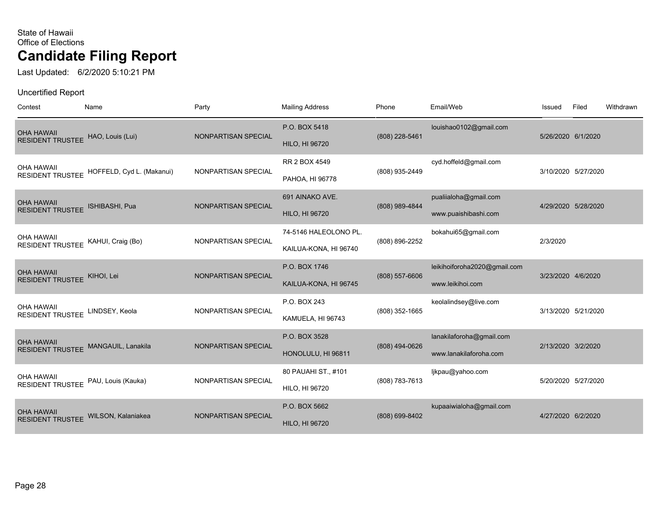Last Updated: 6/2/2020 5:10:21 PM

| Contest                                                 | Name                                              | Party               | <b>Mailing Address</b>                         | Phone            | Email/Web                                          | Issued             | Filed               | Withdrawn |
|---------------------------------------------------------|---------------------------------------------------|---------------------|------------------------------------------------|------------------|----------------------------------------------------|--------------------|---------------------|-----------|
| <b>OHA HAWAII</b><br>RESIDENT TRUSTEE HAO, Louis (Lui)  |                                                   | NONPARTISAN SPECIAL | P.O. BOX 5418<br><b>HILO, HI 96720</b>         | $(808)$ 228-5461 | louishao0102@gmail.com                             | 5/26/2020 6/1/2020 |                     |           |
| <b>OHA HAWAII</b>                                       | RESIDENT TRUSTEE HOFFELD, Cyd L. (Makanui)        | NONPARTISAN SPECIAL | RR 2 BOX 4549<br>PAHOA, HI 96778               | (808) 935-2449   | cyd.hoffeld@gmail.com                              |                    | 3/10/2020 5/27/2020 |           |
| <b>OHA HAWAII</b><br>RESIDENT TRUSTEE ISHIBASHI, Pua    |                                                   | NONPARTISAN SPECIAL | 691 AINAKO AVE.<br><b>HILO, HI 96720</b>       | (808) 989-4844   | pualiialoha@gmail.com<br>www.puaishibashi.com      |                    | 4/29/2020 5/28/2020 |           |
| <b>OHA HAWAII</b><br>RESIDENT TRUSTEE KAHUI, Craig (Bo) |                                                   | NONPARTISAN SPECIAL | 74-5146 HALEOLONO PL.<br>KAILUA-KONA, HI 96740 | (808) 896-2252   | bokahui65@gmail.com                                | 2/3/2020           |                     |           |
| <b>OHA HAWAII</b><br>RESIDENT TRUSTEE KIHOI, Lei        |                                                   | NONPARTISAN SPECIAL | P.O. BOX 1746<br>KAILUA-KONA, HI 96745         | $(808)$ 557-6606 | leikihoiforoha2020@gmail.com<br>www.leikihoi.com   | 3/23/2020 4/6/2020 |                     |           |
| <b>OHA HAWAII</b><br>RESIDENT TRUSTEE LINDSEY, Keola    |                                                   | NONPARTISAN SPECIAL | P.O. BOX 243<br>KAMUELA, HI 96743              | (808) 352-1665   | keolalindsey@live.com                              |                    | 3/13/2020 5/21/2020 |           |
| <b>OHA HAWAII</b>                                       | RESIDENT TRUSTEE MANGAUIL, Lanakila               | NONPARTISAN SPECIAL | P.O. BOX 3528<br>HONOLULU, HI 96811            | $(808)$ 494-0626 | lanakilaforoha@gmail.com<br>www.lanakilaforoha.com | 2/13/2020 3/2/2020 |                     |           |
|                                                         | OHA HAWAII<br>RESIDENT TRUSTEE PAU, Louis (Kauka) | NONPARTISAN SPECIAL | 80 PAUAHI ST., #101<br>HILO, HI 96720          | (808) 783-7613   | ljkpau@yahoo.com                                   |                    | 5/20/2020 5/27/2020 |           |
| <b>OHA HAWAII</b>                                       | RESIDENT TRUSTEE WILSON, Kalaniakea               | NONPARTISAN SPECIAL | P.O. BOX 5662<br><b>HILO, HI 96720</b>         | (808) 699-8402   | kupaaiwialoha@gmail.com                            | 4/27/2020 6/2/2020 |                     |           |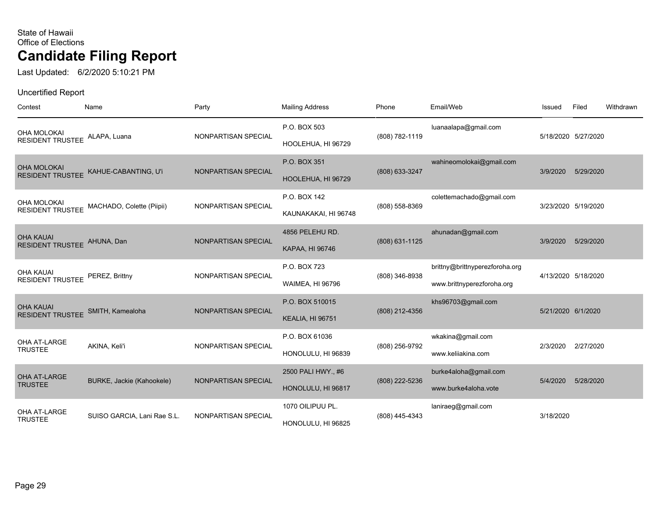Last Updated: 6/2/2020 5:10:21 PM

| Contest                                               | Name                                       | Party               | <b>Mailing Address</b>                     | Phone              | Email/Web                                                    | Issued             | Filed               | Withdrawn |
|-------------------------------------------------------|--------------------------------------------|---------------------|--------------------------------------------|--------------------|--------------------------------------------------------------|--------------------|---------------------|-----------|
| OHA MOLOKAI<br>RESIDENT TRUSTEE                       | ALAPA, Luana                               | NONPARTISAN SPECIAL | P.O. BOX 503<br>HOOLEHUA, HI 96729         | (808) 782-1119     | luanaalapa@gmail.com                                         |                    | 5/18/2020 5/27/2020 |           |
| OHA MOLOKAI<br><b>RESIDENT TRUSTEE</b>                | KAHUE-CABANTING, U'i                       | NONPARTISAN SPECIAL | P.O. BOX 351<br>HOOLEHUA, HI 96729         | (808) 633-3247     | wahineomolokai@gmail.com                                     | 3/9/2020           | 5/29/2020           |           |
| OHA MOLOKAI                                           | RESIDENT TRUSTEE MACHADO, Colette (Piipii) | NONPARTISAN SPECIAL | P.O. BOX 142<br>KAUNAKAKAI, HI 96748       | $(808) 558 - 8369$ | colettemachado@gmail.com                                     |                    | 3/23/2020 5/19/2020 |           |
| <b>OHA KAUAI</b><br>RESIDENT TRUSTEE AHUNA, Dan       |                                            | NONPARTISAN SPECIAL | 4856 PELEHU RD.<br>KAPAA, HI 96746         | (808) 631-1125     | ahunadan@gmail.com                                           | 3/9/2020           | 5/29/2020           |           |
| <b>OHA KAUAI</b><br>RESIDENT TRUSTEE PEREZ, Brittny   |                                            | NONPARTISAN SPECIAL | P.O. BOX 723<br><b>WAIMEA, HI 96796</b>    | (808) 346-8938     | brittny@brittnyperezforoha.org<br>www.brittnyperezforoha.org |                    | 4/13/2020 5/18/2020 |           |
| <b>OHA KAUAI</b><br>RESIDENT TRUSTEE SMITH, Kamealoha |                                            | NONPARTISAN SPECIAL | P.O. BOX 510015<br><b>KEALIA, HI 96751</b> | (808) 212-4356     | khs96703@gmail.com                                           | 5/21/2020 6/1/2020 |                     |           |
| OHA AT-LARGE<br><b>TRUSTEE</b>                        | AKINA, Keli'i                              | NONPARTISAN SPECIAL | P.O. BOX 61036<br>HONOLULU, HI 96839       | (808) 256-9792     | wkakina@gmail.com<br>www.keliiakina.com                      | 2/3/2020           | 2/27/2020           |           |
| OHA AT-LARGE<br><b>TRUSTEE</b>                        | BURKE, Jackie (Kahookele)                  | NONPARTISAN SPECIAL | 2500 PALI HWY., #6<br>HONOLULU, HI 96817   | (808) 222-5236     | burke4aloha@gmail.com<br>www.burke4aloha.vote                | 5/4/2020           | 5/28/2020           |           |
| OHA AT-LARGE<br><b>TRUSTEE</b>                        | SUISO GARCIA, Lani Rae S.L.                | NONPARTISAN SPECIAL | 1070 OILIPUU PL.<br>HONOLULU, HI 96825     | (808) 445-4343     | laniraeg@gmail.com                                           | 3/18/2020          |                     |           |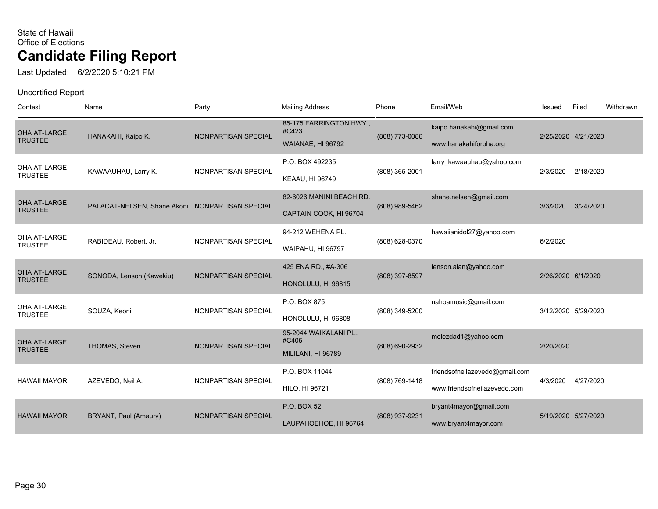Last Updated: 6/2/2020 5:10:21 PM

| Contest                               | Name                                            | Party               | <b>Mailing Address</b>                                | Phone          | Email/Web                                                      | Issued             | Filed               | Withdrawn |
|---------------------------------------|-------------------------------------------------|---------------------|-------------------------------------------------------|----------------|----------------------------------------------------------------|--------------------|---------------------|-----------|
| OHA AT-LARGE<br><b>TRUSTEE</b>        | HANAKAHI, Kaipo K.                              | NONPARTISAN SPECIAL | 85-175 FARRINGTON HWY.,<br>#C423<br>WAIANAE, HI 96792 | (808) 773-0086 | kaipo.hanakahi@gmail.com<br>www.hanakahiforoha.org             |                    | 2/25/2020 4/21/2020 |           |
| OHA AT-LARGE<br><b>TRUSTEE</b>        | KAWAAUHAU, Larry K.                             | NONPARTISAN SPECIAL | P.O. BOX 492235<br><b>KEAAU, HI 96749</b>             | (808) 365-2001 | larry_kawaauhau@yahoo.com                                      | 2/3/2020           | 2/18/2020           |           |
| OHA AT-LARGE<br><b>TRUSTEE</b>        | PALACAT-NELSEN, Shane Akoni NONPARTISAN SPECIAL |                     | 82-6026 MANINI BEACH RD.<br>CAPTAIN COOK, HI 96704    | (808) 989-5462 | shane.nelsen@gmail.com                                         | 3/3/2020           | 3/24/2020           |           |
| OHA AT-LARGE<br><b>TRUSTEE</b>        | RABIDEAU, Robert, Jr.                           | NONPARTISAN SPECIAL | 94-212 WEHENA PL.<br>WAIPAHU, HI 96797                | (808) 628-0370 | hawaiianidol27@yahoo.com                                       | 6/2/2020           |                     |           |
| OHA AT-LARGE<br><b>TRUSTEE</b>        | SONODA, Lenson (Kawekiu)                        | NONPARTISAN SPECIAL | 425 ENA RD., #A-306<br>HONOLULU, HI 96815             | (808) 397-8597 | lenson.alan@yahoo.com                                          | 2/26/2020 6/1/2020 |                     |           |
| OHA AT-LARGE<br><b>TRUSTEE</b>        | SOUZA. Keoni                                    | NONPARTISAN SPECIAL | P.O. BOX 875<br>HONOLULU, HI 96808                    | (808) 349-5200 | nahoamusic@gmail.com                                           |                    | 3/12/2020 5/29/2020 |           |
| <b>OHA AT-LARGE</b><br><b>TRUSTEE</b> | THOMAS, Steven                                  | NONPARTISAN SPECIAL | 95-2044 WAIKALANI PL.,<br>#C405<br>MILILANI, HI 96789 | (808) 690-2932 | melezdad1@yahoo.com                                            | 2/20/2020          |                     |           |
| <b>HAWAII MAYOR</b>                   | AZEVEDO, Neil A.                                | NONPARTISAN SPECIAL | P.O. BOX 11044<br><b>HILO, HI 96721</b>               | (808) 769-1418 | friendsofneilazevedo@gmail.com<br>www.friendsofneilazevedo.com | 4/3/2020           | 4/27/2020           |           |
| <b>HAWAII MAYOR</b>                   | BRYANT, Paul (Amaury)                           | NONPARTISAN SPECIAL | P.O. BOX 52<br>LAUPAHOEHOE, HI 96764                  | (808) 937-9231 | bryant4mayor@gmail.com<br>www.bryant4mayor.com                 |                    | 5/19/2020 5/27/2020 |           |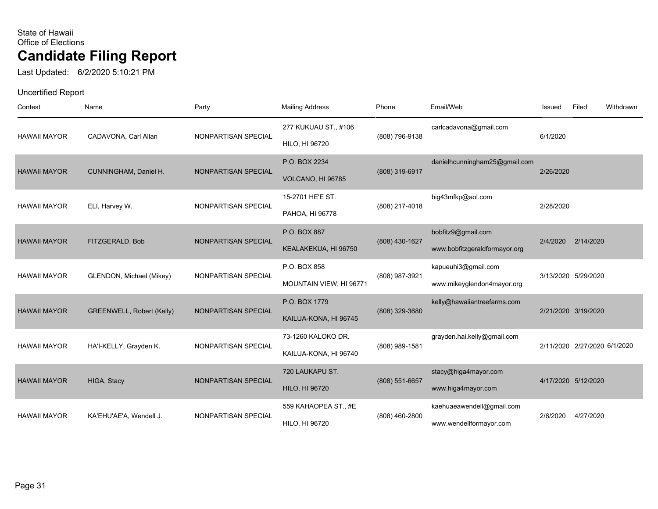Last Updated: 6/2/2020 5:10:21 PM

| Contest             | Name                      | Party               | <b>Mailing Address</b>                      | Phone          | Email/Web                                            | Issued    | Filed                        | Withdrawn |
|---------------------|---------------------------|---------------------|---------------------------------------------|----------------|------------------------------------------------------|-----------|------------------------------|-----------|
| <b>HAWAII MAYOR</b> | CADAVONA, Carl Allan      | NONPARTISAN SPECIAL | 277 KUKUAU ST., #106<br>HILO, HI 96720      | (808) 796-9138 | carlcadavona@gmail.com                               | 6/1/2020  |                              |           |
| <b>HAWAII MAYOR</b> | CUNNINGHAM, Daniel H.     | NONPARTISAN SPECIAL | P.O. BOX 2234<br>VOLCANO, HI 96785          | (808) 319-6917 | danielhcunningham25@gmail.com                        | 2/26/2020 |                              |           |
| <b>HAWAII MAYOR</b> | ELI, Harvey W.            | NONPARTISAN SPECIAL | 15-2701 HE'E ST.<br>PAHOA, HI 96778         | (808) 217-4018 | big43mfkp@aol.com                                    | 2/28/2020 |                              |           |
| <b>HAWAII MAYOR</b> | FITZGERALD, Bob           | NONPARTISAN SPECIAL | P.O. BOX 887<br>KEALAKEKUA, HI 96750        | (808) 430-1627 | bobfitz9@gmail.com<br>www.bobfitzgeraldformayor.org  | 2/4/2020  | 2/14/2020                    |           |
| <b>HAWAII MAYOR</b> | GLENDON, Michael (Mikey)  | NONPARTISAN SPECIAL | P.O. BOX 858<br>MOUNTAIN VIEW, HI 96771     | (808) 987-3921 | kapueuhi3@gmail.com<br>www.mikeyglendon4mayor.org    |           | 3/13/2020 5/29/2020          |           |
| <b>HAWAII MAYOR</b> | GREENWELL, Robert (Kelly) | NONPARTISAN SPECIAL | P.O. BOX 1779<br>KAILUA-KONA, HI 96745      | (808) 329-3680 | kelly@hawaiiantreefarms.com                          |           | 2/21/2020 3/19/2020          |           |
| <b>HAWAII MAYOR</b> | HA'l-KELLY, Grayden K.    | NONPARTISAN SPECIAL | 73-1260 KALOKO DR.<br>KAILUA-KONA, HI 96740 | (808) 989-1581 | grayden.hai.kelly@gmail.com                          |           | 2/11/2020 2/27/2020 6/1/2020 |           |
| <b>HAWAII MAYOR</b> | HIGA, Stacy               | NONPARTISAN SPECIAL | 720 LAUKAPU ST.<br><b>HILO, HI 96720</b>    | (808) 551-6657 | stacy@higa4mayor.com<br>www.higa4mayor.com           |           | 4/17/2020 5/12/2020          |           |
| <b>HAWAII MAYOR</b> | KA'EHU'AE'A, Wendell J.   | NONPARTISAN SPECIAL | 559 KAHAOPEA ST., #E<br>HILO, HI 96720      | (808) 460-2800 | kaehuaeawendell@gmail.com<br>www.wendellformayor.com | 2/6/2020  | 4/27/2020                    |           |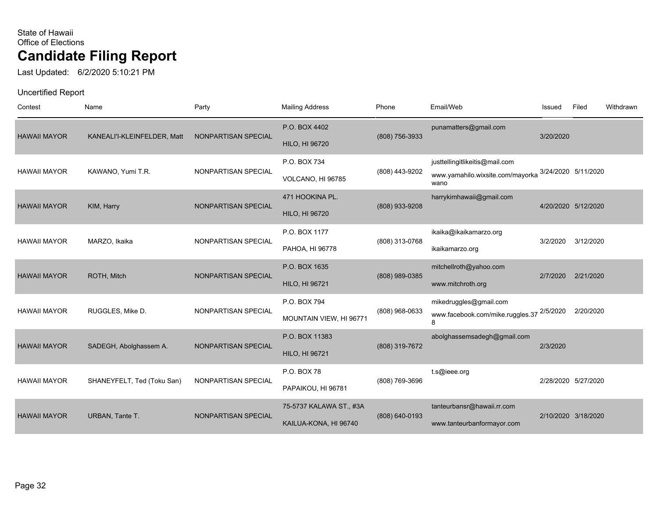Last Updated: 6/2/2020 5:10:21 PM

| Contest             | Name                        | Party               | <b>Mailing Address</b>                           | Phone          | Email/Web                                                                  | Issued    | Filed               | Withdrawn |
|---------------------|-----------------------------|---------------------|--------------------------------------------------|----------------|----------------------------------------------------------------------------|-----------|---------------------|-----------|
| <b>HAWAII MAYOR</b> | KANEALI'I-KLEINFELDER, Matt | NONPARTISAN SPECIAL | P.O. BOX 4402<br><b>HILO, HI 96720</b>           | (808) 756-3933 | punamatters@gmail.com                                                      | 3/20/2020 |                     |           |
| <b>HAWAII MAYOR</b> | KAWANO, Yumi T.R.           | NONPARTISAN SPECIAL | P.O. BOX 734<br>VOLCANO, HI 96785                | (808) 443-9202 | justtellingitlikeitis@mail.com<br>www.yamahilo.wixsite.com/mayorka<br>wano |           | 3/24/2020 5/11/2020 |           |
| <b>HAWAII MAYOR</b> | KIM, Harry                  | NONPARTISAN SPECIAL | 471 HOOKINA PL.<br><b>HILO, HI 96720</b>         | (808) 933-9208 | harrykimhawaii@gmail.com                                                   |           | 4/20/2020 5/12/2020 |           |
| <b>HAWAII MAYOR</b> | MARZO, Ikaika               | NONPARTISAN SPECIAL | P.O. BOX 1177<br>PAHOA, HI 96778                 | (808) 313-0768 | ikaika@ikaikamarzo.org<br>ikaikamarzo.org                                  | 3/2/2020  | 3/12/2020           |           |
| <b>HAWAII MAYOR</b> | ROTH, Mitch                 | NONPARTISAN SPECIAL | P.O. BOX 1635<br><b>HILO, HI 96721</b>           | (808) 989-0385 | mitchellroth@yahoo.com<br>www.mitchroth.org                                | 2/7/2020  | 2/21/2020           |           |
| <b>HAWAII MAYOR</b> | RUGGLES, Mike D.            | NONPARTISAN SPECIAL | P.O. BOX 794<br>MOUNTAIN VIEW, HI 96771          | (808) 968-0633 | mikedruggles@gmail.com<br>www.facebook.com/mike.ruggles.37 2/5/2020<br>8   |           | 2/20/2020           |           |
| <b>HAWAII MAYOR</b> | SADEGH, Abolghassem A.      | NONPARTISAN SPECIAL | P.O. BOX 11383<br><b>HILO, HI 96721</b>          | (808) 319-7672 | abolghassemsadegh@gmail.com                                                | 2/3/2020  |                     |           |
| <b>HAWAII MAYOR</b> | SHANEYFELT, Ted (Toku San)  | NONPARTISAN SPECIAL | P.O. BOX 78<br>PAPAIKOU, HI 96781                | (808) 769-3696 | t.s@ieee.org                                                               |           | 2/28/2020 5/27/2020 |           |
| <b>HAWAII MAYOR</b> | URBAN, Tante T.             | NONPARTISAN SPECIAL | 75-5737 KALAWA ST., #3A<br>KAILUA-KONA, HI 96740 | (808) 640-0193 | tanteurbansr@hawaii.rr.com<br>www.tanteurbanformayor.com                   |           | 2/10/2020 3/18/2020 |           |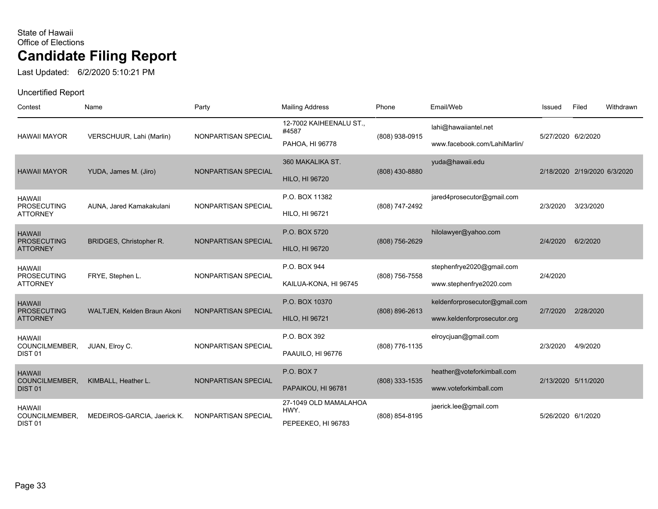Last Updated: 6/2/2020 5:10:21 PM

| Contest                                                      | Name                           | Party               | <b>Mailing Address</b>                              | Phone            | Email/Web                                                    | Issued             | Filed                        | Withdrawn |
|--------------------------------------------------------------|--------------------------------|---------------------|-----------------------------------------------------|------------------|--------------------------------------------------------------|--------------------|------------------------------|-----------|
| <b>HAWAII MAYOR</b>                                          | VERSCHUUR, Lahi (Marlin)       | NONPARTISAN SPECIAL | 12-7002 KAIHEENALU ST.,<br>#4587<br>PAHOA, HI 96778 | (808) 938-0915   | lahi@hawaiiantel.net<br>www.facebook.com/LahiMarlin/         | 5/27/2020 6/2/2020 |                              |           |
| <b>HAWAII MAYOR</b>                                          | YUDA, James M. (Jiro)          | NONPARTISAN SPECIAL | 360 MAKALIKA ST.<br><b>HILO, HI 96720</b>           | (808) 430-8880   | yuda@hawaii.edu                                              |                    | 2/18/2020 2/19/2020 6/3/2020 |           |
| <b>HAWAII</b><br><b>PROSECUTING</b><br><b>ATTORNEY</b>       | AUNA, Jared Kamakakulani       | NONPARTISAN SPECIAL | P.O. BOX 11382<br>HILO, HI 96721                    | (808) 747-2492   | jared4prosecutor@gmail.com                                   | 2/3/2020           | 3/23/2020                    |           |
| <b>HAWAII</b><br><b>PROSECUTING</b><br><b>ATTORNEY</b>       | <b>BRIDGES, Christopher R.</b> | NONPARTISAN SPECIAL | P.O. BOX 5720<br><b>HILO, HI 96720</b>              | (808) 756-2629   | hilolawyer@yahoo.com                                         | 2/4/2020           | 6/2/2020                     |           |
| <b>HAWAII</b><br><b>PROSECUTING</b><br><b>ATTORNEY</b>       | FRYE, Stephen L.               | NONPARTISAN SPECIAL | P.O. BOX 944<br>KAILUA-KONA, HI 96745               | (808) 756-7558   | stephenfrye2020@gmail.com<br>www.stephenfrye2020.com         | 2/4/2020           |                              |           |
| <b>HAWAII</b><br><b>PROSECUTING</b><br><b>ATTORNEY</b>       | WALTJEN, Kelden Braun Akoni    | NONPARTISAN SPECIAL | P.O. BOX 10370<br><b>HILO, HI 96721</b>             | (808) 896-2613   | keldenforprosecutor@gmail.com<br>www.keldenforprosecutor.org | 2/7/2020           | 2/28/2020                    |           |
| <b>HAWAII</b><br>COUNCILMEMBER,<br>DIST <sub>01</sub>        | JUAN, Elroy C.                 | NONPARTISAN SPECIAL | P.O. BOX 392<br>PAAUILO, HI 96776                   | (808) 776-1135   | elroycjuan@gmail.com                                         | 2/3/2020           | 4/9/2020                     |           |
| <b>HAWAII</b><br><b>COUNCILMEMBER,</b><br>DIST <sub>01</sub> | KIMBALL, Heather L.            | NONPARTISAN SPECIAL | <b>P.O. BOX 7</b><br>PAPAIKOU, HI 96781             | $(808)$ 333-1535 | heather@voteforkimball.com<br>www.voteforkimball.com         |                    | 2/13/2020 5/11/2020          |           |
| <b>HAWAII</b><br>COUNCILMEMBER,<br>DIST <sub>01</sub>        | MEDEIROS-GARCIA, Jaerick K.    | NONPARTISAN SPECIAL | 27-1049 OLD MAMALAHOA<br>HWY.<br>PEPEEKEO, HI 96783 | (808) 854-8195   | jaerick.lee@gmail.com                                        | 5/26/2020 6/1/2020 |                              |           |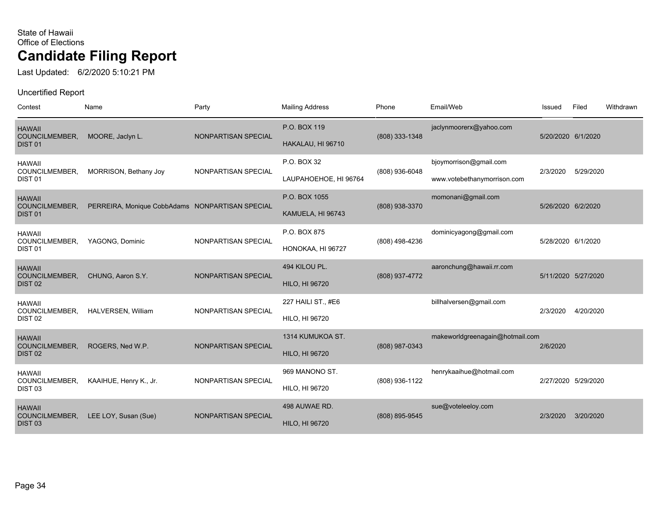Last Updated: 6/2/2020 5:10:21 PM

| Contest                                               | Name                                            | Party               | <b>Mailing Address</b>                      | Phone          | Email/Web                                             | Issued              | Filed     | Withdrawn |
|-------------------------------------------------------|-------------------------------------------------|---------------------|---------------------------------------------|----------------|-------------------------------------------------------|---------------------|-----------|-----------|
| <b>HAWAII</b><br>COUNCILMEMBER,<br>DIST <sub>01</sub> | MOORE, Jaclyn L.                                | NONPARTISAN SPECIAL | P.O. BOX 119<br>HAKALAU, HI 96710           | (808) 333-1348 | jaclynmoorerx@yahoo.com                               | 5/20/2020 6/1/2020  |           |           |
| <b>HAWAII</b><br>COUNCILMEMBER,<br>DIST <sub>01</sub> | MORRISON, Bethany Joy                           | NONPARTISAN SPECIAL | P.O. BOX 32<br>LAUPAHOEHOE, HI 96764        | (808) 936-6048 | bjoymorrison@gmail.com<br>www.votebethanymorrison.com | 2/3/2020            | 5/29/2020 |           |
| <b>HAWAII</b><br>COUNCILMEMBER,<br>DIST <sub>01</sub> | PERREIRA, Monique CobbAdams NONPARTISAN SPECIAL |                     | P.O. BOX 1055<br>KAMUELA, HI 96743          | (808) 938-3370 | momonani@gmail.com                                    | 5/26/2020 6/2/2020  |           |           |
| <b>HAWAII</b><br>COUNCILMEMBER,<br>DIST <sub>01</sub> | YAGONG, Dominic                                 | NONPARTISAN SPECIAL | P.O. BOX 875<br>HONOKAA, HI 96727           | (808) 498-4236 | dominicyagong@gmail.com                               | 5/28/2020 6/1/2020  |           |           |
| <b>HAWAII</b><br>COUNCILMEMBER,<br>DIST <sub>02</sub> | CHUNG, Aaron S.Y.                               | NONPARTISAN SPECIAL | 494 KILOU PL.<br><b>HILO, HI 96720</b>      | (808) 937-4772 | aaronchung@hawaii.rr.com                              | 5/11/2020 5/27/2020 |           |           |
| <b>HAWAII</b><br>COUNCILMEMBER,<br>DIST <sub>02</sub> | HALVERSEN, William                              | NONPARTISAN SPECIAL | 227 HAILI ST., #E6<br><b>HILO, HI 96720</b> |                | billhalversen@gmail.com                               | 2/3/2020            | 4/20/2020 |           |
| <b>HAWAII</b><br>COUNCILMEMBER,<br>DIST <sub>02</sub> | ROGERS, Ned W.P.                                | NONPARTISAN SPECIAL | 1314 KUMUKOA ST.<br><b>HILO, HI 96720</b>   | (808) 987-0343 | makeworldgreenagain@hotmail.com                       | 2/6/2020            |           |           |
| <b>HAWAII</b><br>COUNCILMEMBER,<br>DIST <sub>03</sub> | KAAIHUE, Henry K., Jr.                          | NONPARTISAN SPECIAL | 969 MANONO ST.<br><b>HILO, HI 96720</b>     | (808) 936-1122 | henrykaaihue@hotmail.com                              | 2/27/2020 5/29/2020 |           |           |
| <b>HAWAII</b><br>COUNCILMEMBER,<br>DIST <sub>03</sub> | LEE LOY, Susan (Sue)                            | NONPARTISAN SPECIAL | 498 AUWAE RD.<br><b>HILO, HI 96720</b>      | (808) 895-9545 | sue@voteleeloy.com                                    | 2/3/2020            | 3/20/2020 |           |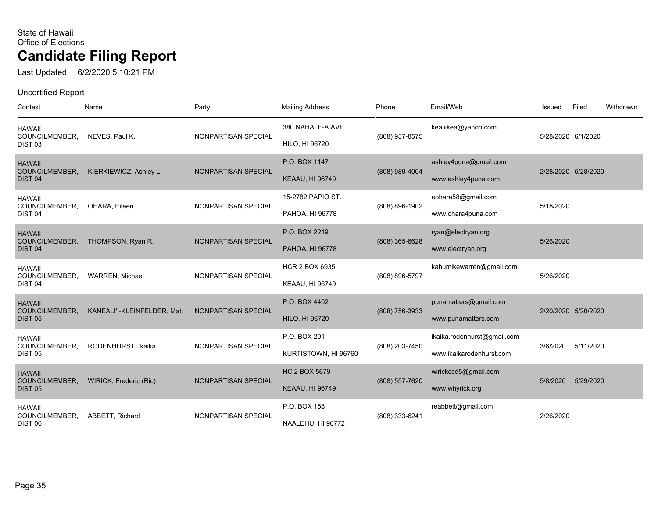Last Updated: 6/2/2020 5:10:21 PM

| Contest                                               | Name                        | Party               | <b>Mailing Address</b>                          | Phone          | Email/Web                                               | Issued             | Filed               | Withdrawn |
|-------------------------------------------------------|-----------------------------|---------------------|-------------------------------------------------|----------------|---------------------------------------------------------|--------------------|---------------------|-----------|
| <b>HAWAII</b><br>COUNCILMEMBER,<br>DIST <sub>03</sub> | NEVES, Paul K.              | NONPARTISAN SPECIAL | 380 NAHALE-A AVE.<br>HILO, HI 96720             | (808) 937-8575 | kealiikea@yahoo.com                                     | 5/28/2020 6/1/2020 |                     |           |
| <b>HAWAII</b><br>COUNCILMEMBER,<br>DIST <sub>04</sub> | KIERKIEWICZ, Ashley L.      | NONPARTISAN SPECIAL | P.O. BOX 1147<br><b>KEAAU, HI 96749</b>         | (808) 989-4004 | ashley4puna@gmail.com<br>www.ashley4puna.com            |                    | 2/28/2020 5/28/2020 |           |
| <b>HAWAII</b><br>COUNCILMEMBER,<br>DIST <sub>04</sub> | OHARA, Eileen               | NONPARTISAN SPECIAL | 15-2782 PAPIO ST.<br>PAHOA, HI 96778            | (808) 896-1902 | eohara58@gmail.com<br>www.ohara4puna.com                | 5/18/2020          |                     |           |
| <b>HAWAII</b><br>COUNCILMEMBER,<br>DIST <sub>04</sub> | THOMPSON, Ryan R.           | NONPARTISAN SPECIAL | P.O. BOX 2219<br>PAHOA, HI 96778                | (808) 365-6628 | ryan@electryan.org<br>www.electryan.org                 | 5/26/2020          |                     |           |
| <b>HAWAII</b><br>COUNCILMEMBER,<br>DIST <sub>04</sub> | WARREN, Michael             | NONPARTISAN SPECIAL | <b>HCR 2 BOX 6935</b><br><b>KEAAU, HI 96749</b> | (808) 896-5797 | kahumikewarren@gmail.com                                | 5/26/2020          |                     |           |
| <b>HAWAII</b><br>COUNCILMEMBER,<br><b>DIST 05</b>     | KANEALI'I-KLEINFELDER, Matt | NONPARTISAN SPECIAL | P.O. BOX 4402<br><b>HILO, HI 96720</b>          | (808) 756-3933 | punamatters@gmail.com<br>www.punamatters.com            |                    | 2/20/2020 5/20/2020 |           |
| <b>HAWAII</b><br>COUNCILMEMBER,<br><b>DIST 05</b>     | RODENHURST, Ikaika          | NONPARTISAN SPECIAL | P.O. BOX 201<br>KURTISTOWN, HI 96760            | (808) 203-7450 | ikaika.rodenhurst@gmail.com<br>www.ikaikarodenhurst.com | 3/6/2020           | 5/11/2020           |           |
| <b>HAWAII</b><br>COUNCILMEMBER,<br><b>DIST 05</b>     | WIRICK, Frederic (Ric)      | NONPARTISAN SPECIAL | <b>HC 2 BOX 5679</b><br><b>KEAAU, HI 96749</b>  | (808) 557-7620 | wirickccd5@gmail.com<br>www.whyrick.org                 | 5/8/2020           | 5/29/2020           |           |
| <b>HAWAII</b><br>COUNCILMEMBER,<br>DIST <sub>06</sub> | ABBETT, Richard             | NONPARTISAN SPECIAL | P.O. BOX 158<br>NAALEHU, HI 96772               | (808) 333-6241 | reabbett@gmail.com                                      | 2/26/2020          |                     |           |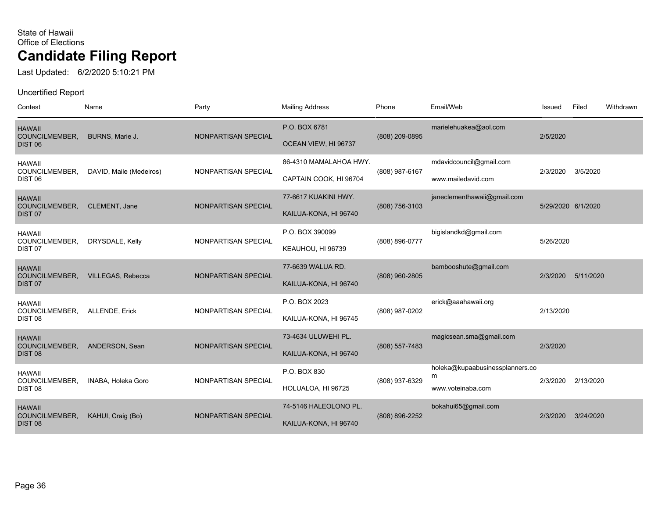Last Updated: 6/2/2020 5:10:21 PM

| Contest                                               | Name                     | Party               | <b>Mailing Address</b>                           | Phone          | Email/Web                                                 | Issued             | Filed     | Withdrawn |
|-------------------------------------------------------|--------------------------|---------------------|--------------------------------------------------|----------------|-----------------------------------------------------------|--------------------|-----------|-----------|
| <b>HAWAII</b><br>COUNCILMEMBER,<br>DIST <sub>06</sub> | BURNS, Marie J.          | NONPARTISAN SPECIAL | P.O. BOX 6781<br>OCEAN VIEW, HI 96737            | (808) 209-0895 | marielehuakea@aol.com                                     | 2/5/2020           |           |           |
| <b>HAWAII</b><br>COUNCILMEMBER,<br>DIST <sub>06</sub> | DAVID, Maile (Medeiros)  | NONPARTISAN SPECIAL | 86-4310 MAMALAHOA HWY.<br>CAPTAIN COOK, HI 96704 | (808) 987-6167 | mdavidcouncil@gmail.com<br>www.mailedavid.com             | 2/3/2020           | 3/5/2020  |           |
| <b>HAWAII</b><br>COUNCILMEMBER,<br>DIST <sub>07</sub> | CLEMENT, Jane            | NONPARTISAN SPECIAL | 77-6617 KUAKINI HWY.<br>KAILUA-KONA, HI 96740    | (808) 756-3103 | janeclementhawaii@gmail.com                               | 5/29/2020 6/1/2020 |           |           |
| <b>HAWAII</b><br>COUNCILMEMBER,<br>DIST <sub>07</sub> | DRYSDALE, Kelly          | NONPARTISAN SPECIAL | P.O. BOX 390099<br>KEAUHOU, HI 96739             | (808) 896-0777 | bigislandkd@gmail.com                                     | 5/26/2020          |           |           |
| <b>HAWAII</b><br>COUNCILMEMBER,<br>DIST <sub>07</sub> | <b>VILLEGAS, Rebecca</b> | NONPARTISAN SPECIAL | 77-6639 WALUA RD.<br>KAILUA-KONA, HI 96740       | (808) 960-2805 | bambooshute@gmail.com                                     | 2/3/2020           | 5/11/2020 |           |
| <b>HAWAII</b><br>COUNCILMEMBER,<br>DIST <sub>08</sub> | ALLENDE, Erick           | NONPARTISAN SPECIAL | P.O. BOX 2023<br>KAILUA-KONA, HI 96745           | (808) 987-0202 | erick@aaahawaii.org                                       | 2/13/2020          |           |           |
| <b>HAWAII</b><br>COUNCILMEMBER,<br>DIST <sub>08</sub> | ANDERSON, Sean           | NONPARTISAN SPECIAL | 73-4634 ULUWEHI PL.<br>KAILUA-KONA, HI 96740     | (808) 557-7483 | magicsean.sma@gmail.com                                   | 2/3/2020           |           |           |
| <b>HAWAII</b><br>COUNCILMEMBER,<br>DIST <sub>08</sub> | INABA, Holeka Goro       | NONPARTISAN SPECIAL | P.O. BOX 830<br>HOLUALOA, HI 96725               | (808) 937-6329 | holeka@kupaabusinessplanners.co<br>m<br>www.voteinaba.com | 2/3/2020           | 2/13/2020 |           |
| <b>HAWAII</b><br>COUNCILMEMBER,<br>DIST <sub>08</sub> | KAHUI, Craig (Bo)        | NONPARTISAN SPECIAL | 74-5146 HALEOLONO PL.<br>KAILUA-KONA, HI 96740   | (808) 896-2252 | bokahui65@gmail.com                                       | 2/3/2020           | 3/24/2020 |           |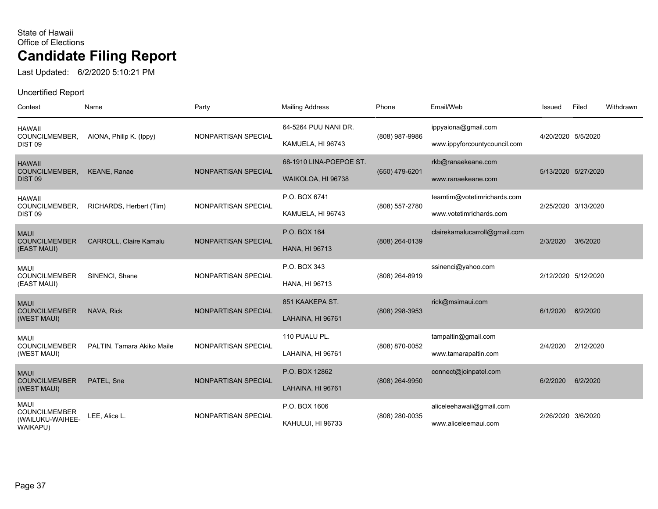Last Updated: 6/2/2020 5:10:21 PM

| Contest                                                             | Name                          | Party               | <b>Mailing Address</b>                        | Phone          | Email/Web                                              | Issued              | Filed     | Withdrawn |
|---------------------------------------------------------------------|-------------------------------|---------------------|-----------------------------------------------|----------------|--------------------------------------------------------|---------------------|-----------|-----------|
| <b>HAWAII</b><br>COUNCILMEMBER,<br>DIST <sub>09</sub>               | AIONA, Philip K. (Ippy)       | NONPARTISAN SPECIAL | 64-5264 PUU NANI DR.<br>KAMUELA, HI 96743     | (808) 987-9986 | ippyaiona@gmail.com<br>www.ippyforcountycouncil.com    | 4/20/2020 5/5/2020  |           |           |
| <b>HAWAII</b><br>COUNCILMEMBER,<br><b>DIST 09</b>                   | <b>KEANE, Ranae</b>           | NONPARTISAN SPECIAL | 68-1910 LINA-POEPOE ST.<br>WAIKOLOA, HI 96738 | (650) 479-6201 | rkb@ranaekeane.com<br>www.ranaekeane.com               | 5/13/2020 5/27/2020 |           |           |
| <b>HAWAII</b><br>COUNCILMEMBER,<br>DIST <sub>09</sub>               | RICHARDS, Herbert (Tim)       | NONPARTISAN SPECIAL | P.O. BOX 6741<br>KAMUELA, HI 96743            | (808) 557-2780 | teamtim@votetimrichards.com<br>www.votetimrichards.com | 2/25/2020 3/13/2020 |           |           |
| <b>MAUI</b><br><b>COUNCILMEMBER</b><br>(EAST MAUI)                  | <b>CARROLL, Claire Kamalu</b> | NONPARTISAN SPECIAL | P.O. BOX 164<br><b>HANA, HI 96713</b>         | (808) 264-0139 | clairekamalucarroll@gmail.com                          | 2/3/2020            | 3/6/2020  |           |
| <b>MAUI</b><br><b>COUNCILMEMBER</b><br>(EAST MAUI)                  | SINENCI, Shane                | NONPARTISAN SPECIAL | P.O. BOX 343<br>HANA, HI 96713                | (808) 264-8919 | ssinenci@yahoo.com                                     | 2/12/2020 5/12/2020 |           |           |
| <b>MAUI</b><br><b>COUNCILMEMBER</b><br>(WEST MAUI)                  | NAVA, Rick                    | NONPARTISAN SPECIAL | 851 KAAKEPA ST.<br>LAHAINA, HI 96761          | (808) 298-3953 | rick@msimaui.com                                       | 6/1/2020            | 6/2/2020  |           |
| <b>MAUI</b><br><b>COUNCILMEMBER</b><br>(WEST MAUI)                  | PALTIN, Tamara Akiko Maile    | NONPARTISAN SPECIAL | 110 PUALU PL.<br>LAHAINA, HI 96761            | (808) 870-0052 | tampaltin@gmail.com<br>www.tamarapaltin.com            | 2/4/2020            | 2/12/2020 |           |
| <b>MAUI</b><br><b>COUNCILMEMBER</b><br>(WEST MAUI)                  | PATEL, Sne                    | NONPARTISAN SPECIAL | P.O. BOX 12862<br>LAHAINA, HI 96761           | (808) 264-9950 | connect@joinpatel.com                                  | 6/2/2020            | 6/2/2020  |           |
| <b>MAUI</b><br><b>COUNCILMEMBER</b><br>(WAILUKU-WAIHEE-<br>WAIKAPU) | LEE, Alice L.                 | NONPARTISAN SPECIAL | P.O. BOX 1606<br>KAHULUI, HI 96733            | (808) 280-0035 | aliceleehawaii@gmail.com<br>www.aliceleemaui.com       | 2/26/2020 3/6/2020  |           |           |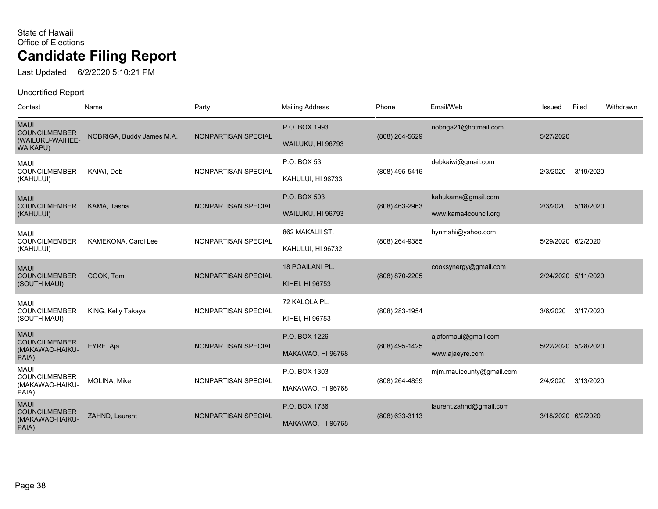Last Updated: 6/2/2020 5:10:21 PM

| Contest                                                             | Name                      | Party               | <b>Mailing Address</b>               | Phone          | Email/Web                                  | Issued             | Filed               | Withdrawn |
|---------------------------------------------------------------------|---------------------------|---------------------|--------------------------------------|----------------|--------------------------------------------|--------------------|---------------------|-----------|
| <b>MAUI</b><br><b>COUNCILMEMBER</b><br>(WAILUKU-WAIHEE-<br>WAIKAPU) | NOBRIGA, Buddy James M.A. | NONPARTISAN SPECIAL | P.O. BOX 1993<br>WAILUKU, HI 96793   | (808) 264-5629 | nobriga21@hotmail.com                      | 5/27/2020          |                     |           |
| <b>MAUI</b><br><b>COUNCILMEMBER</b><br>(KAHULUI)                    | KAIWI, Deb                | NONPARTISAN SPECIAL | P.O. BOX 53<br>KAHULUI, HI 96733     | (808) 495-5416 | debkaiwi@gmail.com                         | 2/3/2020           | 3/19/2020           |           |
| <b>MAUI</b><br><b>COUNCILMEMBER</b><br>(KAHULUI)                    | KAMA, Tasha               | NONPARTISAN SPECIAL | P.O. BOX 503<br>WAILUKU, HI 96793    | (808) 463-2963 | kahukama@gmail.com<br>www.kama4council.org | 2/3/2020           | 5/18/2020           |           |
| <b>MAUI</b><br><b>COUNCILMEMBER</b><br>(KAHULUI)                    | KAMEKONA, Carol Lee       | NONPARTISAN SPECIAL | 862 MAKALII ST.<br>KAHULUI, HI 96732 | (808) 264-9385 | hynmahi@yahoo.com                          | 5/29/2020 6/2/2020 |                     |           |
| <b>MAUI</b><br><b>COUNCILMEMBER</b><br>(SOUTH MAUI)                 | COOK, Tom                 | NONPARTISAN SPECIAL | 18 POAILANI PL.<br>KIHEI, HI 96753   | (808) 870-2205 | cooksynergy@gmail.com                      |                    | 2/24/2020 5/11/2020 |           |
| <b>MAUI</b><br><b>COUNCILMEMBER</b><br>(SOUTH MAUI)                 | KING, Kelly Takaya        | NONPARTISAN SPECIAL | 72 KALOLA PL.<br>KIHEI, HI 96753     | (808) 283-1954 |                                            | 3/6/2020           | 3/17/2020           |           |
| <b>MAUI</b><br><b>COUNCILMEMBER</b><br>(MAKAWAO-HAIKU-<br>PAIA)     | EYRE, Aja                 | NONPARTISAN SPECIAL | P.O. BOX 1226<br>MAKAWAO, HI 96768   | (808) 495-1425 | ajaformaui@gmail.com<br>www.ajaeyre.com    |                    | 5/22/2020 5/28/2020 |           |
| <b>MAUI</b><br><b>COUNCILMEMBER</b><br>(MAKAWAO-HAIKU-<br>PAIA)     | MOLINA, Mike              | NONPARTISAN SPECIAL | P.O. BOX 1303<br>MAKAWAO, HI 96768   | (808) 264-4859 | mjm.mauicounty@gmail.com                   | 2/4/2020           | 3/13/2020           |           |
| <b>MAUI</b><br><b>COUNCILMEMBER</b><br>(MAKAWAO-HAIKU-<br>PAIA)     | ZAHND, Laurent            | NONPARTISAN SPECIAL | P.O. BOX 1736<br>MAKAWAO, HI 96768   | (808) 633-3113 | laurent.zahnd@gmail.com                    | 3/18/2020 6/2/2020 |                     |           |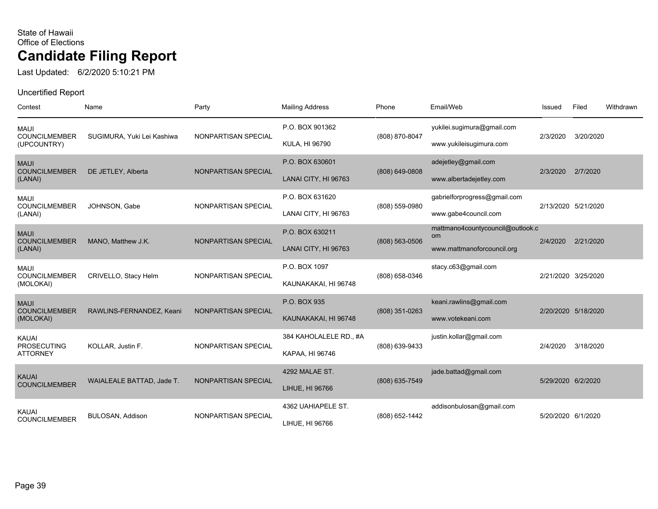Last Updated: 6/2/2020 5:10:21 PM

| Contest                                               | Name                       | Party               | <b>Mailing Address</b>                    | Phone              | Email/Web                                                            | Issued             | Filed               | Withdrawn |
|-------------------------------------------------------|----------------------------|---------------------|-------------------------------------------|--------------------|----------------------------------------------------------------------|--------------------|---------------------|-----------|
| <b>MAUI</b><br><b>COUNCILMEMBER</b><br>(UPCOUNTRY)    | SUGIMURA, Yuki Lei Kashiwa | NONPARTISAN SPECIAL | P.O. BOX 901362<br><b>KULA, HI 96790</b>  | (808) 870-8047     | yukilei.sugimura@gmail.com<br>www.yukileisugimura.com                | 2/3/2020           | 3/20/2020           |           |
| <b>MAUI</b><br><b>COUNCILMEMBER</b><br>(LANAI)        | DE JETLEY, Alberta         | NONPARTISAN SPECIAL | P.O. BOX 630601<br>LANAI CITY, HI 96763   | (808) 649-0808     | adejetley@gmail.com<br>www.albertadejetley.com                       | 2/3/2020           | 2/7/2020            |           |
| <b>MAUI</b><br><b>COUNCILMEMBER</b><br>(LANAI)        | JOHNSON, Gabe              | NONPARTISAN SPECIAL | P.O. BOX 631620<br>LANAI CITY, HI 96763   | (808) 559-0980     | gabrielforprogress@gmail.com<br>www.gabe4council.com                 |                    | 2/13/2020 5/21/2020 |           |
| <b>MAUI</b><br><b>COUNCILMEMBER</b><br>(LANAI)        | MANO, Matthew J.K.         | NONPARTISAN SPECIAL | P.O. BOX 630211<br>LANAI CITY, HI 96763   | $(808) 563 - 0506$ | mattmano4countycouncil@outlook.c<br>om<br>www.mattmanoforcouncil.org | 2/4/2020           | 2/21/2020           |           |
| <b>MAUI</b><br><b>COUNCILMEMBER</b><br>(MOLOKAI)      | CRIVELLO, Stacy Helm       | NONPARTISAN SPECIAL | P.O. BOX 1097<br>KAUNAKAKAI, HI 96748     | (808) 658-0346     | stacy.c63@gmail.com                                                  |                    | 2/21/2020 3/25/2020 |           |
| <b>MAUI</b><br><b>COUNCILMEMBER</b><br>(MOLOKAI)      | RAWLINS-FERNANDEZ, Keani   | NONPARTISAN SPECIAL | P.O. BOX 935<br>KAUNAKAKAI, HI 96748      | $(808)$ 351-0263   | keani.rawlins@gmail.com<br>www.votekeani.com                         |                    | 2/20/2020 5/18/2020 |           |
| <b>KAUAI</b><br><b>PROSECUTING</b><br><b>ATTORNEY</b> | KOLLAR, Justin F.          | NONPARTISAN SPECIAL | 384 KAHOLALELE RD., #A<br>KAPAA, HI 96746 | (808) 639-9433     | justin.kollar@gmail.com                                              | 2/4/2020           | 3/18/2020           |           |
| <b>KAUAI</b><br><b>COUNCILMEMBER</b>                  | WAIALEALE BATTAD, Jade T.  | NONPARTISAN SPECIAL | 4292 MALAE ST.<br>LIHUE, HI 96766         | (808) 635-7549     | jade.battad@gmail.com                                                | 5/29/2020 6/2/2020 |                     |           |
| <b>KAUAI</b><br><b>COUNCILMEMBER</b>                  | BULOSAN, Addison           | NONPARTISAN SPECIAL | 4362 UAHIAPELE ST.<br>LIHUE, HI 96766     | (808) 652-1442     | addisonbulosan@gmail.com                                             | 5/20/2020 6/1/2020 |                     |           |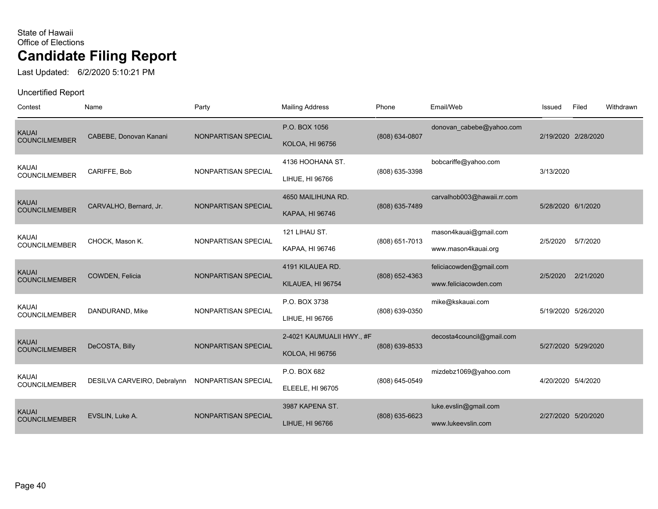Last Updated: 6/2/2020 5:10:21 PM

| Contest                              | Name                        | Party               | <b>Mailing Address</b>                              | Phone            | Email/Web                                        | Issued             | Filed               | Withdrawn |
|--------------------------------------|-----------------------------|---------------------|-----------------------------------------------------|------------------|--------------------------------------------------|--------------------|---------------------|-----------|
| <b>KAUAI</b><br><b>COUNCILMEMBER</b> | CABEBE, Donovan Kanani      | NONPARTISAN SPECIAL | P.O. BOX 1056<br><b>KOLOA, HI 96756</b>             | (808) 634-0807   | donovan_cabebe@yahoo.com                         |                    | 2/19/2020 2/28/2020 |           |
| <b>KAUAI</b><br><b>COUNCILMEMBER</b> | CARIFFE, Bob                | NONPARTISAN SPECIAL | 4136 HOOHANA ST.<br>LIHUE, HI 96766                 | (808) 635-3398   | bobcariffe@yahoo.com                             | 3/13/2020          |                     |           |
| <b>KAUAI</b><br><b>COUNCILMEMBER</b> | CARVALHO, Bernard, Jr.      | NONPARTISAN SPECIAL | 4650 MAILIHUNA RD.<br>KAPAA, HI 96746               | (808) 635-7489   | carvalhob003@hawaii.rr.com                       | 5/28/2020 6/1/2020 |                     |           |
| <b>KAUAI</b><br><b>COUNCILMEMBER</b> | CHOCK, Mason K.             | NONPARTISAN SPECIAL | 121 LIHAU ST.<br>KAPAA, HI 96746                    | (808) 651-7013   | mason4kauai@gmail.com<br>www.mason4kauai.org     | 2/5/2020           | 5/7/2020            |           |
| <b>KAUAI</b><br><b>COUNCILMEMBER</b> | COWDEN, Felicia             | NONPARTISAN SPECIAL | 4191 KILAUEA RD.<br>KILAUEA, HI 96754               | (808) 652-4363   | feliciacowden@gmail.com<br>www.feliciacowden.com | 2/5/2020           | 2/21/2020           |           |
| <b>KAUAI</b><br><b>COUNCILMEMBER</b> | DANDURAND, Mike             | NONPARTISAN SPECIAL | P.O. BOX 3738<br>LIHUE, HI 96766                    | (808) 639-0350   | mike@kskauai.com                                 |                    | 5/19/2020 5/26/2020 |           |
| <b>KAUAI</b><br><b>COUNCILMEMBER</b> | DeCOSTA, Billy              | NONPARTISAN SPECIAL | 2-4021 KAUMUALII HWY., #F<br><b>KOLOA, HI 96756</b> | (808) 639-8533   | decosta4council@gmail.com                        |                    | 5/27/2020 5/29/2020 |           |
| <b>KAUAI</b><br><b>COUNCILMEMBER</b> | DESILVA CARVEIRO, Debralynn | NONPARTISAN SPECIAL | P.O. BOX 682<br><b>ELEELE, HI 96705</b>             | (808) 645-0549   | mizdebz1069@yahoo.com                            | 4/20/2020 5/4/2020 |                     |           |
| <b>KAUAI</b><br><b>COUNCILMEMBER</b> | EVSLIN, Luke A.             | NONPARTISAN SPECIAL | 3987 KAPENA ST.<br>LIHUE, HI 96766                  | $(808)$ 635-6623 | luke.evslin@gmail.com<br>www.lukeevslin.com      |                    | 2/27/2020 5/20/2020 |           |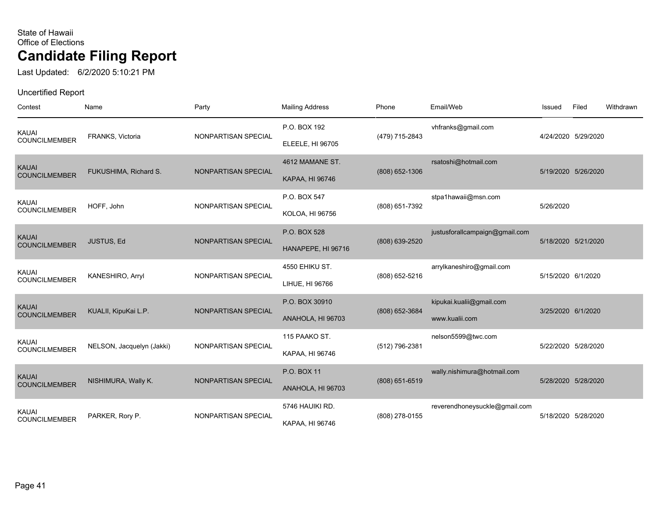Last Updated: 6/2/2020 5:10:21 PM

| Contest                              | Name                      | Party               | <b>Mailing Address</b>                  | Phone            | Email/Web                                  | Issued             | Filed               | Withdrawn |
|--------------------------------------|---------------------------|---------------------|-----------------------------------------|------------------|--------------------------------------------|--------------------|---------------------|-----------|
| KAUAI<br><b>COUNCILMEMBER</b>        | FRANKS, Victoria          | NONPARTISAN SPECIAL | P.O. BOX 192<br><b>ELEELE, HI 96705</b> | (479) 715-2843   | vhfranks@gmail.com                         |                    | 4/24/2020 5/29/2020 |           |
| <b>KAUAI</b><br><b>COUNCILMEMBER</b> | FUKUSHIMA, Richard S.     | NONPARTISAN SPECIAL | 4612 MAMANE ST.<br>KAPAA, HI 96746      | $(808)$ 652-1306 | rsatoshi@hotmail.com                       |                    | 5/19/2020 5/26/2020 |           |
| KAUAI<br><b>COUNCILMEMBER</b>        | HOFF, John                | NONPARTISAN SPECIAL | P.O. BOX 547<br><b>KOLOA, HI 96756</b>  | (808) 651-7392   | stpa1hawaii@msn.com                        | 5/26/2020          |                     |           |
| <b>KAUAI</b><br><b>COUNCILMEMBER</b> | JUSTUS, Ed                | NONPARTISAN SPECIAL | P.O. BOX 528<br>HANAPEPE, HI 96716      | (808) 639-2520   | justusforallcampaign@gmail.com             |                    | 5/18/2020 5/21/2020 |           |
| KAUAI<br><b>COUNCILMEMBER</b>        | KANESHIRO, Arryl          | NONPARTISAN SPECIAL | 4550 EHIKU ST.<br>LIHUE, HI 96766       | (808) 652-5216   | arrylkaneshiro@gmail.com                   | 5/15/2020 6/1/2020 |                     |           |
| <b>KAUAI</b><br><b>COUNCILMEMBER</b> | KUALII, KipuKai L.P.      | NONPARTISAN SPECIAL | P.O. BOX 30910<br>ANAHOLA, HI 96703     | $(808)$ 652-3684 | kipukai.kualii@gmail.com<br>www.kualii.com | 3/25/2020 6/1/2020 |                     |           |
| KAUAI<br><b>COUNCILMEMBER</b>        | NELSON, Jacquelyn (Jakki) | NONPARTISAN SPECIAL | 115 PAAKO ST.<br>KAPAA, HI 96746        | (512) 796-2381   | nelson5599@twc.com                         |                    | 5/22/2020 5/28/2020 |           |
| <b>KAUAI</b><br><b>COUNCILMEMBER</b> | NISHIMURA, Wally K.       | NONPARTISAN SPECIAL | P.O. BOX 11<br>ANAHOLA, HI 96703        | $(808)$ 651-6519 | wally.nishimura@hotmail.com                |                    | 5/28/2020 5/28/2020 |           |
| <b>KAUAI</b><br><b>COUNCILMEMBER</b> | PARKER, Rory P.           | NONPARTISAN SPECIAL | 5746 HAUIKI RD.<br>KAPAA, HI 96746      | (808) 278-0155   | reverendhoneysuckle@gmail.com              |                    | 5/18/2020 5/28/2020 |           |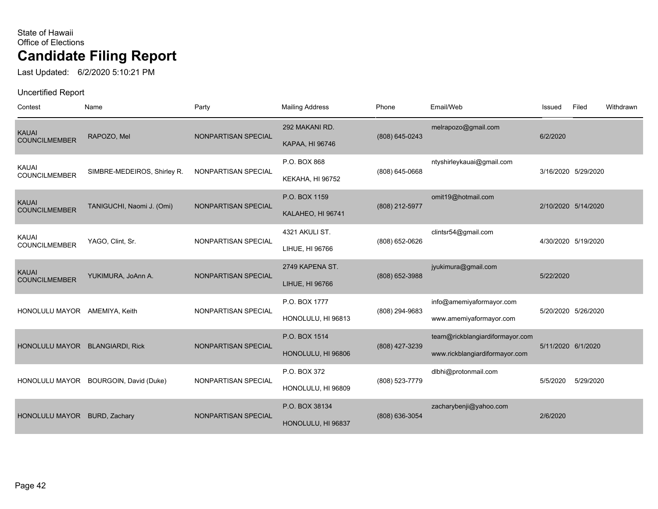Last Updated: 6/2/2020 5:10:21 PM

| Contest                              | Name                        | Party               | <b>Mailing Address</b>               | Phone          | Email/Web                                                         | Issued    | Filed               | Withdrawn |
|--------------------------------------|-----------------------------|---------------------|--------------------------------------|----------------|-------------------------------------------------------------------|-----------|---------------------|-----------|
| <b>KAUAI</b><br><b>COUNCILMEMBER</b> | RAPOZO, Mel                 | NONPARTISAN SPECIAL | 292 MAKANI RD.<br>KAPAA, HI 96746    | (808) 645-0243 | melrapozo@gmail.com                                               | 6/2/2020  |                     |           |
| <b>KAUAI</b><br><b>COUNCILMEMBER</b> | SIMBRE-MEDEIROS, Shirley R. | NONPARTISAN SPECIAL | P.O. BOX 868<br>KEKAHA, HI 96752     | (808) 645-0668 | ntyshirleykauai@gmail.com                                         |           | 3/16/2020 5/29/2020 |           |
| <b>KAUAI</b><br><b>COUNCILMEMBER</b> | TANIGUCHI, Naomi J. (Omi)   | NONPARTISAN SPECIAL | P.O. BOX 1159<br>KALAHEO, HI 96741   | (808) 212-5977 | omit19@hotmail.com                                                |           | 2/10/2020 5/14/2020 |           |
| <b>KAUAI</b><br><b>COUNCILMEMBER</b> | YAGO, Clint, Sr.            | NONPARTISAN SPECIAL | 4321 AKULI ST.<br>LIHUE, HI 96766    | (808) 652-0626 | clintsr54@gmail.com                                               |           | 4/30/2020 5/19/2020 |           |
| <b>KAUAI</b><br><b>COUNCILMEMBER</b> | YUKIMURA, JoAnn A.          | NONPARTISAN SPECIAL | 2749 KAPENA ST.<br>LIHUE, HI 96766   | (808) 652-3988 | jyukimura@gmail.com                                               | 5/22/2020 |                     |           |
| HONOLULU MAYOR AMEMIYA, Keith        |                             | NONPARTISAN SPECIAL | P.O. BOX 1777<br>HONOLULU, HI 96813  | (808) 294-9683 | info@amemiyaformayor.com<br>www.amemiyaformayor.com               |           | 5/20/2020 5/26/2020 |           |
| HONOLULU MAYOR BLANGIARDI, Rick      |                             | NONPARTISAN SPECIAL | P.O. BOX 1514<br>HONOLULU, HI 96806  | (808) 427-3239 | team@rickblangiardiformayor.com<br>www.rickblangiardiformayor.com |           | 5/11/2020 6/1/2020  |           |
| HONOLULU MAYOR                       | BOURGOIN, David (Duke)      | NONPARTISAN SPECIAL | P.O. BOX 372<br>HONOLULU, HI 96809   | (808) 523-7779 | dlbhi@protonmail.com                                              | 5/5/2020  | 5/29/2020           |           |
| <b>HONOLULU MAYOR</b>                | BURD, Zachary               | NONPARTISAN SPECIAL | P.O. BOX 38134<br>HONOLULU, HI 96837 | (808) 636-3054 | zacharybenji@yahoo.com                                            | 2/6/2020  |                     |           |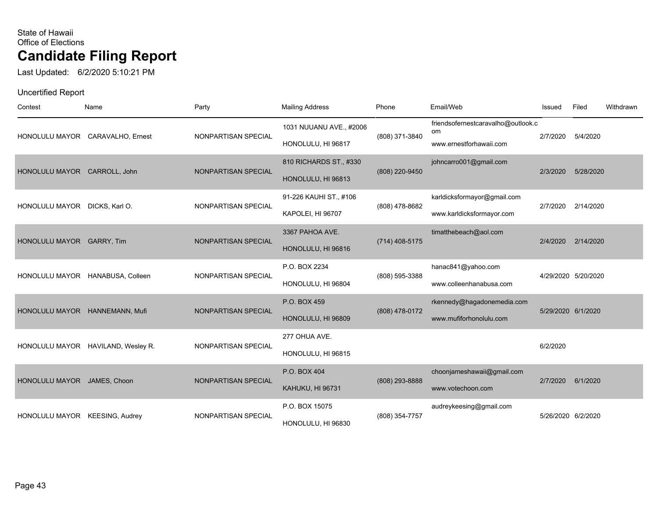Last Updated: 6/2/2020 5:10:21 PM

| Contest                        | Name                               | Party               | <b>Mailing Address</b>                        | Phone            | Email/Web                                                           | Issued   | Filed               | Withdrawn |
|--------------------------------|------------------------------------|---------------------|-----------------------------------------------|------------------|---------------------------------------------------------------------|----------|---------------------|-----------|
|                                | HONOLULU MAYOR CARAVALHO, Ernest   | NONPARTISAN SPECIAL | 1031 NUUANU AVE., #2006<br>HONOLULU, HI 96817 | (808) 371-3840   | friendsofernestcaravalho@outlook.c<br>om<br>www.ernestforhawaii.com | 2/7/2020 | 5/4/2020            |           |
| HONOLULU MAYOR CARROLL, John   |                                    | NONPARTISAN SPECIAL | 810 RICHARDS ST., #330<br>HONOLULU, HI 96813  | (808) 220-9450   | johncarro001@gmail.com                                              | 2/3/2020 | 5/28/2020           |           |
| HONOLULU MAYOR DICKS, Karl O.  |                                    | NONPARTISAN SPECIAL | 91-226 KAUHI ST., #106<br>KAPOLEI, HI 96707   | (808) 478-8682   | karldicksformayor@gmail.com<br>www.karldicksformayor.com            | 2/7/2020 | 2/14/2020           |           |
| HONOLULU MAYOR GARRY, Tim      |                                    | NONPARTISAN SPECIAL | 3367 PAHOA AVE.<br>HONOLULU, HI 96816         | $(714)$ 408-5175 | timatthebeach@aol.com                                               | 2/4/2020 | 2/14/2020           |           |
|                                | HONOLULU MAYOR HANABUSA, Colleen   | NONPARTISAN SPECIAL | P.O. BOX 2234<br>HONOLULU, HI 96804           | (808) 595-3388   | hanac841@yahoo.com<br>www.colleenhanabusa.com                       |          | 4/29/2020 5/20/2020 |           |
|                                | HONOLULU MAYOR HANNEMANN, Mufi     | NONPARTISAN SPECIAL | P.O. BOX 459<br>HONOLULU, HI 96809            | (808) 478-0172   | rkennedy@hagadonemedia.com<br>www.mufiforhonolulu.com               |          | 5/29/2020 6/1/2020  |           |
|                                | HONOLULU MAYOR HAVILAND, Wesley R. | NONPARTISAN SPECIAL | 277 OHUA AVE.<br>HONOLULU, HI 96815           |                  |                                                                     | 6/2/2020 |                     |           |
| HONOLULU MAYOR JAMES, Choon    |                                    | NONPARTISAN SPECIAL | P.O. BOX 404<br>KAHUKU, HI 96731              | (808) 293-8888   | choonjameshawaii@gmail.com<br>www.votechoon.com                     | 2/7/2020 | 6/1/2020            |           |
| HONOLULU MAYOR KEESING, Audrey |                                    | NONPARTISAN SPECIAL | P.O. BOX 15075<br>HONOLULU, HI 96830          | (808) 354-7757   | audreykeesing@gmail.com                                             |          | 5/26/2020 6/2/2020  |           |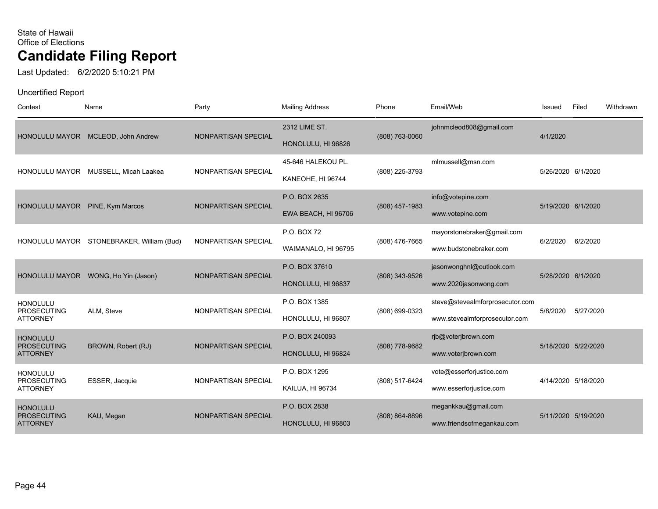Last Updated: 6/2/2020 5:10:21 PM

| Contest                                                  | Name                                      | Party               | <b>Mailing Address</b>                  | Phone            | Email/Web                                                        | Issued   | Filed               | Withdrawn |
|----------------------------------------------------------|-------------------------------------------|---------------------|-----------------------------------------|------------------|------------------------------------------------------------------|----------|---------------------|-----------|
| <b>HONOLULU MAYOR</b>                                    | MCLEOD, John Andrew                       | NONPARTISAN SPECIAL | 2312 LIME ST.<br>HONOLULU, HI 96826     | (808) 763-0060   | johnmcleod808@gmail.com                                          | 4/1/2020 |                     |           |
|                                                          | HONOLULU MAYOR MUSSELL, Micah Laakea      | NONPARTISAN SPECIAL | 45-646 HALEKOU PL.<br>KANEOHE, HI 96744 | (808) 225-3793   | mlmussell@msn.com                                                |          | 5/26/2020 6/1/2020  |           |
| HONOLULU MAYOR PINE, Kym Marcos                          |                                           | NONPARTISAN SPECIAL | P.O. BOX 2635<br>EWA BEACH, HI 96706    | $(808)$ 457-1983 | info@votepine.com<br>www.votepine.com                            |          | 5/19/2020 6/1/2020  |           |
|                                                          | HONOLULU MAYOR STONEBRAKER, William (Bud) | NONPARTISAN SPECIAL | P.O. BOX 72<br>WAIMANALO, HI 96795      | (808) 476-7665   | mayorstonebraker@gmail.com<br>www.budstonebraker.com             | 6/2/2020 | 6/2/2020            |           |
| <b>HONOLULU MAYOR</b>                                    | WONG, Ho Yin (Jason)                      | NONPARTISAN SPECIAL | P.O. BOX 37610<br>HONOLULU, HI 96837    | (808) 343-9526   | jasonwonghnl@outlook.com<br>www.2020jasonwong.com                |          | 5/28/2020 6/1/2020  |           |
| <b>HONOLULU</b><br><b>PROSECUTING</b><br><b>ATTORNEY</b> | ALM, Steve                                | NONPARTISAN SPECIAL | P.O. BOX 1385<br>HONOLULU, HI 96807     | (808) 699-0323   | steve@stevealmforprosecutor.com<br>www.stevealmforprosecutor.com | 5/8/2020 | 5/27/2020           |           |
| <b>HONOLULU</b><br><b>PROSECUTING</b><br><b>ATTORNEY</b> | BROWN, Robert (RJ)                        | NONPARTISAN SPECIAL | P.O. BOX 240093<br>HONOLULU, HI 96824   | (808) 778-9682   | rjb@voterjbrown.com<br>www.voterjbrown.com                       |          | 5/18/2020 5/22/2020 |           |
| <b>HONOLULU</b><br><b>PROSECUTING</b><br><b>ATTORNEY</b> | ESSER, Jacquie                            | NONPARTISAN SPECIAL | P.O. BOX 1295<br>KAILUA, HI 96734       | (808) 517-6424   | vote@esserforjustice.com<br>www.esserforjustice.com              |          | 4/14/2020 5/18/2020 |           |
| <b>HONOLULU</b><br><b>PROSECUTING</b><br><b>ATTORNEY</b> | KAU, Megan                                | NONPARTISAN SPECIAL | P.O. BOX 2838<br>HONOLULU, HI 96803     | (808) 864-8896   | megankkau@gmail.com<br>www.friendsofmegankau.com                 |          | 5/11/2020 5/19/2020 |           |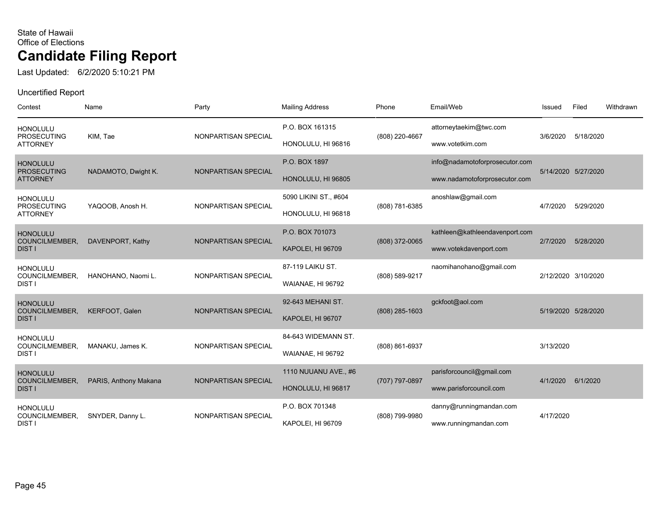Last Updated: 6/2/2020 5:10:21 PM

| Contest                                                  | Name                  | Party               | <b>Mailing Address</b>                      | Phone          | Email/Web                                                       | Issued    | Filed               | Withdrawn |
|----------------------------------------------------------|-----------------------|---------------------|---------------------------------------------|----------------|-----------------------------------------------------------------|-----------|---------------------|-----------|
| <b>HONOLULU</b><br><b>PROSECUTING</b><br><b>ATTORNEY</b> | KIM, Tae              | NONPARTISAN SPECIAL | P.O. BOX 161315<br>HONOLULU, HI 96816       | (808) 220-4667 | attorneytaekim@twc.com<br>www.votetkim.com                      | 3/6/2020  | 5/18/2020           |           |
| <b>HONOLULU</b><br><b>PROSECUTING</b><br><b>ATTORNEY</b> | NADAMOTO, Dwight K.   | NONPARTISAN SPECIAL | P.O. BOX 1897<br>HONOLULU, HI 96805         |                | info@nadamotoforprosecutor.com<br>www.nadamotoforprosecutor.com |           | 5/14/2020 5/27/2020 |           |
| <b>HONOLULU</b><br><b>PROSECUTING</b><br><b>ATTORNEY</b> | YAQOOB, Anosh H.      | NONPARTISAN SPECIAL | 5090 LIKINI ST., #604<br>HONOLULU, HI 96818 | (808) 781-6385 | anoshlaw@gmail.com                                              | 4/7/2020  | 5/29/2020           |           |
| <b>HONOLULU</b><br>COUNCILMEMBER,<br><b>DIST I</b>       | DAVENPORT, Kathy      | NONPARTISAN SPECIAL | P.O. BOX 701073<br>KAPOLEI, HI 96709        | (808) 372-0065 | kathleen@kathleendavenport.com<br>www.votekdavenport.com        | 2/7/2020  | 5/28/2020           |           |
| <b>HONOLULU</b><br>COUNCILMEMBER,<br><b>DIST I</b>       | HANOHANO, Naomi L.    | NONPARTISAN SPECIAL | 87-119 LAIKU ST.<br>WAIANAE, HI 96792       | (808) 589-9217 | naomihanohano@gmail.com                                         |           | 2/12/2020 3/10/2020 |           |
| <b>HONOLULU</b><br>COUNCILMEMBER,<br><b>DIST I</b>       | KERFOOT, Galen        | NONPARTISAN SPECIAL | 92-643 MEHANI ST.<br>KAPOLEI, HI 96707      | (808) 285-1603 | gckfoot@aol.com                                                 |           | 5/19/2020 5/28/2020 |           |
| <b>HONOLULU</b><br>COUNCILMEMBER,<br><b>DIST I</b>       | MANAKU, James K.      | NONPARTISAN SPECIAL | 84-643 WIDEMANN ST.<br>WAIANAE, HI 96792    | (808) 861-6937 |                                                                 | 3/13/2020 |                     |           |
| <b>HONOLULU</b><br>COUNCILMEMBER,<br><b>DIST I</b>       | PARIS, Anthony Makana | NONPARTISAN SPECIAL | 1110 NUUANU AVE., #6<br>HONOLULU, HI 96817  | (707) 797-0897 | parisforcouncil@gmail.com<br>www.parisforcouncil.com            | 4/1/2020  | 6/1/2020            |           |
| <b>HONOLULU</b><br>COUNCILMEMBER,<br><b>DISTI</b>        | SNYDER, Danny L.      | NONPARTISAN SPECIAL | P.O. BOX 701348<br>KAPOLEI, HI 96709        | (808) 799-9980 | danny@runningmandan.com<br>www.runningmandan.com                | 4/17/2020 |                     |           |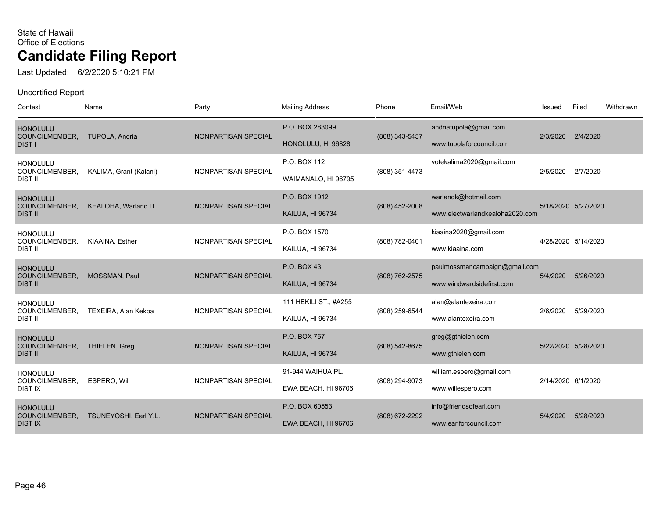Last Updated: 6/2/2020 5:10:21 PM

| Contest                                                     | Name                   | Party               | <b>Mailing Address</b>                    | Phone          | Email/Web                                                  | Issued             | Filed               | Withdrawn |
|-------------------------------------------------------------|------------------------|---------------------|-------------------------------------------|----------------|------------------------------------------------------------|--------------------|---------------------|-----------|
| <b>HONOLULU</b><br>COUNCILMEMBER,<br><b>DIST I</b>          | TUPOLA, Andria         | NONPARTISAN SPECIAL | P.O. BOX 283099<br>HONOLULU, HI 96828     | (808) 343-5457 | andriatupola@gmail.com<br>www.tupolaforcouncil.com         | 2/3/2020           | 2/4/2020            |           |
| <b>HONOLULU</b><br>COUNCILMEMBER,<br><b>DIST III</b>        | KALIMA, Grant (Kalani) | NONPARTISAN SPECIAL | P.O. BOX 112<br>WAIMANALO, HI 96795       | (808) 351-4473 | votekalima2020@gmail.com                                   | 2/5/2020           | 2/7/2020            |           |
| <b>HONOLULU</b><br>COUNCILMEMBER,<br><b>DIST III</b>        | KEALOHA, Warland D.    | NONPARTISAN SPECIAL | P.O. BOX 1912<br>KAILUA, HI 96734         | (808) 452-2008 | warlandk@hotmail.com<br>www.electwarlandkealoha2020.com    |                    | 5/18/2020 5/27/2020 |           |
| <b>HONOLULU</b><br>COUNCILMEMBER,<br><b>DIST III</b>        | KIAAINA, Esther        | NONPARTISAN SPECIAL | P.O. BOX 1570<br>KAILUA, HI 96734         | (808) 782-0401 | kiaaina2020@gmail.com<br>www.kiaaina.com                   |                    | 4/28/2020 5/14/2020 |           |
| <b>HONOLULU</b><br><b>COUNCILMEMBER,</b><br><b>DIST III</b> | MOSSMAN, Paul          | NONPARTISAN SPECIAL | P.O. BOX 43<br>KAILUA, HI 96734           | (808) 762-2575 | paulmossmancampaign@gmail.com<br>www.windwardsidefirst.com | 5/4/2020           | 5/26/2020           |           |
| <b>HONOLULU</b><br>COUNCILMEMBER,<br><b>DIST III</b>        | TEXEIRA, Alan Kekoa    | NONPARTISAN SPECIAL | 111 HEKILI ST., #A255<br>KAILUA, HI 96734 | (808) 259-6544 | alan@alantexeira.com<br>www.alantexeira.com                | 2/6/2020           | 5/29/2020           |           |
| <b>HONOLULU</b><br>COUNCILMEMBER,<br><b>DIST III</b>        | <b>THIELEN, Greg</b>   | NONPARTISAN SPECIAL | P.O. BOX 757<br>KAILUA, HI 96734          | (808) 542-8675 | greg@gthielen.com<br>www.gthielen.com                      |                    | 5/22/2020 5/28/2020 |           |
| <b>HONOLULU</b><br>COUNCILMEMBER,<br><b>DIST IX</b>         | <b>ESPERO. Will</b>    | NONPARTISAN SPECIAL | 91-944 WAIHUA PL.<br>EWA BEACH, HI 96706  | (808) 294-9073 | william.espero@gmail.com<br>www.willespero.com             | 2/14/2020 6/1/2020 |                     |           |
| <b>HONOLULU</b><br>COUNCILMEMBER,<br><b>DIST IX</b>         | TSUNEYOSHI, Earl Y.L.  | NONPARTISAN SPECIAL | P.O. BOX 60553<br>EWA BEACH, HI 96706     | (808) 672-2292 | info@friendsofearl.com<br>www.earlforcouncil.com           | 5/4/2020           | 5/28/2020           |           |